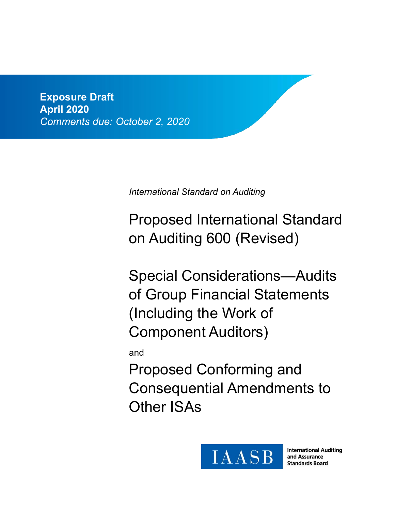**Exposure Draft April 2020** *Comments due: October 2, 2020*

*International Standard on Auditing*

Proposed International Standard on Auditing 600 (Revised)

Special Considerations—Audits of Group Financial Statements (Including the Work of Component Auditors) and Proposed Conforming and Consequential Amendments to Other ISAs



**International Auditing** and Assurance **Standards Board**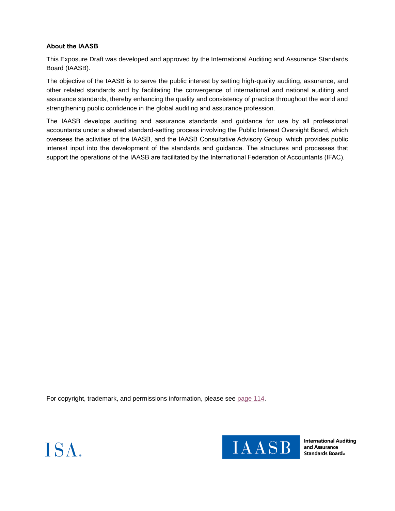### **About the IAASB**

This Exposure Draft was developed and approved by the International Auditing and Assurance Standards Board (IAASB).

The objective of the IAASB is to serve the public interest by setting high-quality auditing, assurance, and other related standards and by facilitating the convergence of international and national auditing and assurance standards, thereby enhancing the quality and consistency of practice throughout the world and strengthening public confidence in the global auditing and assurance profession.

The IAASB develops auditing and assurance standards and guidance for use by all professional accountants under a shared standard-setting process involving the Public Interest Oversight Board, which oversees the activities of the IAASB, and the IAASB Consultative Advisory Group, which provides public interest input into the development of the standards and guidance. The structures and processes that support the operations of the IAASB are facilitated by the International Federation of Accountants (IFAC).

For copyright, trademark, and permissions information, please see page 114.





**International Auditing** and Assurance **Standards Board**.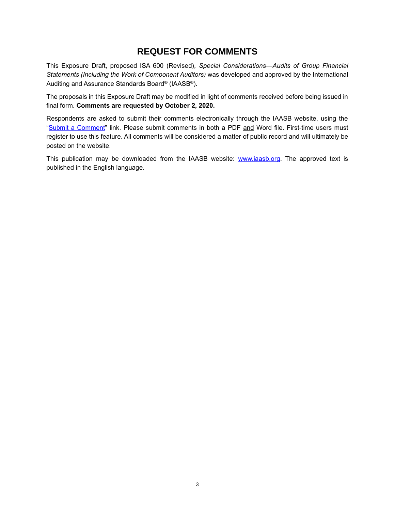# **REQUEST FOR COMMENTS**

This Exposure Draft, proposed ISA 600 (Revised)*, Special Considerations—Audits of Group Financial Statements (Including the Work of Component Auditors)* was developed and approved by the International Auditing and Assurance Standards Board® (IAASB®).

The proposals in this Exposure Draft may be modified in light of comments received before being issued in final form. **Comments are requested by October 2, 2020.**

Respondents are asked to submit their comments electronically through the IAASB website, using the "Submit a Comment" link. Please submit comments in both a PDF and Word file. First-time users must register to use this feature. All comments will be considered a matter of public record and will ultimately be posted on the website.

This publication may be downloaded from the IAASB website: www.iaasb.org. The approved text is published in the English language.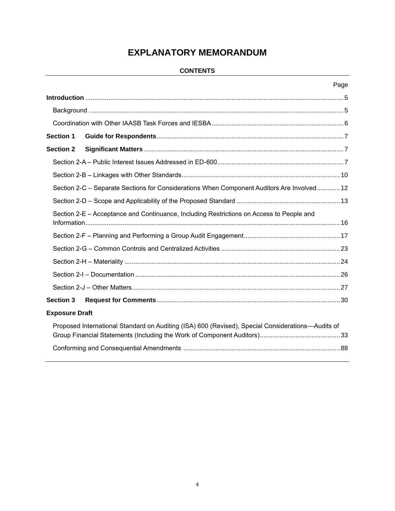# **EXPLANATORY MEMORANDUM**

## **CONTENTS**

|                       | Page                                                                                              |
|-----------------------|---------------------------------------------------------------------------------------------------|
|                       |                                                                                                   |
|                       |                                                                                                   |
|                       |                                                                                                   |
| <b>Section 1</b>      |                                                                                                   |
| <b>Section 2</b>      |                                                                                                   |
|                       |                                                                                                   |
|                       |                                                                                                   |
|                       | Section 2-C - Separate Sections for Considerations When Component Auditors Are Involved 12        |
|                       |                                                                                                   |
|                       | Section 2-E – Acceptance and Continuance, Including Restrictions on Access to People and          |
|                       |                                                                                                   |
|                       |                                                                                                   |
|                       |                                                                                                   |
|                       |                                                                                                   |
|                       |                                                                                                   |
| Section 3             |                                                                                                   |
| <b>Exposure Draft</b> |                                                                                                   |
|                       | Proposed International Standard on Auditing (ISA) 600 (Revised), Special Considerations—Audits of |
|                       |                                                                                                   |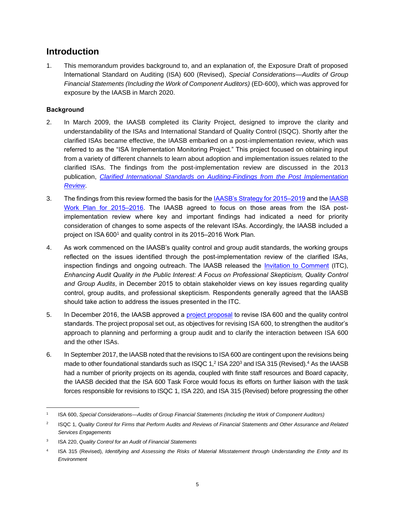# **Introduction**

1. This memorandum provides background to, and an explanation of, the Exposure Draft of proposed International Standard on Auditing (ISA) 600 (Revised), *Special Considerations—Audits of Group Financial Statements (Including the Work of Component Auditors)* (ED-600), which was approved for exposure by the IAASB in March 2020.

## **Background**

- 2. In March 2009, the IAASB completed its Clarity Project, designed to improve the clarity and understandability of the ISAs and International Standard of Quality Control (ISQC). Shortly after the clarified ISAs became effective, the IAASB embarked on a post-implementation review, which was referred to as the "ISA Implementation Monitoring Project." This project focused on obtaining input from a variety of different channels to learn about adoption and implementation issues related to the clarified ISAs. The findings from the post-implementation review are discussed in the 2013 publication, *Clarified International Standards on Auditing-Findings from the Post Implementation Review*.
- 3. The findings from this review formed the basis for the IAASB's Strategy for 2015–2019 and the IAASB Work Plan for 2015–2016. The IAASB agreed to focus on those areas from the ISA postimplementation review where key and important findings had indicated a need for priority consideration of changes to some aspects of the relevant ISAs. Accordingly, the IAASB included a project on ISA 600<sup>1</sup> and quality control in its 2015–2016 Work Plan.
- 4. As work commenced on the IAASB's quality control and group audit standards, the working groups reflected on the issues identified through the post-implementation review of the clarified ISAs, inspection findings and ongoing outreach. The IAASB released the Invitation to Comment (ITC), *Enhancing Audit Quality in the Public Interest: A Focus on Professional Skepticism, Quality Control and Group Audits*, in December 2015 to obtain stakeholder views on key issues regarding quality control, group audits, and professional skepticism. Respondents generally agreed that the IAASB should take action to address the issues presented in the ITC.
- 5. In December 2016, the IAASB approved a project proposal to revise ISA 600 and the quality control standards. The project proposal set out, as objectives for revising ISA 600, to strengthen the auditor's approach to planning and performing a group audit and to clarify the interaction between ISA 600 and the other ISAs.
- 6. In September 2017, the IAASB noted that the revisions to ISA 600 are contingent upon the revisions being made to other foundational standards such as ISQC 1,<sup>2</sup> ISA 220<sup>3</sup> and ISA 315 (Revised).<sup>4</sup> As the IAASB had a number of priority projects on its agenda, coupled with finite staff resources and Board capacity, the IAASB decided that the ISA 600 Task Force would focus its efforts on further liaison with the task forces responsible for revisions to ISQC 1, ISA 220, and ISA 315 (Revised) before progressing the other

<sup>1</sup> ISA 600, *Special Considerations—Audits of Group Financial Statements (Including the Work of Component Auditors)*

<sup>2</sup> ISQC 1, *Quality Control for Firms that Perform Audits and Reviews of Financial Statements and Other Assurance and Related Services Engagements*

<sup>3</sup> ISA 220, *Quality Control for an Audit of Financial Statements*

<sup>4</sup> ISA 315 (Revised), *Identifying and Assessing the Risks of Material Misstatement through Understanding the Entity and Its Environment*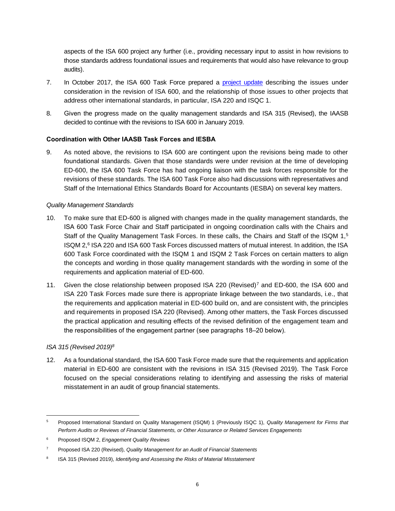aspects of the ISA 600 project any further (i.e., providing necessary input to assist in how revisions to those standards address foundational issues and requirements that would also have relevance to group audits).

- 7. In October 2017, the ISA 600 Task Force prepared a project update describing the issues under consideration in the revision of ISA 600, and the relationship of those issues to other projects that address other international standards, in particular, ISA 220 and ISQC 1.
- 8. Given the progress made on the quality management standards and ISA 315 (Revised), the IAASB decided to continue with the revisions to ISA 600 in January 2019.

#### **Coordination with Other IAASB Task Forces and IESBA**

9. As noted above, the revisions to ISA 600 are contingent upon the revisions being made to other foundational standards. Given that those standards were under revision at the time of developing ED-600, the ISA 600 Task Force has had ongoing liaison with the task forces responsible for the revisions of these standards. The ISA 600 Task Force also had discussions with representatives and Staff of the International Ethics Standards Board for Accountants (IESBA) on several key matters.

#### *Quality Management Standards*

- 10. To make sure that ED-600 is aligned with changes made in the quality management standards, the ISA 600 Task Force Chair and Staff participated in ongoing coordination calls with the Chairs and Staff of the Quality Management Task Forces. In these calls, the Chairs and Staff of the ISQM 1,<sup>5</sup> ISQM 2,<sup>6</sup> ISA 220 and ISA 600 Task Forces discussed matters of mutual interest. In addition, the ISA 600 Task Force coordinated with the ISQM 1 and ISQM 2 Task Forces on certain matters to align the concepts and wording in those quality management standards with the wording in some of the requirements and application material of ED-600.
- 11. Given the close relationship between proposed ISA 220 (Revised)<sup>7</sup> and ED-600, the ISA 600 and ISA 220 Task Forces made sure there is appropriate linkage between the two standards, i.e., that the requirements and application material in ED-600 build on, and are consistent with, the principles and requirements in proposed ISA 220 (Revised). Among other matters, the Task Forces discussed the practical application and resulting effects of the revised definition of the engagement team and the responsibilities of the engagement partner (see paragraphs 18-20 below).

#### *ISA 315 (Revised 2019)<sup>8</sup>*

12. As a foundational standard, the ISA 600 Task Force made sure that the requirements and application material in ED-600 are consistent with the revisions in ISA 315 (Revised 2019). The Task Force focused on the special considerations relating to identifying and assessing the risks of material misstatement in an audit of group financial statements.

<sup>5</sup> Proposed International Standard on Quality Management (ISQM) 1 (Previously ISQC 1), *Quality Management for Firms that Perform Audits or Reviews of Financial Statements, or Other Assurance or Related Services Engagements*

<sup>6</sup> Proposed ISQM 2, *Engagement Quality Reviews*

<sup>7</sup> Proposed ISA 220 (Revised), *Quality Management for an Audit of Financial Statements*

<sup>8</sup> ISA 315 (Revised 2019), *Identifying and Assessing the Risks of Material Misstatement*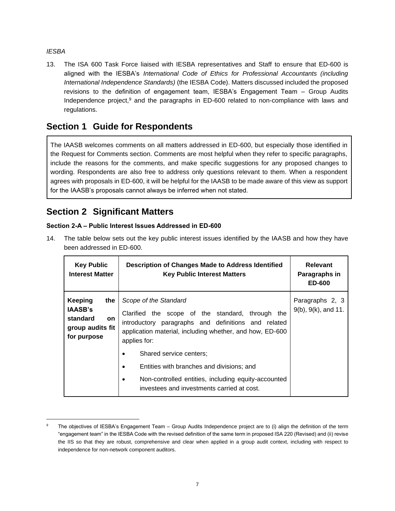## *IESBA*

13. The ISA 600 Task Force liaised with IESBA representatives and Staff to ensure that ED-600 is aligned with the IESBA's *International Code of Ethics for Professional Accountants (including International Independence Standards)* (the IESBA Code). Matters discussed included the proposed revisions to the definition of engagement team, IESBA's Engagement Team – Group Audits Independence project, $9$  and the paragraphs in ED-600 related to non-compliance with laws and regulations.

# **Section 1 Guide for Respondents**

The IAASB welcomes comments on all matters addressed in ED-600, but especially those identified in the Request for Comments section. Comments are most helpful when they refer to specific paragraphs, include the reasons for the comments, and make specific suggestions for any proposed changes to wording. Respondents are also free to address only questions relevant to them. When a respondent agrees with proposals in ED-600, it will be helpful for the IAASB to be made aware of this view as support for the IAASB's proposals cannot always be inferred when not stated.

# **Section 2 Significant Matters**

## **Section 2-A ‒ Public Interest Issues Addressed in ED-600**

| <b>Key Public</b><br><b>Interest Matter</b>                                                         | <b>Description of Changes Made to Address Identified</b><br><b>Key Public Interest Matters</b>                                                                                                                  | <b>Relevant</b><br>Paragraphs in<br><b>ED-600</b> |
|-----------------------------------------------------------------------------------------------------|-----------------------------------------------------------------------------------------------------------------------------------------------------------------------------------------------------------------|---------------------------------------------------|
| <b>Keeping</b><br>the<br><b>IAASB's</b><br>standard<br><b>on</b><br>group audits fit<br>for purpose | Scope of the Standard<br>Clarified the scope of the standard, through<br>the<br>introductory paragraphs and definitions and related<br>application material, including whether, and how, ED-600<br>applies for: | Paragraphs 2, 3<br>$9(b)$ , $9(k)$ , and 11.      |
|                                                                                                     | Shared service centers;<br>Entities with branches and divisions; and                                                                                                                                            |                                                   |
|                                                                                                     | Non-controlled entities, including equity-accounted<br>investees and investments carried at cost.                                                                                                               |                                                   |

14. The table below sets out the key public interest issues identified by the IAASB and how they have been addressed in ED-600.

The objectives of IESBA's Engagement Team – Group Audits Independence project are to (i) align the definition of the term "engagement team" in the IESBA Code with the revised definition of the same term in proposed ISA 220 (Revised) and (ii) revise the IIS so that they are robust, comprehensive and clear when applied in a group audit context, including with respect to independence for non-network component auditors.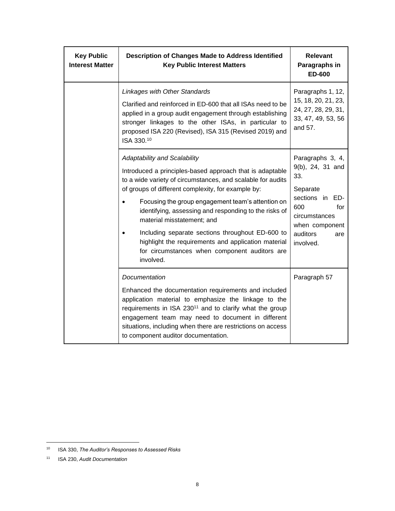| <b>Key Public</b><br><b>Interest Matter</b> | <b>Description of Changes Made to Address Identified</b><br><b>Key Public Interest Matters</b>                                                                                                                                                                                                                                                                                                                                                                                                                                            | <b>Relevant</b><br>Paragraphs in<br>ED-600                                                                                                                     |
|---------------------------------------------|-------------------------------------------------------------------------------------------------------------------------------------------------------------------------------------------------------------------------------------------------------------------------------------------------------------------------------------------------------------------------------------------------------------------------------------------------------------------------------------------------------------------------------------------|----------------------------------------------------------------------------------------------------------------------------------------------------------------|
|                                             | Linkages with Other Standards<br>Clarified and reinforced in ED-600 that all ISAs need to be<br>applied in a group audit engagement through establishing<br>stronger linkages to the other ISAs, in particular to<br>proposed ISA 220 (Revised), ISA 315 (Revised 2019) and<br>ISA 330.10                                                                                                                                                                                                                                                 | Paragraphs 1, 12,<br>15, 18, 20, 21, 23,<br>24, 27, 28, 29, 31,<br>33, 47, 49, 53, 56<br>and 57.                                                               |
|                                             | <b>Adaptability and Scalability</b><br>Introduced a principles-based approach that is adaptable<br>to a wide variety of circumstances, and scalable for audits<br>of groups of different complexity, for example by:<br>Focusing the group engagement team's attention on<br>identifying, assessing and responding to the risks of<br>material misstatement; and<br>Including separate sections throughout ED-600 to<br>highlight the requirements and application material<br>for circumstances when component auditors are<br>involved. | Paragraphs 3, 4,<br>9(b), 24, 31 and<br>33.<br>Separate<br>sections in<br>ED-<br>600<br>for<br>circumstances<br>when component<br>auditors<br>are<br>involved. |
|                                             | Documentation<br>Enhanced the documentation requirements and included<br>application material to emphasize the linkage to the<br>requirements in ISA 230 <sup>11</sup> and to clarify what the group<br>engagement team may need to document in different<br>situations, including when there are restrictions on access<br>to component auditor documentation.                                                                                                                                                                           | Paragraph 57                                                                                                                                                   |

<sup>10</sup> ISA 330, *The Auditor's Responses to Assessed Risks*

<sup>11</sup> ISA 230, *Audit Documentation*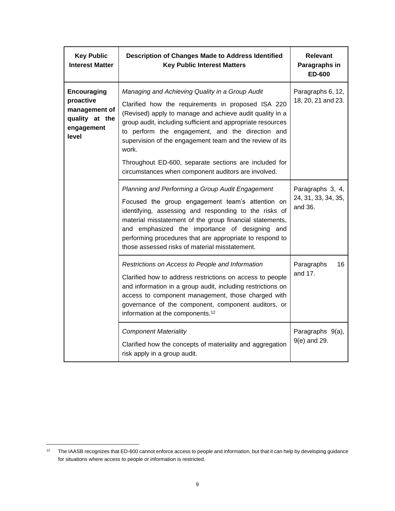| <b>Key Public</b><br><b>Interest Matter</b>                                        | <b>Description of Changes Made to Address Identified</b><br><b>Key Public Interest Matters</b>                                                                                                                                                                                                                                                                                                                                                                            | <b>Relevant</b><br>Paragraphs in<br><b>ED-600</b>  |
|------------------------------------------------------------------------------------|---------------------------------------------------------------------------------------------------------------------------------------------------------------------------------------------------------------------------------------------------------------------------------------------------------------------------------------------------------------------------------------------------------------------------------------------------------------------------|----------------------------------------------------|
| Encouraging<br>proactive<br>management of<br>quality at the<br>engagement<br>level | Managing and Achieving Quality in a Group Audit<br>Clarified how the requirements in proposed ISA 220<br>(Revised) apply to manage and achieve audit quality in a<br>group audit, including sufficient and appropriate resources<br>to perform the engagement, and the direction and<br>supervision of the engagement team and the review of its<br>work.<br>Throughout ED-600, separate sections are included for<br>circumstances when component auditors are involved. | Paragraphs 6, 12,<br>18, 20, 21 and 23.            |
|                                                                                    | Planning and Performing a Group Audit Engagement<br>Focused the group engagement team's attention on<br>identifying, assessing and responding to the risks of<br>material misstatement of the group financial statements,<br>and emphasized the importance of designing and<br>performing procedures that are appropriate to respond to<br>those assessed risks of material misstatement.                                                                                 | Paragraphs 3, 4,<br>24, 31, 33, 34, 35,<br>and 36. |
|                                                                                    | Restrictions on Access to People and Information<br>Clarified how to address restrictions on access to people<br>and information in a group audit, including restrictions on<br>access to component management, those charged with<br>governance of the component, component auditors, or<br>information at the components. <sup>12</sup>                                                                                                                                 | Paragraphs<br>16<br>and 17.                        |
|                                                                                    | <b>Component Materiality</b><br>Clarified how the concepts of materiality and aggregation<br>risk apply in a group audit.                                                                                                                                                                                                                                                                                                                                                 | Paragraphs 9(a),<br>9(e) and 29.                   |

<sup>&</sup>lt;sup>12</sup> The IAASB recognizes that ED-600 cannot enforce access to people and information, but that it can help by developing guidance for situations where access to people or information is restricted.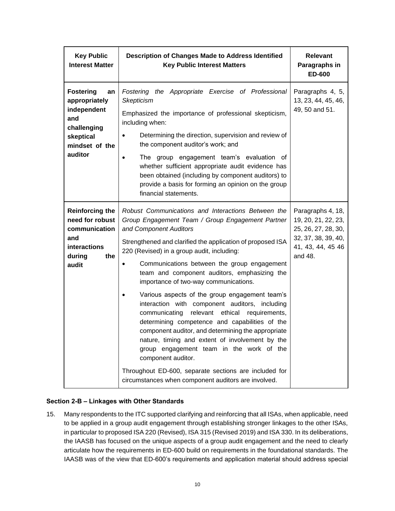| <b>Key Public</b><br><b>Interest Matter</b>                                                                            | <b>Description of Changes Made to Address Identified</b><br><b>Key Public Interest Matters</b>                                                                                                                                                                                                                                                                                                                                                                                                                                                                                                                                                                                                                                                                                                                                                                                           | <b>Relevant</b><br>Paragraphs in<br>ED-600                                                                             |
|------------------------------------------------------------------------------------------------------------------------|------------------------------------------------------------------------------------------------------------------------------------------------------------------------------------------------------------------------------------------------------------------------------------------------------------------------------------------------------------------------------------------------------------------------------------------------------------------------------------------------------------------------------------------------------------------------------------------------------------------------------------------------------------------------------------------------------------------------------------------------------------------------------------------------------------------------------------------------------------------------------------------|------------------------------------------------------------------------------------------------------------------------|
| <b>Fostering</b><br>an<br>appropriately<br>independent<br>and<br>challenging<br>skeptical<br>mindset of the<br>auditor | Fostering the Appropriate Exercise of Professional<br><b>Skepticism</b><br>Emphasized the importance of professional skepticism,<br>including when:<br>Determining the direction, supervision and review of<br>$\bullet$<br>the component auditor's work; and<br>The group engagement team's evaluation of<br>$\bullet$<br>whether sufficient appropriate audit evidence has<br>been obtained (including by component auditors) to<br>provide a basis for forming an opinion on the group<br>financial statements.                                                                                                                                                                                                                                                                                                                                                                       | Paragraphs 4, 5,<br>13, 23, 44, 45, 46,<br>49, 50 and 51.                                                              |
| <b>Reinforcing the</b><br>need for robust<br>communication<br>and<br><b>interactions</b><br>during<br>the<br>audit     | Robust Communications and Interactions Between the<br>Group Engagement Team / Group Engagement Partner<br>and Component Auditors<br>Strengthened and clarified the application of proposed ISA<br>220 (Revised) in a group audit, including:<br>Communications between the group engagement<br>team and component auditors, emphasizing the<br>importance of two-way communications.<br>Various aspects of the group engagement team's<br>interaction with component auditors, including<br>communicating<br>relevant ethical requirements,<br>determining competence and capabilities of the<br>component auditor, and determining the appropriate<br>nature, timing and extent of involvement by the<br>group engagement team in the work of the<br>component auditor.<br>Throughout ED-600, separate sections are included for<br>circumstances when component auditors are involved. | Paragraphs 4, 18,<br>19, 20, 21, 22, 23,<br>25, 26, 27, 28, 30,<br>32, 37, 38, 39, 40,<br>41, 43, 44, 45 46<br>and 48. |

## **Section 2-B ‒ Linkages with Other Standards**

15. Many respondents to the ITC supported clarifying and reinforcing that all ISAs, when applicable, need to be applied in a group audit engagement through establishing stronger linkages to the other ISAs, in particular to proposed ISA 220 (Revised), ISA 315 (Revised 2019) and ISA 330. In its deliberations, the IAASB has focused on the unique aspects of a group audit engagement and the need to clearly articulate how the requirements in ED-600 build on requirements in the foundational standards. The IAASB was of the view that ED-600's requirements and application material should address special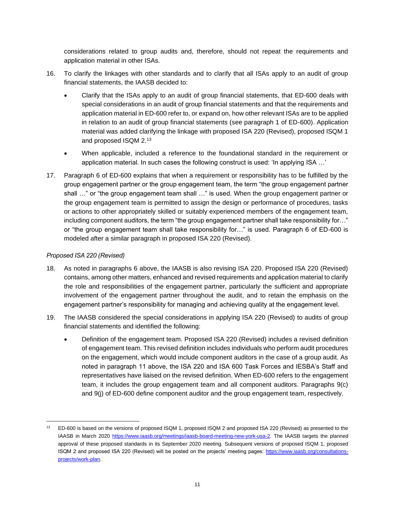considerations related to group audits and, therefore, should not repeat the requirements and application material in other ISAs.

- 16. To clarify the linkages with other standards and to clarify that all ISAs apply to an audit of group financial statements, the IAASB decided to:
	- Clarify that the ISAs apply to an audit of group financial statements, that ED-600 deals with special considerations in an audit of group financial statements and that the requirements and application material in ED-600 refer to, or expand on, how other relevant ISAs are to be applied in relation to an audit of group financial statements (see paragraph 1 of ED-600). Application material was added clarifying the linkage with proposed ISA 220 (Revised), proposed ISQM 1 and proposed ISQM 2.<sup>13</sup>
	- When applicable, included a reference to the foundational standard in the requirement or application material. In such cases the following construct is used: 'In applying ISA …'
- 17. Paragraph 6 of ED-600 explains that when a requirement or responsibility has to be fulfilled by the group engagement partner or the group engagement team, the term "the group engagement partner shall ..." or "the group engagement team shall ..." is used. When the group engagement partner or the group engagement team is permitted to assign the design or performance of procedures, tasks or actions to other appropriately skilled or suitably experienced members of the engagement team, including component auditors, the term "the group engagement partner shall take responsibility for…" or "the group engagement team shall take responsibility for…" is used. Paragraph 6 of ED-600 is modeled after a similar paragraph in proposed ISA 220 (Revised).

### *Proposed ISA 220 (Revised)*

- 18. As noted in paragraphs 6 above, the IAASB is also revising ISA 220. Proposed ISA 220 (Revised) contains, among other matters, enhanced and revised requirements and application material to clarify the role and responsibilities of the engagement partner, particularly the sufficient and appropriate involvement of the engagement partner throughout the audit, and to retain the emphasis on the engagement partner's responsibility for managing and achieving quality at the engagement level.
- 19. The IAASB considered the special considerations in applying ISA 220 (Revised) to audits of group financial statements and identified the following:
	- Definition of the engagement team. Proposed ISA 220 (Revised) includes a revised definition of engagement team. This revised definition includes individuals who perform audit procedures on the engagement, which would include component auditors in the case of a group audit. As noted in paragraph 11 above, the ISA 220 and ISA 600 Task Forces and IESBA's Staff and representatives have liaised on the revised definition. When ED-600 refers to the engagement team, it includes the group engagement team and all component auditors. Paragraphs 9(c) and 9(j) of ED-600 define component auditor and the group engagement team, respectively.

<sup>&</sup>lt;sup>13</sup> ED-600 is based on the versions of proposed ISQM 1, proposed ISQM 2 and proposed ISA 220 (Revised) as presented to the IAASB in March 2020 https://www.iaasb.org/meetings/iaasb-board-meeting-new-york-usa-2. The IAASB targets the planned approval of these proposed standards in its September 2020 meeting. Subsequent versions of proposed ISQM 1, proposed ISQM 2 and proposed ISA 220 (Revised) will be posted on the projects' meeting pages: https://www.iaasb.org/consultationsprojects/work-plan.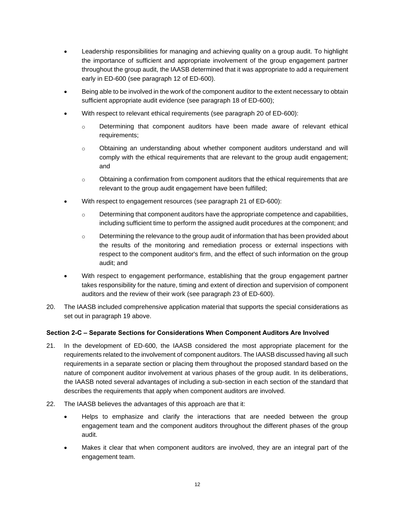- Leadership responsibilities for managing and achieving quality on a group audit. To highlight the importance of sufficient and appropriate involvement of the group engagement partner throughout the group audit, the IAASB determined that it was appropriate to add a requirement early in ED-600 (see paragraph 12 of ED-600).
- Being able to be involved in the work of the component auditor to the extent necessary to obtain sufficient appropriate audit evidence (see paragraph 18 of ED-600);
- With respect to relevant ethical requirements (see paragraph 20 of ED-600):
	- o Determining that component auditors have been made aware of relevant ethical requirements;
	- $\circ$  Obtaining an understanding about whether component auditors understand and will comply with the ethical requirements that are relevant to the group audit engagement; and
	- $\circ$  Obtaining a confirmation from component auditors that the ethical requirements that are relevant to the group audit engagement have been fulfilled;
- With respect to engagement resources (see paragraph 21 of ED-600):
	- $\circ$  Determining that component auditors have the appropriate competence and capabilities, including sufficient time to perform the assigned audit procedures at the component; and
	- $\circ$  Determining the relevance to the group audit of information that has been provided about the results of the monitoring and remediation process or external inspections with respect to the component auditor's firm, and the effect of such information on the group audit; and
- With respect to engagement performance, establishing that the group engagement partner takes responsibility for the nature, timing and extent of direction and supervision of component auditors and the review of their work (see paragraph 23 of ED-600).
- 20. The IAASB included comprehensive application material that supports the special considerations as set out in paragraph 19 above.

### **Section 2-C ‒ Separate Sections for Considerations When Component Auditors Are Involved**

- 21. In the development of ED-600, the IAASB considered the most appropriate placement for the requirements related to the involvement of component auditors. The IAASB discussed having all such requirements in a separate section or placing them throughout the proposed standard based on the nature of component auditor involvement at various phases of the group audit. In its deliberations, the IAASB noted several advantages of including a sub-section in each section of the standard that describes the requirements that apply when component auditors are involved.
- 22. The IAASB believes the advantages of this approach are that it:
	- Helps to emphasize and clarify the interactions that are needed between the group engagement team and the component auditors throughout the different phases of the group audit.
	- Makes it clear that when component auditors are involved, they are an integral part of the engagement team.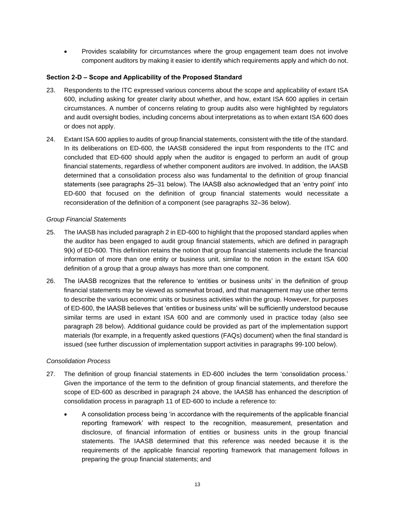• Provides scalability for circumstances where the group engagement team does not involve component auditors by making it easier to identify which requirements apply and which do not.

### **Section 2-D – Scope and Applicability of the Proposed Standard**

- 23. Respondents to the ITC expressed various concerns about the scope and applicability of extant ISA 600, including asking for greater clarity about whether, and how, extant ISA 600 applies in certain circumstances. A number of concerns relating to group audits also were highlighted by regulators and audit oversight bodies, including concerns about interpretations as to when extant ISA 600 does or does not apply.
- 24. Extant ISA 600 applies to audits of group financial statements, consistent with the title of the standard. In its deliberations on ED-600, the IAASB considered the input from respondents to the ITC and concluded that ED-600 should apply when the auditor is engaged to perform an audit of group financial statements, regardless of whether component auditors are involved. In addition, the IAASB determined that a consolidation process also was fundamental to the definition of group financial statements (see paragraphs 25-31 below). The IAASB also acknowledged that an 'entry point' into ED-600 that focused on the definition of group financial statements would necessitate a reconsideration of the definition of a component (see paragraphs 32–36 below).

### *Group Financial Statements*

- 25. The IAASB has included paragraph 2 in ED-600 to highlight that the proposed standard applies when the auditor has been engaged to audit group financial statements, which are defined in paragraph 9(k) of ED-600. This definition retains the notion that group financial statements include the financial information of more than one entity or business unit, similar to the notion in the extant ISA 600 definition of a group that a group always has more than one component.
- 26. The IAASB recognizes that the reference to 'entities or business units' in the definition of group financial statements may be viewed as somewhat broad, and that management may use other terms to describe the various economic units or business activities within the group. However, for purposes of ED-600, the IAASB believes that 'entities or business units' will be sufficiently understood because similar terms are used in extant ISA 600 and are commonly used in practice today (also see paragraph 28 below). Additional guidance could be provided as part of the implementation support materials (for example, in a frequently asked questions (FAQs) document) when the final standard is issued (see further discussion of implementation support activities in paragraphs 99-100 below).

### *Consolidation Process*

- 27. The definition of group financial statements in ED-600 includes the term 'consolidation process.' Given the importance of the term to the definition of group financial statements, and therefore the scope of ED-600 as described in paragraph 24 above, the IAASB has enhanced the description of consolidation process in paragraph 11 of ED-600 to include a reference to:
	- A consolidation process being 'in accordance with the requirements of the applicable financial reporting framework' with respect to the recognition, measurement, presentation and disclosure, of financial information of entities or business units in the group financial statements. The IAASB determined that this reference was needed because it is the requirements of the applicable financial reporting framework that management follows in preparing the group financial statements; and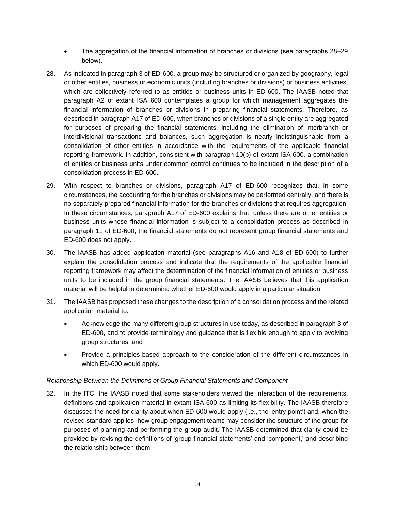- The aggregation of the financial information of branches or divisions (see paragraphs 28–29 below).
- 28. As indicated in paragraph 3 of ED-600, a group may be structured or organized by geography, legal or other entities, business or economic units (including branches or divisions) or business activities, which are collectively referred to as entities or business units in ED-600. The IAASB noted that paragraph A2 of extant ISA 600 contemplates a group for which management aggregates the financial information of branches or divisions in preparing financial statements. Therefore, as described in paragraph A17 of ED-600, when branches or divisions of a single entity are aggregated for purposes of preparing the financial statements, including the elimination of interbranch or interdivisional transactions and balances, such aggregation is nearly indistinguishable from a consolidation of other entities in accordance with the requirements of the applicable financial reporting framework. In addition, consistent with paragraph 10(b) of extant ISA 600, a combination of entities or business units under common control continues to be included in the description of a consolidation process in ED-600.
- 29. With respect to branches or divisions, paragraph A17 of ED-600 recognizes that, in some circumstances, the accounting for the branches or divisions may be performed centrally, and there is no separately prepared financial information for the branches or divisions that requires aggregation. In these circumstances, paragraph A17 of ED-600 explains that, unless there are other entities or business units whose financial information is subject to a consolidation process as described in paragraph 11 of ED-600, the financial statements do not represent group financial statements and ED-600 does not apply.
- 30. The IAASB has added application material (see paragraphs A16 and A18 of ED-600) to further explain the consolidation process and indicate that the requirements of the applicable financial reporting framework may affect the determination of the financial information of entities or business units to be included in the group financial statements. The IAASB believes that this application material will be helpful in determining whether ED-600 would apply in a particular situation.
- 31. The IAASB has proposed these changes to the description of a consolidation process and the related application material to:
	- Acknowledge the many different group structures in use today, as described in paragraph 3 of ED-600, and to provide terminology and guidance that is flexible enough to apply to evolving group structures; and
	- Provide a principles-based approach to the consideration of the different circumstances in which ED-600 would apply.

### *Relationship Between the Definitions of Group Financial Statements and Component*

32. In the ITC, the IAASB noted that some stakeholders viewed the interaction of the requirements, definitions and application material in extant ISA 600 as limiting its flexibility. The IAASB therefore discussed the need for clarity about when ED-600 would apply (i.e., the 'entry point') and, when the revised standard applies, how group engagement teams may consider the structure of the group for purposes of planning and performing the group audit. The IAASB determined that clarity could be provided by revising the definitions of 'group financial statements' and 'component,' and describing the relationship between them.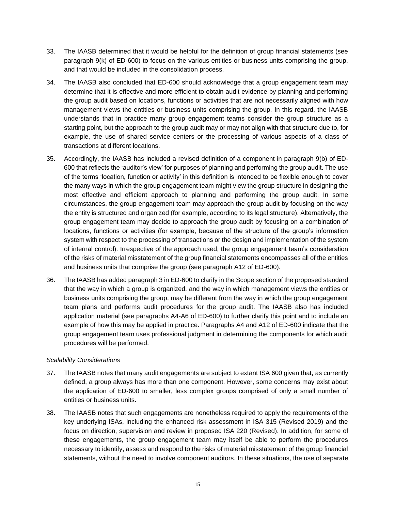- 33. The IAASB determined that it would be helpful for the definition of group financial statements (see paragraph 9(k) of ED-600) to focus on the various entities or business units comprising the group, and that would be included in the consolidation process.
- 34. The IAASB also concluded that ED-600 should acknowledge that a group engagement team may determine that it is effective and more efficient to obtain audit evidence by planning and performing the group audit based on locations, functions or activities that are not necessarily aligned with how management views the entities or business units comprising the group. In this regard, the IAASB understands that in practice many group engagement teams consider the group structure as a starting point, but the approach to the group audit may or may not align with that structure due to, for example, the use of shared service centers or the processing of various aspects of a class of transactions at different locations.
- 35. Accordingly, the IAASB has included a revised definition of a component in paragraph 9(b) of ED-600 that reflects the 'auditor's view' for purposes of planning and performing the group audit. The use of the terms 'location, function or activity' in this definition is intended to be flexible enough to cover the many ways in which the group engagement team might view the group structure in designing the most effective and efficient approach to planning and performing the group audit. In some circumstances, the group engagement team may approach the group audit by focusing on the way the entity is structured and organized (for example, according to its legal structure). Alternatively, the group engagement team may decide to approach the group audit by focusing on a combination of locations, functions or activities (for example, because of the structure of the group's information system with respect to the processing of transactions or the design and implementation of the system of internal control). Irrespective of the approach used, the group engagement team's consideration of the risks of material misstatement of the group financial statements encompasses all of the entities and business units that comprise the group (see paragraph A12 of ED-600).
- 36. The IAASB has added paragraph 3 in ED-600 to clarify in the Scope section of the proposed standard that the way in which a group is organized, and the way in which management views the entities or business units comprising the group, may be different from the way in which the group engagement team plans and performs audit procedures for the group audit. The IAASB also has included application material (see paragraphs A4-A6 of ED-600) to further clarify this point and to include an example of how this may be applied in practice. Paragraphs A4 and A12 of ED-600 indicate that the group engagement team uses professional judgment in determining the components for which audit procedures will be performed.

#### *Scalability Considerations*

- 37. The IAASB notes that many audit engagements are subject to extant ISA 600 given that, as currently defined, a group always has more than one component. However, some concerns may exist about the application of ED-600 to smaller, less complex groups comprised of only a small number of entities or business units.
- 38. The IAASB notes that such engagements are nonetheless required to apply the requirements of the key underlying ISAs, including the enhanced risk assessment in ISA 315 (Revised 2019) and the focus on direction, supervision and review in proposed ISA 220 (Revised). In addition, for some of these engagements, the group engagement team may itself be able to perform the procedures necessary to identify, assess and respond to the risks of material misstatement of the group financial statements, without the need to involve component auditors. In these situations, the use of separate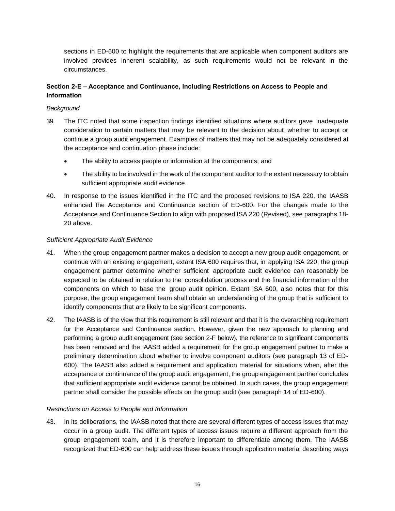sections in ED-600 to highlight the requirements that are applicable when component auditors are involved provides inherent scalability, as such requirements would not be relevant in the circumstances.

## **Section 2-E – Acceptance and Continuance, Including Restrictions on Access to People and Information**

#### *Background*

- 39. The ITC noted that some inspection findings identified situations where auditors gave inadequate consideration to certain matters that may be relevant to the decision about whether to accept or continue a group audit engagement. Examples of matters that may not be adequately considered at the acceptance and continuation phase include:
	- The ability to access people or information at the components; and
	- The ability to be involved in the work of the component auditor to the extent necessary to obtain sufficient appropriate audit evidence.
- 40. In response to the issues identified in the ITC and the proposed revisions to ISA 220, the IAASB enhanced the Acceptance and Continuance section of ED-600. For the changes made to the Acceptance and Continuance Section to align with proposed ISA 220 (Revised), see paragraphs 18- 20 above.

#### *Sufficient Appropriate Audit Evidence*

- 41. When the group engagement partner makes a decision to accept a new group audit engagement, or continue with an existing engagement, extant ISA 600 requires that, in applying ISA 220, the group engagement partner determine whether sufficient appropriate audit evidence can reasonably be expected to be obtained in relation to the consolidation process and the financial information of the components on which to base the group audit opinion. Extant ISA 600, also notes that for this purpose, the group engagement team shall obtain an understanding of the group that is sufficient to identify components that are likely to be significant components.
- 42. The IAASB is of the view that this requirement is still relevant and that it is the overarching requirement for the Acceptance and Continuance section. However, given the new approach to planning and performing a group audit engagement (see section 2-F below), the reference to significant components has been removed and the IAASB added a requirement for the group engagement partner to make a preliminary determination about whether to involve component auditors (see paragraph 13 of ED-600). The IAASB also added a requirement and application material for situations when, after the acceptance or continuance of the group audit engagement, the group engagement partner concludes that sufficient appropriate audit evidence cannot be obtained. In such cases, the group engagement partner shall consider the possible effects on the group audit (see paragraph 14 of ED-600).

#### *Restrictions on Access to People and Information*

43. In its deliberations, the IAASB noted that there are several different types of access issues that may occur in a group audit. The different types of access issues require a different approach from the group engagement team, and it is therefore important to differentiate among them. The IAASB recognized that ED-600 can help address these issues through application material describing ways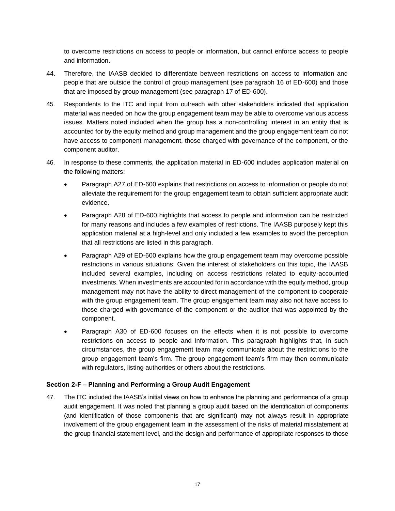to overcome restrictions on access to people or information, but cannot enforce access to people and information.

- 44. Therefore, the IAASB decided to differentiate between restrictions on access to information and people that are outside the control of group management (see paragraph 16 of ED-600) and those that are imposed by group management (see paragraph 17 of ED-600).
- 45. Respondents to the ITC and input from outreach with other stakeholders indicated that application material was needed on how the group engagement team may be able to overcome various access issues. Matters noted included when the group has a non-controlling interest in an entity that is accounted for by the equity method and group management and the group engagement team do not have access to component management, those charged with governance of the component, or the component auditor.
- 46. In response to these comments, the application material in ED-600 includes application material on the following matters:
	- Paragraph A27 of ED-600 explains that restrictions on access to information or people do not alleviate the requirement for the group engagement team to obtain sufficient appropriate audit evidence.
	- Paragraph A28 of ED-600 highlights that access to people and information can be restricted for many reasons and includes a few examples of restrictions. The IAASB purposely kept this application material at a high-level and only included a few examples to avoid the perception that all restrictions are listed in this paragraph.
	- Paragraph A29 of ED-600 explains how the group engagement team may overcome possible restrictions in various situations. Given the interest of stakeholders on this topic, the IAASB included several examples, including on access restrictions related to equity-accounted investments. When investments are accounted for in accordance with the equity method, group management may not have the ability to direct management of the component to cooperate with the group engagement team. The group engagement team may also not have access to those charged with governance of the component or the auditor that was appointed by the component.
	- Paragraph A30 of ED-600 focuses on the effects when it is not possible to overcome restrictions on access to people and information. This paragraph highlights that, in such circumstances, the group engagement team may communicate about the restrictions to the group engagement team's firm. The group engagement team's firm may then communicate with regulators, listing authorities or others about the restrictions.

### **Section 2-F – Planning and Performing a Group Audit Engagement**

47. The ITC included the IAASB's initial views on how to enhance the planning and performance of a group audit engagement. It was noted that planning a group audit based on the identification of components (and identification of those components that are significant) may not always result in appropriate involvement of the group engagement team in the assessment of the risks of material misstatement at the group financial statement level, and the design and performance of appropriate responses to those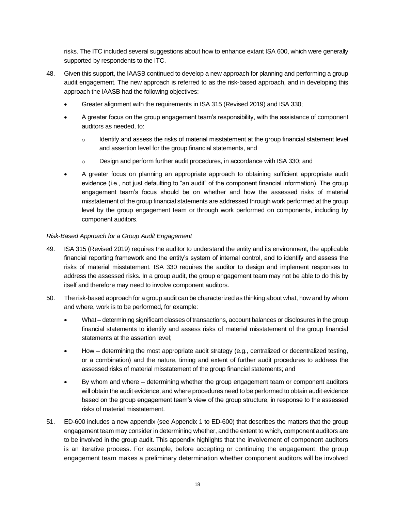risks. The ITC included several suggestions about how to enhance extant ISA 600, which were generally supported by respondents to the ITC.

- 48. Given this support, the IAASB continued to develop a new approach for planning and performing a group audit engagement. The new approach is referred to as the risk-based approach, and in developing this approach the IAASB had the following objectives:
	- Greater alignment with the requirements in ISA 315 (Revised 2019) and ISA 330;
	- A greater focus on the group engagement team's responsibility, with the assistance of component auditors as needed, to:
		- $\circ$  Identify and assess the risks of material misstatement at the group financial statement level and assertion level for the group financial statements, and
		- o Design and perform further audit procedures, in accordance with ISA 330; and
	- A greater focus on planning an appropriate approach to obtaining sufficient appropriate audit evidence (i.e., not just defaulting to "an audit" of the component financial information). The group engagement team's focus should be on whether and how the assessed risks of material misstatement of the group financial statements are addressed through work performed at the group level by the group engagement team or through work performed on components, including by component auditors.

### *Risk-Based Approach for a Group Audit Engagement*

- 49. ISA 315 (Revised 2019) requires the auditor to understand the entity and its environment, the applicable financial reporting framework and the entity's system of internal control, and to identify and assess the risks of material misstatement. ISA 330 requires the auditor to design and implement responses to address the assessed risks. In a group audit, the group engagement team may not be able to do this by itself and therefore may need to involve component auditors.
- 50. The risk-based approach for a group audit can be characterized as thinking about what, how and by whom and where, work is to be performed, for example:
	- What determining significant classes of transactions, account balances or disclosures in the group financial statements to identify and assess risks of material misstatement of the group financial statements at the assertion level;
	- How determining the most appropriate audit strategy (e.g., centralized or decentralized testing, or a combination) and the nature, timing and extent of further audit procedures to address the assessed risks of material misstatement of the group financial statements; and
	- By whom and where determining whether the group engagement team or component auditors will obtain the audit evidence, and where procedures need to be performed to obtain audit evidence based on the group engagement team's view of the group structure, in response to the assessed risks of material misstatement.
- 51. ED-600 includes a new appendix (see Appendix 1 to ED-600) that describes the matters that the group engagement team may consider in determining whether, and the extent to which, component auditors are to be involved in the group audit. This appendix highlights that the involvement of component auditors is an iterative process. For example, before accepting or continuing the engagement, the group engagement team makes a preliminary determination whether component auditors will be involved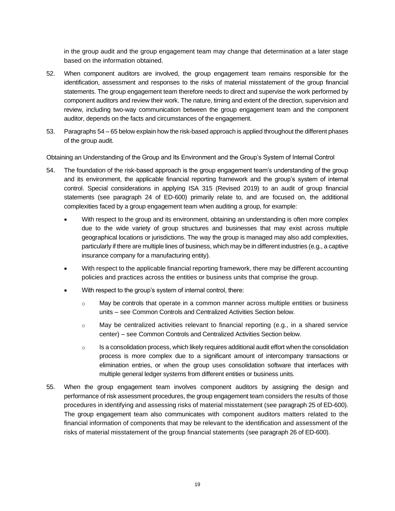in the group audit and the group engagement team may change that determination at a later stage based on the information obtained.

- 52. When component auditors are involved, the group engagement team remains responsible for the identification, assessment and responses to the risks of material misstatement of the group financial statements. The group engagement team therefore needs to direct and supervise the work performed by component auditors and review their work. The nature, timing and extent of the direction, supervision and review, including two-way communication between the group engagement team and the component auditor, depends on the facts and circumstances of the engagement.
- 53. Paragraphs 54 65 below explain how the risk-based approach is applied throughout the different phases of the group audit.

Obtaining an Understanding of the Group and Its Environment and the Group's System of Internal Control

- 54. The foundation of the risk-based approach is the group engagement team's understanding of the group and its environment, the applicable financial reporting framework and the group's system of internal control. Special considerations in applying ISA 315 (Revised 2019) to an audit of group financial statements (see paragraph 24 of ED-600) primarily relate to, and are focused on, the additional complexities faced by a group engagement team when auditing a group, for example:
	- With respect to the group and its environment, obtaining an understanding is often more complex due to the wide variety of group structures and businesses that may exist across multiple geographical locations or jurisdictions. The way the group is managed may also add complexities, particularly if there are multiple lines of business, which may be in different industries (e.g., a captive insurance company for a manufacturing entity).
	- With respect to the applicable financial reporting framework, there may be different accounting policies and practices across the entities or business units that comprise the group.
	- With respect to the group's system of internal control, there:
		- o May be controls that operate in a common manner across multiple entities or business units – see Common Controls and Centralized Activities Section below.
		- $\circ$  May be centralized activities relevant to financial reporting (e.g., in a shared service center) – see Common Controls and Centralized Activities Section below.
		- $\circ$  Is a consolidation process, which likely requires additional audit effort when the consolidation process is more complex due to a significant amount of intercompany transactions or elimination entries, or when the group uses consolidation software that interfaces with multiple general ledger systems from different entities or business units.
- 55. When the group engagement team involves component auditors by assigning the design and performance of risk assessment procedures, the group engagement team considers the results of those procedures in identifying and assessing risks of material misstatement (see paragraph 25 of ED-600). The group engagement team also communicates with component auditors matters related to the financial information of components that may be relevant to the identification and assessment of the risks of material misstatement of the group financial statements (see paragraph 26 of ED-600).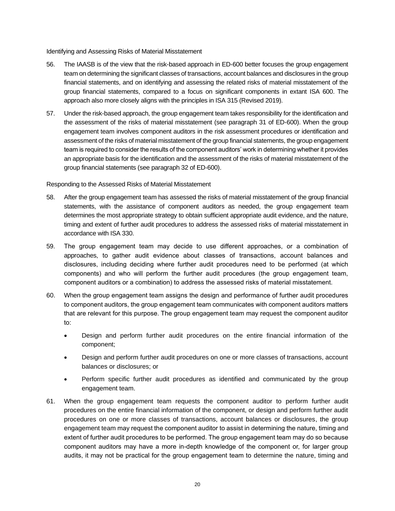Identifying and Assessing Risks of Material Misstatement

- 56. The IAASB is of the view that the risk-based approach in ED-600 better focuses the group engagement team on determining the significant classes of transactions, account balances and disclosures in the group financial statements, and on identifying and assessing the related risks of material misstatement of the group financial statements, compared to a focus on significant components in extant ISA 600. The approach also more closely aligns with the principles in ISA 315 (Revised 2019).
- 57. Under the risk-based approach, the group engagement team takes responsibility for the identification and the assessment of the risks of material misstatement (see paragraph 31 of ED-600). When the group engagement team involves component auditors in the risk assessment procedures or identification and assessment of the risks of material misstatement of the group financial statements, the group engagement team is required to consider the results of the component auditors' work in determining whether it provides an appropriate basis for the identification and the assessment of the risks of material misstatement of the group financial statements (see paragraph 32 of ED-600).

Responding to the Assessed Risks of Material Misstatement

- 58. After the group engagement team has assessed the risks of material misstatement of the group financial statements, with the assistance of component auditors as needed, the group engagement team determines the most appropriate strategy to obtain sufficient appropriate audit evidence, and the nature, timing and extent of further audit procedures to address the assessed risks of material misstatement in accordance with ISA 330.
- 59. The group engagement team may decide to use different approaches, or a combination of approaches, to gather audit evidence about classes of transactions, account balances and disclosures, including deciding where further audit procedures need to be performed (at which components) and who will perform the further audit procedures (the group engagement team, component auditors or a combination) to address the assessed risks of material misstatement.
- 60. When the group engagement team assigns the design and performance of further audit procedures to component auditors, the group engagement team communicates with component auditors matters that are relevant for this purpose. The group engagement team may request the component auditor to:
	- Design and perform further audit procedures on the entire financial information of the component;
	- Design and perform further audit procedures on one or more classes of transactions, account balances or disclosures; or
	- Perform specific further audit procedures as identified and communicated by the group engagement team.
- 61. When the group engagement team requests the component auditor to perform further audit procedures on the entire financial information of the component, or design and perform further audit procedures on one or more classes of transactions, account balances or disclosures, the group engagement team may request the component auditor to assist in determining the nature, timing and extent of further audit procedures to be performed. The group engagement team may do so because component auditors may have a more in-depth knowledge of the component or, for larger group audits, it may not be practical for the group engagement team to determine the nature, timing and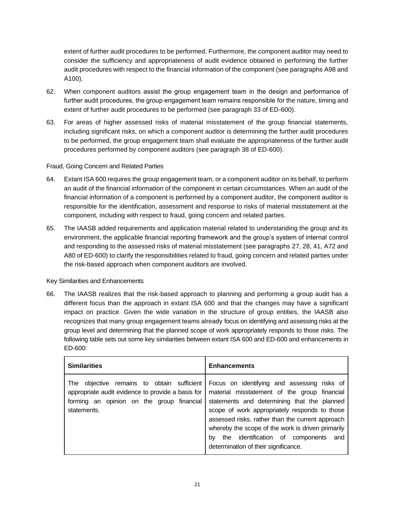extent of further audit procedures to be performed. Furthermore, the component auditor may need to consider the sufficiency and appropriateness of audit evidence obtained in performing the further audit procedures with respect to the financial information of the component (see paragraphs A98 and A100).

- 62. When component auditors assist the group engagement team in the design and performance of further audit procedures, the group engagement team remains responsible for the nature, timing and extent of further audit procedures to be performed (see paragraph 33 of ED-600).
- 63. For areas of higher assessed risks of material misstatement of the group financial statements, including significant risks, on which a component auditor is determining the further audit procedures to be performed, the group engagement team shall evaluate the appropriateness of the further audit procedures performed by component auditors (see paragraph 38 of ED-600).

#### Fraud, Going Concern and Related Parties

- 64. Extant ISA 600 requires the group engagement team, or a component auditor on its behalf, to perform an audit of the financial information of the component in certain circumstances. When an audit of the financial information of a component is performed by a component auditor, the component auditor is responsible for the identification, assessment and response to risks of material misstatement at the component, including with respect to fraud, going concern and related parties.
- 65. The IAASB added requirements and application material related to understanding the group and its environment, the applicable financial reporting framework and the group's system of internal control and responding to the assessed risks of material misstatement (see paragraphs 27, 28, 41, A72 and A80 of ED-600) to clarify the responsibilities related to fraud, going concern and related parties under the risk-based approach when component auditors are involved.

#### Key Similarities and Enhancements

66. The IAASB realizes that the risk-based approach to planning and performing a group audit has a different focus than the approach in extant ISA 600 and that the changes may have a significant impact on practice. Given the wide variation in the structure of group entities, the IAASB also recognizes that many group engagement teams already focus on identifying and assessing risks at the group level and determining that the planned scope of work appropriately responds to those risks. The following table sets out some key similarities between extant ISA 600 and ED-600 and enhancements in ED-600:

| <b>Similarities</b>                                                                                                                                              | <b>Enhancements</b>                                                                                                                                                                                                                                                                                                                                                                           |
|------------------------------------------------------------------------------------------------------------------------------------------------------------------|-----------------------------------------------------------------------------------------------------------------------------------------------------------------------------------------------------------------------------------------------------------------------------------------------------------------------------------------------------------------------------------------------|
| objective remains to obtain sufficient<br>The T<br>appropriate audit evidence to provide a basis for<br>forming an opinion on the group financial<br>statements. | Focus on identifying and assessing risks of<br>material misstatement of the group financial<br>statements and determining that the planned<br>scope of work appropriately responds to those<br>assessed risks, rather than the current approach<br>whereby the scope of the work is driven primarily<br>the identification of components<br>and<br>bv<br>determination of their significance. |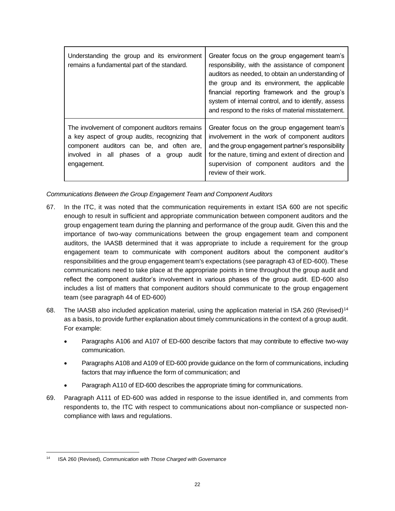| Understanding the group and its environment<br>remains a fundamental part of the standard.                                                                                                                   | Greater focus on the group engagement team's<br>responsibility, with the assistance of component<br>auditors as needed, to obtain an understanding of<br>the group and its environment, the applicable<br>financial reporting framework and the group's<br>system of internal control, and to identify, assess<br>and respond to the risks of material misstatement. |
|--------------------------------------------------------------------------------------------------------------------------------------------------------------------------------------------------------------|----------------------------------------------------------------------------------------------------------------------------------------------------------------------------------------------------------------------------------------------------------------------------------------------------------------------------------------------------------------------|
| The involvement of component auditors remains<br>a key aspect of group audits, recognizing that<br>component auditors can be, and often are,<br>involved in all phases of a<br>group<br>audit<br>engagement. | Greater focus on the group engagement team's<br>involvement in the work of component auditors<br>and the group engagement partner's responsibility<br>for the nature, timing and extent of direction and<br>supervision of component auditors and the<br>review of their work.                                                                                       |

*Communications Between the Group Engagement Team and Component Auditors*

- 67. In the ITC, it was noted that the communication requirements in extant ISA 600 are not specific enough to result in sufficient and appropriate communication between component auditors and the group engagement team during the planning and performance of the group audit. Given this and the importance of two-way communications between the group engagement team and component auditors, the IAASB determined that it was appropriate to include a requirement for the group engagement team to communicate with component auditors about the component auditor's responsibilities and the group engagement team's expectations (see paragraph 43 of ED-600). These communications need to take place at the appropriate points in time throughout the group audit and reflect the component auditor's involvement in various phases of the group audit. ED-600 also includes a list of matters that component auditors should communicate to the group engagement team (see paragraph 44 of ED-600)
- 68. The IAASB also included application material, using the application material in ISA 260 (Revised)<sup>14</sup> as a basis, to provide further explanation about timely communications in the context of a group audit. For example:
	- Paragraphs A106 and A107 of ED-600 describe factors that may contribute to effective two-way communication.
	- Paragraphs A108 and A109 of ED-600 provide guidance on the form of communications, including factors that may influence the form of communication; and
	- Paragraph A110 of ED-600 describes the appropriate timing for communications.
- 69. Paragraph A111 of ED-600 was added in response to the issue identified in, and comments from respondents to, the ITC with respect to communications about non-compliance or suspected noncompliance with laws and regulations.

<sup>14</sup> ISA 260 (Revised), *Communication with Those Charged with Governance*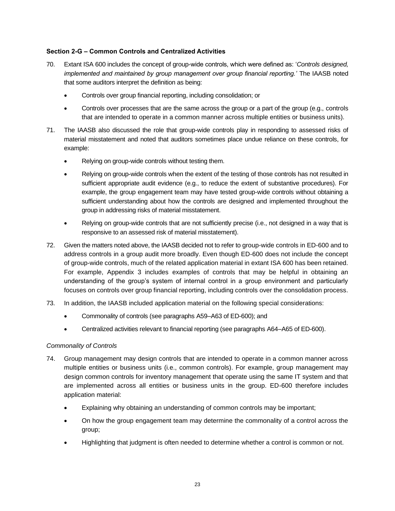## **Section 2-G – Common Controls and Centralized Activities**

- 70. Extant ISA 600 includes the concept of group-wide controls, which were defined as: '*Controls designed, implemented and maintained by group management over group financial reporting.'* The IAASB noted that some auditors interpret the definition as being:
	- Controls over group financial reporting, including consolidation; or
	- Controls over processes that are the same across the group or a part of the group (e.g., controls that are intended to operate in a common manner across multiple entities or business units).
- 71. The IAASB also discussed the role that group-wide controls play in responding to assessed risks of material misstatement and noted that auditors sometimes place undue reliance on these controls, for example:
	- Relying on group-wide controls without testing them.
	- Relying on group-wide controls when the extent of the testing of those controls has not resulted in sufficient appropriate audit evidence (e.g., to reduce the extent of substantive procedures). For example, the group engagement team may have tested group-wide controls without obtaining a sufficient understanding about how the controls are designed and implemented throughout the group in addressing risks of material misstatement.
	- Relying on group-wide controls that are not sufficiently precise (i.e., not designed in a way that is responsive to an assessed risk of material misstatement).
- 72. Given the matters noted above, the IAASB decided not to refer to group-wide controls in ED-600 and to address controls in a group audit more broadly. Even though ED-600 does not include the concept of group-wide controls, much of the related application material in extant ISA 600 has been retained. For example, Appendix 3 includes examples of controls that may be helpful in obtaining an understanding of the group's system of internal control in a group environment and particularly focuses on controls over group financial reporting, including controls over the consolidation process.
- 73. In addition, the IAASB included application material on the following special considerations:
	- Commonality of controls (see paragraphs A59–A63 of ED-600); and
	- Centralized activities relevant to financial reporting (see paragraphs A64–A65 of ED-600).

### *Commonality of Controls*

- 74. Group management may design controls that are intended to operate in a common manner across multiple entities or business units (i.e., common controls). For example, group management may design common controls for inventory management that operate using the same IT system and that are implemented across all entities or business units in the group. ED-600 therefore includes application material:
	- Explaining why obtaining an understanding of common controls may be important;
	- On how the group engagement team may determine the commonality of a control across the group;
	- Highlighting that judgment is often needed to determine whether a control is common or not.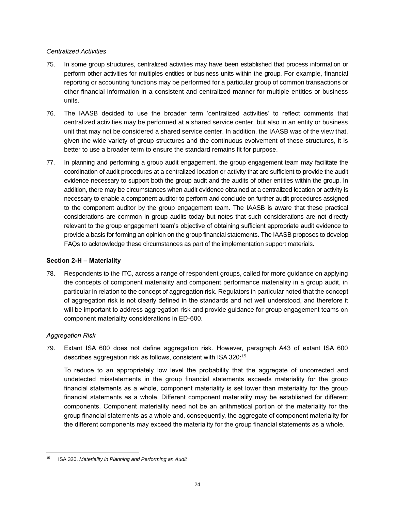### *Centralized Activities*

- 75. In some group structures, centralized activities may have been established that process information or perform other activities for multiples entities or business units within the group. For example, financial reporting or accounting functions may be performed for a particular group of common transactions or other financial information in a consistent and centralized manner for multiple entities or business units.
- 76. The IAASB decided to use the broader term 'centralized activities' to reflect comments that centralized activities may be performed at a shared service center, but also in an entity or business unit that may not be considered a shared service center. In addition, the IAASB was of the view that, given the wide variety of group structures and the continuous evolvement of these structures, it is better to use a broader term to ensure the standard remains fit for purpose.
- 77. In planning and performing a group audit engagement, the group engagement team may facilitate the coordination of audit procedures at a centralized location or activity that are sufficient to provide the audit evidence necessary to support both the group audit and the audits of other entities within the group. In addition, there may be circumstances when audit evidence obtained at a centralized location or activity is necessary to enable a component auditor to perform and conclude on further audit procedures assigned to the component auditor by the group engagement team. The IAASB is aware that these practical considerations are common in group audits today but notes that such considerations are not directly relevant to the group engagement team's objective of obtaining sufficient appropriate audit evidence to provide a basis for forming an opinion on the group financial statements. The IAASB proposes to develop FAQs to acknowledge these circumstances as part of the implementation support materials.

## **Section 2-H – Materiality**

78. Respondents to the ITC, across a range of respondent groups, called for more guidance on applying the concepts of component materiality and component performance materiality in a group audit, in particular in relation to the concept of aggregation risk. Regulators in particular noted that the concept of aggregation risk is not clearly defined in the standards and not well understood, and therefore it will be important to address aggregation risk and provide guidance for group engagement teams on component materiality considerations in ED-600.

## *Aggregation Risk*

79. Extant ISA 600 does not define aggregation risk. However, paragraph A43 of extant ISA 600 describes aggregation risk as follows, consistent with ISA 320:<sup>15</sup>

To reduce to an appropriately low level the probability that the aggregate of uncorrected and undetected misstatements in the group financial statements exceeds materiality for the group financial statements as a whole, component materiality is set lower than materiality for the group financial statements as a whole. Different component materiality may be established for different components. Component materiality need not be an arithmetical portion of the materiality for the group financial statements as a whole and, consequently, the aggregate of component materiality for the different components may exceed the materiality for the group financial statements as a whole.

<sup>15</sup> ISA 320, *Materiality in Planning and Performing an Audit*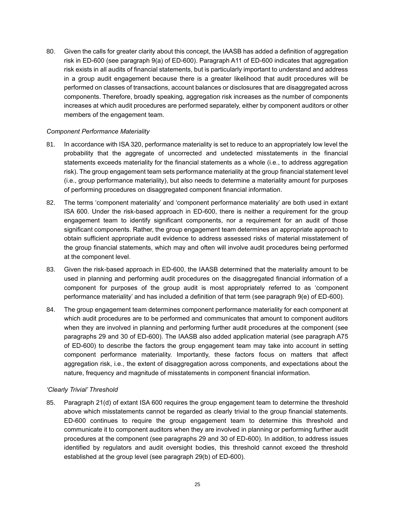80. Given the calls for greater clarity about this concept, the IAASB has added a definition of aggregation risk in ED-600 (see paragraph 9(a) of ED-600). Paragraph A11 of ED-600 indicates that aggregation risk exists in all audits of financial statements, but is particularly important to understand and address in a group audit engagement because there is a greater likelihood that audit procedures will be performed on classes of transactions, account balances or disclosures that are disaggregated across components. Therefore, broadly speaking, aggregation risk increases as the number of components increases at which audit procedures are performed separately, either by component auditors or other members of the engagement team.

#### *Component Performance Materiality*

- 81. In accordance with ISA 320, performance materiality is set to reduce to an appropriately low level the probability that the aggregate of uncorrected and undetected misstatements in the financial statements exceeds materiality for the financial statements as a whole (i.e., to address aggregation risk). The group engagement team sets performance materiality at the group financial statement level (i.e., group performance materiality), but also needs to determine a materiality amount for purposes of performing procedures on disaggregated component financial information.
- 82. The terms 'component materiality' and 'component performance materiality' are both used in extant ISA 600. Under the risk-based approach in ED-600, there is neither a requirement for the group engagement team to identify significant components, nor a requirement for an audit of those significant components. Rather, the group engagement team determines an appropriate approach to obtain sufficient appropriate audit evidence to address assessed risks of material misstatement of the group financial statements, which may and often will involve audit procedures being performed at the component level.
- 83. Given the risk-based approach in ED-600, the IAASB determined that the materiality amount to be used in planning and performing audit procedures on the disaggregated financial information of a component for purposes of the group audit is most appropriately referred to as 'component performance materiality' and has included a definition of that term (see paragraph 9(e) of ED-600).
- 84. The group engagement team determines component performance materiality for each component at which audit procedures are to be performed and communicates that amount to component auditors when they are involved in planning and performing further audit procedures at the component (see paragraphs 29 and 30 of ED-600). The IAASB also added application material (see paragraph A75 of ED-600) to describe the factors the group engagement team may take into account in setting component performance materiality. Importantly, these factors focus on matters that affect aggregation risk, i.e., the extent of disaggregation across components, and expectations about the nature, frequency and magnitude of misstatements in component financial information.

### *'Clearly Trivial' Threshold*

85. Paragraph 21(d) of extant ISA 600 requires the group engagement team to determine the threshold above which misstatements cannot be regarded as clearly trivial to the group financial statements. ED-600 continues to require the group engagement team to determine this threshold and communicate it to component auditors when they are involved in planning or performing further audit procedures at the component (see paragraphs 29 and 30 of ED-600). In addition, to address issues identified by regulators and audit oversight bodies, this threshold cannot exceed the threshold established at the group level (see paragraph 29(b) of ED-600).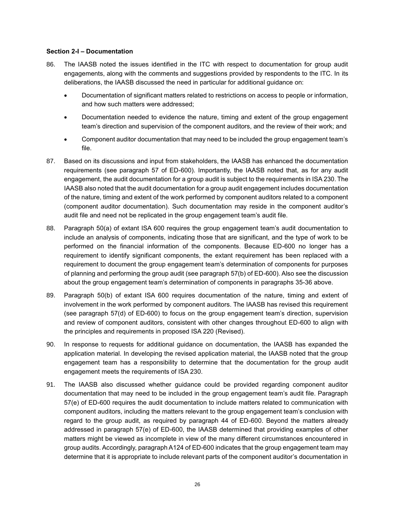#### **Section 2-I – Documentation**

- 86. The IAASB noted the issues identified in the ITC with respect to documentation for group audit engagements, along with the comments and suggestions provided by respondents to the ITC. In its deliberations, the IAASB discussed the need in particular for additional guidance on:
	- Documentation of significant matters related to restrictions on access to people or information, and how such matters were addressed;
	- Documentation needed to evidence the nature, timing and extent of the group engagement team's direction and supervision of the component auditors, and the review of their work; and
	- Component auditor documentation that may need to be included the group engagement team's file.
- 87. Based on its discussions and input from stakeholders, the IAASB has enhanced the documentation requirements (see paragraph 57 of ED-600). Importantly, the IAASB noted that, as for any audit engagement, the audit documentation for a group audit is subject to the requirements in ISA 230. The IAASB also noted that the audit documentation for a group audit engagement includes documentation of the nature, timing and extent of the work performed by component auditors related to a component (component auditor documentation). Such documentation may reside in the component auditor's audit file and need not be replicated in the group engagement team's audit file.
- 88. Paragraph 50(a) of extant ISA 600 requires the group engagement team's audit documentation to include an analysis of components, indicating those that are significant, and the type of work to be performed on the financial information of the components. Because ED-600 no longer has a requirement to identify significant components, the extant requirement has been replaced with a requirement to document the group engagement team's determination of components for purposes of planning and performing the group audit (see paragraph 57(b) of ED-600). Also see the discussion about the group engagement team's determination of components in paragraphs 35-36 above.
- 89. Paragraph 50(b) of extant ISA 600 requires documentation of the nature, timing and extent of involvement in the work performed by component auditors. The IAASB has revised this requirement (see paragraph 57(d) of ED-600) to focus on the group engagement team's direction, supervision and review of component auditors, consistent with other changes throughout ED-600 to align with the principles and requirements in proposed ISA 220 (Revised).
- 90. In response to requests for additional guidance on documentation, the IAASB has expanded the application material. In developing the revised application material, the IAASB noted that the group engagement team has a responsibility to determine that the documentation for the group audit engagement meets the requirements of ISA 230.
- 91. The IAASB also discussed whether guidance could be provided regarding component auditor documentation that may need to be included in the group engagement team's audit file. Paragraph 57(e) of ED-600 requires the audit documentation to include matters related to communication with component auditors, including the matters relevant to the group engagement team's conclusion with regard to the group audit, as required by paragraph 44 of ED-600. Beyond the matters already addressed in paragraph 57(e) of ED-600, the IAASB determined that providing examples of other matters might be viewed as incomplete in view of the many different circumstances encountered in group audits. Accordingly, paragraph A124 of ED-600 indicates that the group engagement team may determine that it is appropriate to include relevant parts of the component auditor's documentation in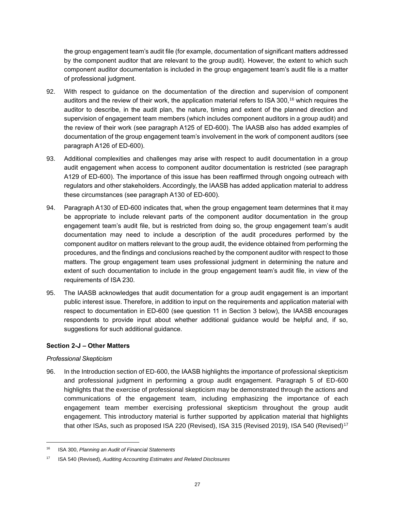the group engagement team's audit file (for example, documentation of significant matters addressed by the component auditor that are relevant to the group audit). However, the extent to which such component auditor documentation is included in the group engagement team's audit file is a matter of professional judgment.

- 92. With respect to guidance on the documentation of the direction and supervision of component auditors and the review of their work, the application material refers to ISA 300,<sup>16</sup> which requires the auditor to describe, in the audit plan, the nature, timing and extent of the planned direction and supervision of engagement team members (which includes component auditors in a group audit) and the review of their work (see paragraph A125 of ED-600). The IAASB also has added examples of documentation of the group engagement team's involvement in the work of component auditors (see paragraph A126 of ED-600).
- 93. Additional complexities and challenges may arise with respect to audit documentation in a group audit engagement when access to component auditor documentation is restricted (see paragraph A129 of ED-600). The importance of this issue has been reaffirmed through ongoing outreach with regulators and other stakeholders. Accordingly, the IAASB has added application material to address these circumstances (see paragraph A130 of ED-600).
- 94. Paragraph A130 of ED-600 indicates that, when the group engagement team determines that it may be appropriate to include relevant parts of the component auditor documentation in the group engagement team's audit file, but is restricted from doing so, the group engagement team's audit documentation may need to include a description of the audit procedures performed by the component auditor on matters relevant to the group audit, the evidence obtained from performing the procedures, and the findings and conclusions reached by the component auditor with respect to those matters. The group engagement team uses professional judgment in determining the nature and extent of such documentation to include in the group engagement team's audit file, in view of the requirements of ISA 230.
- 95. The IAASB acknowledges that audit documentation for a group audit engagement is an important public interest issue. Therefore, in addition to input on the requirements and application material with respect to documentation in ED-600 (see question 11 in Section 3 below), the IAASB encourages respondents to provide input about whether additional guidance would be helpful and, if so, suggestions for such additional guidance.

### **Section 2-J – Other Matters**

#### *Professional Skepticism*

96. In the Introduction section of ED-600, the IAASB highlights the importance of professional skepticism and professional judgment in performing a group audit engagement. Paragraph 5 of ED-600 highlights that the exercise of professional skepticism may be demonstrated through the actions and communications of the engagement team, including emphasizing the importance of each engagement team member exercising professional skepticism throughout the group audit engagement. This introductory material is further supported by application material that highlights that other ISAs, such as proposed ISA 220 (Revised), ISA 315 (Revised 2019), ISA 540 (Revised)<sup>17</sup>

<sup>16</sup> ISA 300, *Planning an Audit of Financial Statements*

<sup>17</sup> ISA 540 (Revised), *Auditing Accounting Estimates and Related Disclosures*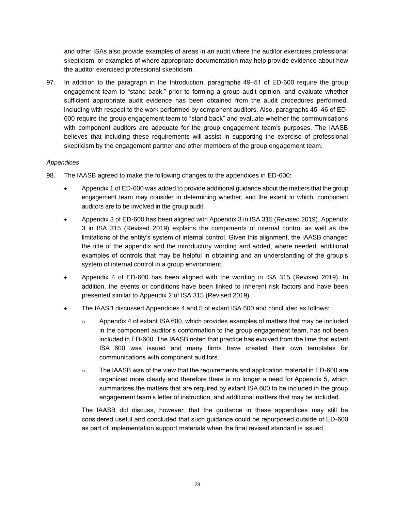and other ISAs also provide examples of areas in an audit where the auditor exercises professional skepticism, or examples of where appropriate documentation may help provide evidence about how the auditor exercised professional skepticism.

97. In addition to the paragraph in the Introduction, paragraphs 49–51 of ED-600 require the group engagement team to "stand back," prior to forming a group audit opinion, and evaluate whether sufficient appropriate audit evidence has been obtained from the audit procedures performed, including with respect to the work performed by component auditors. Also, paragraphs 45–46 of ED-600 require the group engagement team to "stand back" and evaluate whether the communications with component auditors are adequate for the group engagement team's purposes. The IAASB believes that including these requirements will assist in supporting the exercise of professional skepticism by the engagement partner and other members of the group engagement team.

### *Appendices*

- 98. The IAASB agreed to make the following changes to the appendices in ED-600:
	- Appendix 1 of ED-600 was added to provide additional guidance about the matters that the group engagement team may consider in determining whether, and the extent to which, component auditors are to be involved in the group audit.
	- Appendix 3 of ED-600 has been aligned with Appendix 3 in ISA 315 (Revised 2019). Appendix 3 in ISA 315 (Revised 2019) explains the components of internal control as well as the limitations of the entity's system of internal control. Given this alignment, the IAASB changed the title of the appendix and the introductory wording and added, where needed, additional examples of controls that may be helpful in obtaining and an understanding of the group's system of internal control in a group environment.
	- Appendix 4 of ED-600 has been aligned with the wording in ISA 315 (Revised 2019). In addition, the events or conditions have been linked to inherent risk factors and have been presented similar to Appendix 2 of ISA 315 (Revised 2019).
	- The IAASB discussed Appendices 4 and 5 of extant ISA 600 and concluded as follows:
		- $\circ$  Appendix 4 of extant ISA 600, which provides examples of matters that may be included in the component auditor's conformation to the group engagement team, has not been included in ED-600. The IAASB noted that practice has evolved from the time that extant ISA 600 was issued and many firms have created their own templates for communications with component auditors.
		- $\circ$  The IAASB was of the view that the requirements and application material in ED-600 are organized more clearly and therefore there is no longer a need for Appendix 5, which summarizes the matters that are required by extant ISA 600 to be included in the group engagement team's letter of instruction, and additional matters that may be included.

The IAASB did discuss, however, that the guidance in these appendices may still be considered useful and concluded that such guidance could be repurposed outside of ED-600 as part of implementation support materials when the final revised standard is issued.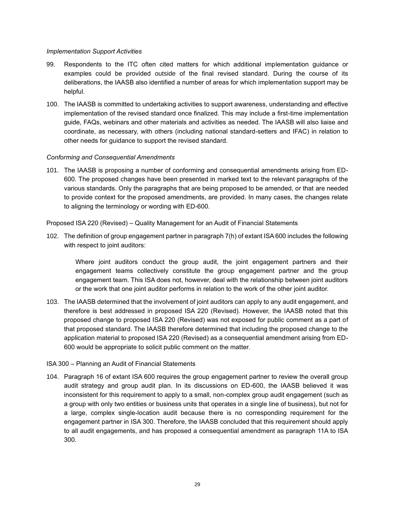#### *Implementation Support Activities*

- 99. Respondents to the ITC often cited matters for which additional implementation guidance or examples could be provided outside of the final revised standard. During the course of its deliberations, the IAASB also identified a number of areas for which implementation support may be helpful.
- 100. The IAASB is committed to undertaking activities to support awareness, understanding and effective implementation of the revised standard once finalized. This may include a first-time implementation guide, FAQs, webinars and other materials and activities as needed. The IAASB will also liaise and coordinate, as necessary, with others (including national standard-setters and IFAC) in relation to other needs for guidance to support the revised standard.

#### *Conforming and Consequential Amendments*

101. The IAASB is proposing a number of conforming and consequential amendments arising from ED-600. The proposed changes have been presented in marked text to the relevant paragraphs of the various standards. Only the paragraphs that are being proposed to be amended, or that are needed to provide context for the proposed amendments, are provided. In many cases, the changes relate to aligning the terminology or wording with ED-600.

Proposed ISA 220 (Revised) – Quality Management for an Audit of Financial Statements

102. The definition of group engagement partner in paragraph 7(h) of extant ISA 600 includes the following with respect to joint auditors:

Where joint auditors conduct the group audit, the joint engagement partners and their engagement teams collectively constitute the group engagement partner and the group engagement team. This ISA does not, however, deal with the relationship between joint auditors or the work that one joint auditor performs in relation to the work of the other joint auditor.

- 103. The IAASB determined that the involvement of joint auditors can apply to any audit engagement, and therefore is best addressed in proposed ISA 220 (Revised). However, the IAASB noted that this proposed change to proposed ISA 220 (Revised) was not exposed for public comment as a part of that proposed standard. The IAASB therefore determined that including the proposed change to the application material to proposed ISA 220 (Revised) as a consequential amendment arising from ED-600 would be appropriate to solicit public comment on the matter.
- ISA 300 Planning an Audit of Financial Statements
- 104. Paragraph 16 of extant ISA 600 requires the group engagement partner to review the overall group audit strategy and group audit plan. In its discussions on ED-600, the IAASB believed it was inconsistent for this requirement to apply to a small, non-complex group audit engagement (such as a group with only two entities or business units that operates in a single line of business), but not for a large, complex single-location audit because there is no corresponding requirement for the engagement partner in ISA 300. Therefore, the IAASB concluded that this requirement should apply to all audit engagements, and has proposed a consequential amendment as paragraph 11A to ISA 300.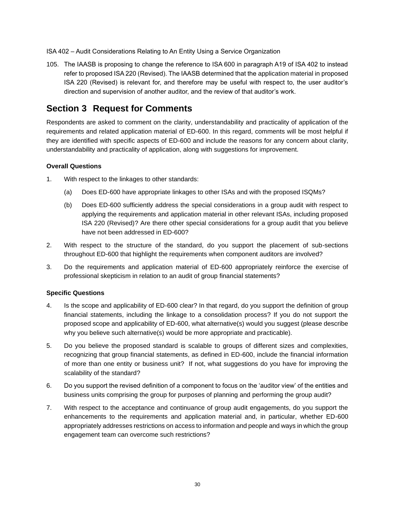ISA 402 – Audit Considerations Relating to An Entity Using a Service Organization

105. The IAASB is proposing to change the reference to ISA 600 in paragraph A19 of ISA 402 to instead refer to proposed ISA 220 (Revised). The IAASB determined that the application material in proposed ISA 220 (Revised) is relevant for, and therefore may be useful with respect to, the user auditor's direction and supervision of another auditor, and the review of that auditor's work.

# **Section 3 Request for Comments**

Respondents are asked to comment on the clarity, understandability and practicality of application of the requirements and related application material of ED-600. In this regard, comments will be most helpful if they are identified with specific aspects of ED-600 and include the reasons for any concern about clarity, understandability and practicality of application, along with suggestions for improvement.

#### **Overall Questions**

- 1. With respect to the linkages to other standards:
	- (a) Does ED-600 have appropriate linkages to other ISAs and with the proposed ISQMs?
	- (b) Does ED-600 sufficiently address the special considerations in a group audit with respect to applying the requirements and application material in other relevant ISAs, including proposed ISA 220 (Revised)? Are there other special considerations for a group audit that you believe have not been addressed in ED-600?
- 2. With respect to the structure of the standard, do you support the placement of sub-sections throughout ED-600 that highlight the requirements when component auditors are involved?
- 3. Do the requirements and application material of ED-600 appropriately reinforce the exercise of professional skepticism in relation to an audit of group financial statements?

### **Specific Questions**

- 4. Is the scope and applicability of ED-600 clear? In that regard, do you support the definition of group financial statements, including the linkage to a consolidation process? If you do not support the proposed scope and applicability of ED-600, what alternative(s) would you suggest (please describe why you believe such alternative(s) would be more appropriate and practicable).
- 5. Do you believe the proposed standard is scalable to groups of different sizes and complexities, recognizing that group financial statements, as defined in ED-600, include the financial information of more than one entity or business unit? If not, what suggestions do you have for improving the scalability of the standard?
- 6. Do you support the revised definition of a component to focus on the 'auditor view' of the entities and business units comprising the group for purposes of planning and performing the group audit?
- 7. With respect to the acceptance and continuance of group audit engagements, do you support the enhancements to the requirements and application material and, in particular, whether ED-600 appropriately addresses restrictions on access to information and people and ways in which the group engagement team can overcome such restrictions?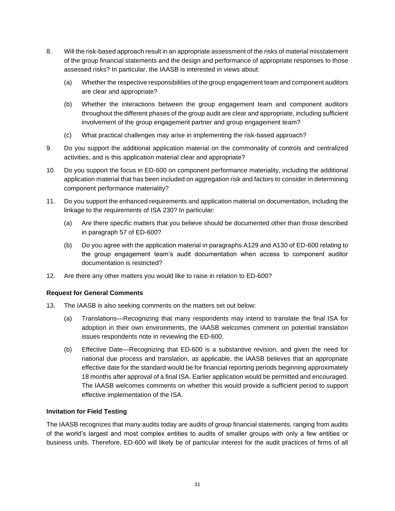- 8. Will the risk-based approach result in an appropriate assessment of the risks of material misstatement of the group financial statements and the design and performance of appropriate responses to those assessed risks? In particular, the IAASB is interested in views about:
	- (a) Whether the respective responsibilities of the group engagement team and component auditors are clear and appropriate?
	- (b) Whether the interactions between the group engagement team and component auditors throughout the different phases of the group audit are clear and appropriate, including sufficient involvement of the group engagement partner and group engagement team?
	- (c) What practical challenges may arise in implementing the risk-based approach?
- 9. Do you support the additional application material on the commonality of controls and centralized activities, and is this application material clear and appropriate?
- 10. Do you support the focus in ED-600 on component performance materiality, including the additional application material that has been included on aggregation risk and factors to consider in determining component performance materiality?
- 11. Do you support the enhanced requirements and application material on documentation, including the linkage to the requirements of ISA 230? In particular:
	- (a) Are there specific matters that you believe should be documented other than those described in paragraph 57 of ED-600?
	- (b) Do you agree with the application material in paragraphs A129 and A130 of ED-600 relating to the group engagement team's audit documentation when access to component auditor documentation is restricted?
- 12. Are there any other matters you would like to raise in relation to ED-600?

## **Request for General Comments**

- 13. The IAASB is also seeking comments on the matters set out below:
	- (a) Translations—Recognizing that many respondents may intend to translate the final ISA for adoption in their own environments, the IAASB welcomes comment on potential translation issues respondents note in reviewing the ED-600.
	- (b) Effective Date—Recognizing that ED-600 is a substantive revision, and given the need for national due process and translation, as applicable, the IAASB believes that an appropriate effective date for the standard would be for financial reporting periods beginning approximately 18 months after approval of a final ISA. Earlier application would be permitted and encouraged. The IAASB welcomes comments on whether this would provide a sufficient period to support effective implementation of the ISA.

### **Invitation for Field Testing**

The IAASB recognizes that many audits today are audits of group financial statements, ranging from audits of the world's largest and most complex entities to audits of smaller groups with only a few entities or business units. Therefore, ED-600 will likely be of particular interest for the audit practices of firms of all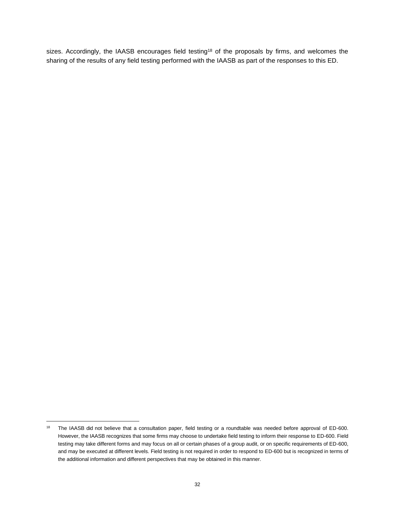sizes. Accordingly, the IAASB encourages field testing<sup>18</sup> of the proposals by firms, and welcomes the sharing of the results of any field testing performed with the IAASB as part of the responses to this ED.

<sup>&</sup>lt;sup>18</sup> The IAASB did not believe that a consultation paper, field testing or a roundtable was needed before approval of ED-600. However, the IAASB recognizes that some firms may choose to undertake field testing to inform their response to ED-600. Field testing may take different forms and may focus on all or certain phases of a group audit, or on specific requirements of ED-600, and may be executed at different levels. Field testing is not required in order to respond to ED-600 but is recognized in terms of the additional information and different perspectives that may be obtained in this manner.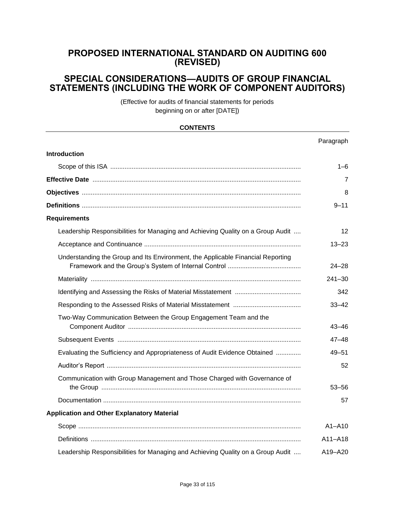# **PROPOSED INTERNATIONAL STANDARD ON AUDITING 600 (REVISED)**

# **SPECIAL CONSIDERATIONS—AUDITS OF GROUP FINANCIAL STATEMENTS (INCLUDING THE WORK OF COMPONENT AUDITORS)**

(Effective for audits of financial statements for periods beginning on or after [DATE])

|  | <b>CONTENTS</b> |
|--|-----------------|
|--|-----------------|

#### Paragraph

| Introduction                                                                    |            |
|---------------------------------------------------------------------------------|------------|
|                                                                                 | 1–6        |
|                                                                                 | 7          |
|                                                                                 | 8          |
|                                                                                 | $9 - 11$   |
| <b>Requirements</b>                                                             |            |
| Leadership Responsibilities for Managing and Achieving Quality on a Group Audit | 12         |
|                                                                                 | $13 - 23$  |
| Understanding the Group and Its Environment, the Applicable Financial Reporting | $24 - 28$  |
|                                                                                 | $241 - 30$ |
|                                                                                 | 342        |
|                                                                                 | $33 - 42$  |
| Two-Way Communication Between the Group Engagement Team and the                 | 43–46      |
|                                                                                 | $47 - 48$  |
| Evaluating the Sufficiency and Appropriateness of Audit Evidence Obtained       | $49 - 51$  |
|                                                                                 | 52         |
| Communication with Group Management and Those Charged with Governance of        | $53 - 56$  |
|                                                                                 | 57         |
| <b>Application and Other Explanatory Material</b>                               |            |
|                                                                                 | $A1 - A10$ |
|                                                                                 | A11-A18    |
| Leadership Responsibilities for Managing and Achieving Quality on a Group Audit | A19-A20    |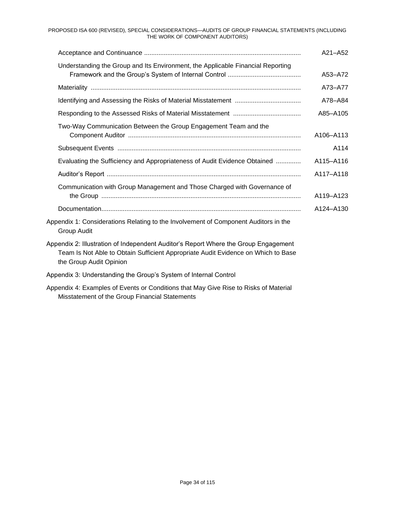PROPOSED ISA 600 (REVISED), SPECIAL CONSIDERATIONS—AUDITS OF GROUP FINANCIAL STATEMENTS (INCLUDING THE WORK OF COMPONENT AUDITORS)

|                                                                                                                                                                                                     | A21-A52   |
|-----------------------------------------------------------------------------------------------------------------------------------------------------------------------------------------------------|-----------|
| Understanding the Group and Its Environment, the Applicable Financial Reporting                                                                                                                     | A53-A72   |
|                                                                                                                                                                                                     | A73-A77   |
|                                                                                                                                                                                                     | A78-A84   |
|                                                                                                                                                                                                     | A85-A105  |
| Two-Way Communication Between the Group Engagement Team and the                                                                                                                                     | A106-A113 |
|                                                                                                                                                                                                     | A114      |
| Evaluating the Sufficiency and Appropriateness of Audit Evidence Obtained                                                                                                                           | A115-A116 |
|                                                                                                                                                                                                     | A117-A118 |
| Communication with Group Management and Those Charged with Governance of                                                                                                                            | A119-A123 |
|                                                                                                                                                                                                     | A124-A130 |
| Appendix 1: Considerations Relating to the Involvement of Component Auditors in the<br>Group Audit                                                                                                  |           |
| Appendix 2: Illustration of Independent Auditor's Report Where the Group Engagement<br>Team Is Not Able to Obtain Sufficient Appropriate Audit Evidence on Which to Base<br>the Group Audit Opinion |           |
|                                                                                                                                                                                                     |           |

- Appendix 3: Understanding the Group's System of Internal Control
- Appendix 4: Examples of Events or Conditions that May Give Rise to Risks of Material Misstatement of the Group Financial Statements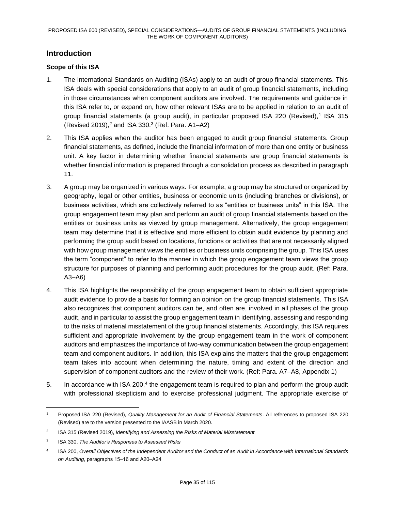## **Introduction**

#### **Scope of this ISA**

- 1. The International Standards on Auditing (ISAs) apply to an audit of group financial statements. This ISA deals with special considerations that apply to an audit of group financial statements, including in those circumstances when component auditors are involved. The requirements and guidance in this ISA refer to, or expand on, how other relevant ISAs are to be applied in relation to an audit of group financial statements (a group audit), in particular proposed ISA 220 (Revised),<sup>1</sup> ISA 315  $(Revised 2019),<sup>2</sup>$  and ISA 330.<sup>3</sup> (Ref: Para. A1–A2)
- 2. This ISA applies when the auditor has been engaged to audit group financial statements. Group financial statements, as defined, include the financial information of more than one entity or business unit. A key factor in determining whether financial statements are group financial statements is whether financial information is prepared through a consolidation process as described in paragraph 11.
- 3. A group may be organized in various ways. For example, a group may be structured or organized by geography, legal or other entities, business or economic units (including branches or divisions), or business activities, which are collectively referred to as "entities or business units" in this ISA. The group engagement team may plan and perform an audit of group financial statements based on the entities or business units as viewed by group management. Alternatively, the group engagement team may determine that it is effective and more efficient to obtain audit evidence by planning and performing the group audit based on locations, functions or activities that are not necessarily aligned with how group management views the entities or business units comprising the group. This ISA uses the term "component" to refer to the manner in which the group engagement team views the group structure for purposes of planning and performing audit procedures for the group audit. (Ref: Para. A3–A6)
- 4. This ISA highlights the responsibility of the group engagement team to obtain sufficient appropriate audit evidence to provide a basis for forming an opinion on the group financial statements. This ISA also recognizes that component auditors can be, and often are, involved in all phases of the group audit, and in particular to assist the group engagement team in identifying, assessing and responding to the risks of material misstatement of the group financial statements. Accordingly, this ISA requires sufficient and appropriate involvement by the group engagement team in the work of component auditors and emphasizes the importance of two-way communication between the group engagement team and component auditors. In addition, this ISA explains the matters that the group engagement team takes into account when determining the nature, timing and extent of the direction and supervision of component auditors and the review of their work. (Ref: Para. A7–A8, Appendix 1)
- 5. In accordance with ISA 200,<sup>4</sup> the engagement team is required to plan and perform the group audit with professional skepticism and to exercise professional judgment. The appropriate exercise of

<sup>1</sup> Proposed ISA 220 (Revised), *Quality Management for an Audit of Financial Statements*. All references to proposed ISA 220 (Revised) are to the version presented to the IAASB in March 2020.

<sup>2</sup> ISA 315 (Revised 2019), *Identifying and Assessing the Risks of Material Misstatement*

<sup>3</sup> ISA 330, *The Auditor's Responses to Assessed Risks*

<sup>4</sup> ISA 200, *Overall Objectives of the Independent Auditor and the Conduct of an Audit in Accordance with International Standards*  on Auditing, paragraphs 15-16 and A20-A24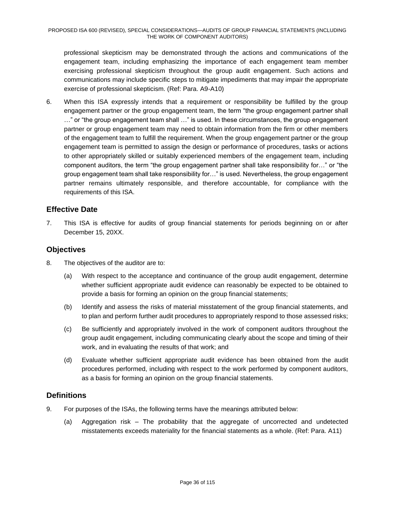professional skepticism may be demonstrated through the actions and communications of the engagement team, including emphasizing the importance of each engagement team member exercising professional skepticism throughout the group audit engagement. Such actions and communications may include specific steps to mitigate impediments that may impair the appropriate exercise of professional skepticism. (Ref: Para. A9-A10)

6. When this ISA expressly intends that a requirement or responsibility be fulfilled by the group engagement partner or the group engagement team, the term "the group engagement partner shall …" or "the group engagement team shall …" is used. In these circumstances, the group engagement partner or group engagement team may need to obtain information from the firm or other members of the engagement team to fulfill the requirement. When the group engagement partner or the group engagement team is permitted to assign the design or performance of procedures, tasks or actions to other appropriately skilled or suitably experienced members of the engagement team, including component auditors, the term "the group engagement partner shall take responsibility for…" or "the group engagement team shall take responsibility for…" is used. Nevertheless, the group engagement partner remains ultimately responsible, and therefore accountable, for compliance with the requirements of this ISA.

## **Effective Date**

7. This ISA is effective for audits of group financial statements for periods beginning on or after December 15, 20XX.

## **Objectives**

- 8. The objectives of the auditor are to:
	- (a) With respect to the acceptance and continuance of the group audit engagement, determine whether sufficient appropriate audit evidence can reasonably be expected to be obtained to provide a basis for forming an opinion on the group financial statements;
	- (b) Identify and assess the risks of material misstatement of the group financial statements, and to plan and perform further audit procedures to appropriately respond to those assessed risks;
	- (c) Be sufficiently and appropriately involved in the work of component auditors throughout the group audit engagement, including communicating clearly about the scope and timing of their work, and in evaluating the results of that work; and
	- (d) Evaluate whether sufficient appropriate audit evidence has been obtained from the audit procedures performed, including with respect to the work performed by component auditors, as a basis for forming an opinion on the group financial statements.

## **Definitions**

- 9. For purposes of the ISAs, the following terms have the meanings attributed below:
	- (a) Aggregation risk The probability that the aggregate of uncorrected and undetected misstatements exceeds materiality for the financial statements as a whole. (Ref: Para. A11)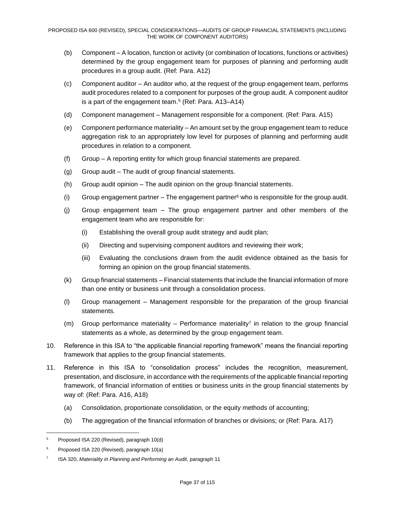- (b) Component A location, function or activity (or combination of locations, functions or activities) determined by the group engagement team for purposes of planning and performing audit procedures in a group audit. (Ref: Para. A12)
- (c) Component auditor An auditor who, at the request of the group engagement team, performs audit procedures related to a component for purposes of the group audit. A component auditor is a part of the engagement team.<sup>5</sup> (Ref: Para. A13–A14)
- (d) Component management Management responsible for a component. (Ref: Para. A15)
- (e) Component performance materiality An amount set by the group engagement team to reduce aggregation risk to an appropriately low level for purposes of planning and performing audit procedures in relation to a component.
- (f) Group A reporting entity for which group financial statements are prepared.
- (g) Group audit The audit of group financial statements.
- (h) Group audit opinion The audit opinion on the group financial statements.
- (i) Group engagement partner The engagement partner<sup>6</sup> who is responsible for the group audit.
- (j) Group engagement team The group engagement partner and other members of the engagement team who are responsible for:
	- (i) Establishing the overall group audit strategy and audit plan;
	- (ii) Directing and supervising component auditors and reviewing their work;
	- (iii) Evaluating the conclusions drawn from the audit evidence obtained as the basis for forming an opinion on the group financial statements.
- (k) Group financial statements Financial statements that include the financial information of more than one entity or business unit through a consolidation process.
- (l) Group management Management responsible for the preparation of the group financial statements.
- (m) Group performance materiality Performance materiality<sup>7</sup> in relation to the group financial statements as a whole, as determined by the group engagement team.
- 10. Reference in this ISA to "the applicable financial reporting framework" means the financial reporting framework that applies to the group financial statements.
- 11. Reference in this ISA to "consolidation process" includes the recognition, measurement, presentation, and disclosure, in accordance with the requirements of the applicable financial reporting framework, of financial information of entities or business units in the group financial statements by way of: (Ref: Para. A16, A18)
	- (a) Consolidation, proportionate consolidation, or the equity methods of accounting;
	- (b) The aggregation of the financial information of branches or divisions; or (Ref: Para. A17)

<sup>5</sup> Proposed ISA 220 (Revised), paragraph 10(d)

 $6$  Proposed ISA 220 (Revised), paragraph 10(a)

<sup>7</sup> ISA 320, *Materiality in Planning and Performing an Audit*, paragraph 11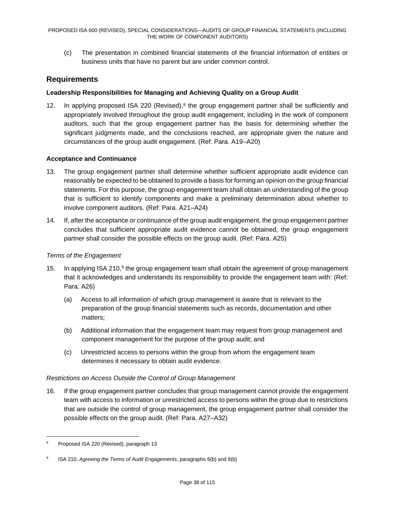(c) The presentation in combined financial statements of the financial information of entities or business units that have no parent but are under common control.

# **Requirements**

## **Leadership Responsibilities for Managing and Achieving Quality on a Group Audit**

12. In applying proposed ISA 220 (Revised), $8$  the group engagement partner shall be sufficiently and appropriately involved throughout the group audit engagement, including in the work of component auditors, such that the group engagement partner has the basis for determining whether the significant judgments made, and the conclusions reached, are appropriate given the nature and circumstances of the group audit engagement. (Ref: Para. A19–A20)

## **Acceptance and Continuance**

- 13. The group engagement partner shall determine whether sufficient appropriate audit evidence can reasonably be expected to be obtained to provide a basis for forming an opinion on the group financial statements. For this purpose, the group engagement team shall obtain an understanding of the group that is sufficient to identify components and make a preliminary determination about whether to involve component auditors. (Ref: Para. A21–A24)
- 14. If, after the acceptance or continuance of the group audit engagement, the group engagement partner concludes that sufficient appropriate audit evidence cannot be obtained, the group engagement partner shall consider the possible effects on the group audit. (Ref: Para. A25)

#### *Terms of the Engagement*

- 15. In applying ISA 210,<sup>9</sup> the group engagement team shall obtain the agreement of group management that it acknowledges and understands its responsibility to provide the engagement team with: (Ref: Para. A26)
	- (a) Access to all information of which group management is aware that is relevant to the preparation of the group financial statements such as records, documentation and other matters;
	- (b) Additional information that the engagement team may request from group management and component management for the purpose of the group audit; and
	- (c) Unrestricted access to persons within the group from whom the engagement team determines it necessary to obtain audit evidence.

#### *Restrictions on Access Outside the Control of Group Management*

16. If the group engagement partner concludes that group management cannot provide the engagement team with access to information or unrestricted access to persons within the group due to restrictions that are outside the control of group management, the group engagement partner shall consider the possible effects on the group audit. (Ref: Para. A27–A32)

<sup>8</sup> Proposed ISA 220 (Revised), paragraph 13

<sup>9</sup> ISA 210, *Agreeing the Terms of Audit Engagements*, paragraphs 6(b) and 8(b)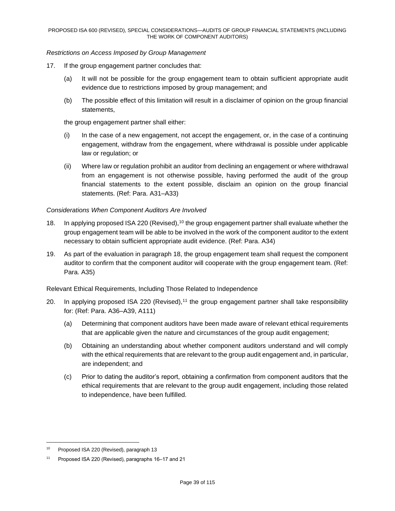#### *Restrictions on Access Imposed by Group Management*

- 17. If the group engagement partner concludes that:
	- (a) It will not be possible for the group engagement team to obtain sufficient appropriate audit evidence due to restrictions imposed by group management; and
	- (b) The possible effect of this limitation will result in a disclaimer of opinion on the group financial statements,

the group engagement partner shall either:

- (i) In the case of a new engagement, not accept the engagement, or, in the case of a continuing engagement, withdraw from the engagement, where withdrawal is possible under applicable law or regulation; or
- (ii) Where law or regulation prohibit an auditor from declining an engagement or where withdrawal from an engagement is not otherwise possible, having performed the audit of the group financial statements to the extent possible, disclaim an opinion on the group financial statements. (Ref: Para. A31–A33)

## *Considerations When Component Auditors Are Involved*

- 18. In applying proposed ISA 220 (Revised),<sup>10</sup> the group engagement partner shall evaluate whether the group engagement team will be able to be involved in the work of the component auditor to the extent necessary to obtain sufficient appropriate audit evidence. (Ref: Para. A34)
- 19. As part of the evaluation in paragraph 18, the group engagement team shall request the component auditor to confirm that the component auditor will cooperate with the group engagement team. (Ref: Para. A35)

Relevant Ethical Requirements, Including Those Related to Independence

- 20. In applying proposed ISA 220 (Revised),<sup>11</sup> the group engagement partner shall take responsibility for: (Ref: Para. A36–A39, A111)
	- (a) Determining that component auditors have been made aware of relevant ethical requirements that are applicable given the nature and circumstances of the group audit engagement;
	- (b) Obtaining an understanding about whether component auditors understand and will comply with the ethical requirements that are relevant to the group audit engagement and, in particular, are independent; and
	- (c) Prior to dating the auditor's report, obtaining a confirmation from component auditors that the ethical requirements that are relevant to the group audit engagement, including those related to independence, have been fulfilled.

<sup>&</sup>lt;sup>10</sup> Proposed ISA 220 (Revised), paragraph 13

<sup>&</sup>lt;sup>11</sup> Proposed ISA 220 (Revised), paragraphs 16–17 and 21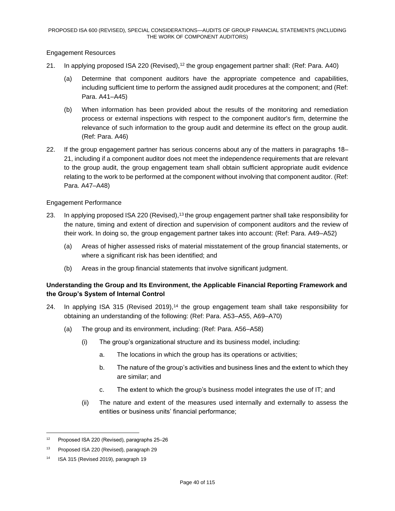#### Engagement Resources

- 21. In applying proposed ISA 220 (Revised),<sup>12</sup> the group engagement partner shall: (Ref: Para. A40)
	- (a) Determine that component auditors have the appropriate competence and capabilities, including sufficient time to perform the assigned audit procedures at the component; and (Ref: Para. A41–A45)
	- (b) When information has been provided about the results of the monitoring and remediation process or external inspections with respect to the component auditor's firm, determine the relevance of such information to the group audit and determine its effect on the group audit. (Ref: Para. A46)
- 22. If the group engagement partner has serious concerns about any of the matters in paragraphs 18– 21, including if a component auditor does not meet the independence requirements that are relevant to the group audit, the group engagement team shall obtain sufficient appropriate audit evidence relating to the work to be performed at the component without involving that component auditor. (Ref: Para. A47–A48)

## Engagement Performance

- 23. In applying proposed ISA 220 (Revised),<sup>13</sup> the group engagement partner shall take responsibility for the nature, timing and extent of direction and supervision of component auditors and the review of their work. In doing so, the group engagement partner takes into account: (Ref: Para. A49–A52)
	- (a) Areas of higher assessed risks of material misstatement of the group financial statements, or where a significant risk has been identified; and
	- (b) Areas in the group financial statements that involve significant judgment.

# **Understanding the Group and Its Environment, the Applicable Financial Reporting Framework and the Group's System of Internal Control**

- 24. In applying ISA 315 (Revised 2019),<sup>14</sup> the group engagement team shall take responsibility for obtaining an understanding of the following: (Ref: Para. A53–A55, A69–A70)
	- (a) The group and its environment, including: (Ref: Para. A56–A58)
		- (i) The group's organizational structure and its business model, including:
			- a. The locations in which the group has its operations or activities;
			- b. The nature of the group's activities and business lines and the extent to which they are similar; and
			- c. The extent to which the group's business model integrates the use of IT; and
		- (ii) The nature and extent of the measures used internally and externally to assess the entities or business units' financial performance;

<sup>&</sup>lt;sup>12</sup> Proposed ISA 220 (Revised), paragraphs 25-26

<sup>13</sup> Proposed ISA 220 (Revised), paragraph 29

<sup>14</sup> ISA 315 (Revised 2019), paragraph 19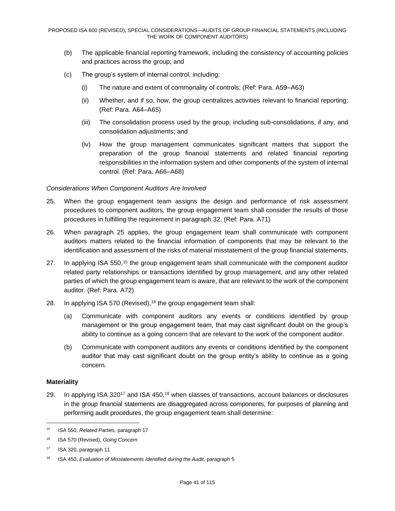- (b) The applicable financial reporting framework, including the consistency of accounting policies and practices across the group; and
- (c) The group's system of internal control, including:
	- (i) The nature and extent of commonality of controls; (Ref: Para. A59–A63)
	- (ii) Whether, and if so, how, the group centralizes activities relevant to financial reporting; (Ref: Para. A64–A65)
	- (iii) The consolidation process used by the group, including sub-consolidations, if any, and consolidation adjustments; and
	- (iv) How the group management communicates significant matters that support the preparation of the group financial statements and related financial reporting responsibilities in the information system and other components of the system of internal control. (Ref: Para. A66–A68)

## *Considerations When Component Auditors Are Involved*

- 25. When the group engagement team assigns the design and performance of risk assessment procedures to component auditors, the group engagement team shall consider the results of those procedures in fulfilling the requirement in paragraph 32. (Ref: Para. A71)
- 26. When paragraph 25 applies, the group engagement team shall communicate with component auditors matters related to the financial information of components that may be relevant to the identification and assessment of the risks of material misstatement of the group financial statements.
- 27. In applying ISA 550,<sup>15</sup> the group engagement team shall communicate with the component auditor related party relationships or transactions identified by group management, and any other related parties of which the group engagement team is aware, that are relevant to the work of the component auditor. (Ref: Para. A72)
- 28. In applying ISA 570 (Revised),<sup>16</sup> the group engagement team shall:
	- (a) Communicate with component auditors any events or conditions identified by group management or the group engagement team, that may cast significant doubt on the group's ability to continue as a going concern that are relevant to the work of the component auditor.
	- (b) Communicate with component auditors any events or conditions identified by the component auditor that may cast significant doubt on the group entity's ability to continue as a going concern.

#### **Materiality**

29. In applying ISA 320<sup>17</sup> and ISA 450,<sup>18</sup> when classes of transactions, account balances or disclosures in the group financial statements are disaggregated across components, for purposes of planning and performing audit procedures, the group engagement team shall determine:

<sup>15</sup> ISA 550, *Related Parties,* paragraph 17

<sup>16</sup> ISA 570 (Revised), *Going Concern*

<sup>17</sup> ISA 320, paragraph 11

<sup>18</sup> ISA 450, *Evaluation of Misstatements Identified during the Audit,* paragraph 5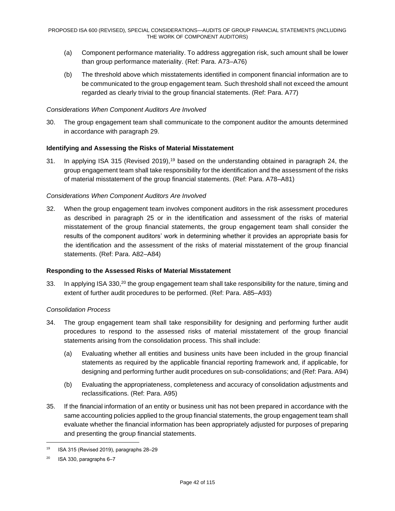- (a) Component performance materiality. To address aggregation risk, such amount shall be lower than group performance materiality. (Ref: Para. A73–A76)
- (b) The threshold above which misstatements identified in component financial information are to be communicated to the group engagement team. Such threshold shall not exceed the amount regarded as clearly trivial to the group financial statements. (Ref: Para. A77)

### *Considerations When Component Auditors Are Involved*

30. The group engagement team shall communicate to the component auditor the amounts determined in accordance with paragraph 29.

## **Identifying and Assessing the Risks of Material Misstatement**

31. In applying ISA 315 (Revised 2019),<sup>19</sup> based on the understanding obtained in paragraph 24, the group engagement team shall take responsibility for the identification and the assessment of the risks of material misstatement of the group financial statements. (Ref: Para. A78–A81)

## *Considerations When Component Auditors Are Involved*

32. When the group engagement team involves component auditors in the risk assessment procedures as described in paragraph 25 or in the identification and assessment of the risks of material misstatement of the group financial statements, the group engagement team shall consider the results of the component auditors' work in determining whether it provides an appropriate basis for the identification and the assessment of the risks of material misstatement of the group financial statements. (Ref: Para. A82–A84)

#### **Responding to the Assessed Risks of Material Misstatement**

33. In applying ISA 330,<sup>20</sup> the group engagement team shall take responsibility for the nature, timing and extent of further audit procedures to be performed. (Ref: Para. A85–A93)

#### *Consolidation Process*

- 34. The group engagement team shall take responsibility for designing and performing further audit procedures to respond to the assessed risks of material misstatement of the group financial statements arising from the consolidation process. This shall include:
	- (a) Evaluating whether all entities and business units have been included in the group financial statements as required by the applicable financial reporting framework and, if applicable, for designing and performing further audit procedures on sub-consolidations; and (Ref: Para. A94)
	- (b) Evaluating the appropriateness, completeness and accuracy of consolidation adjustments and reclassifications. (Ref: Para. A95)
- 35. If the financial information of an entity or business unit has not been prepared in accordance with the same accounting policies applied to the group financial statements, the group engagement team shall evaluate whether the financial information has been appropriately adjusted for purposes of preparing and presenting the group financial statements.

 $19$  ISA 315 (Revised 2019), paragraphs 28-29

 $20$  ISA 330, paragraphs 6-7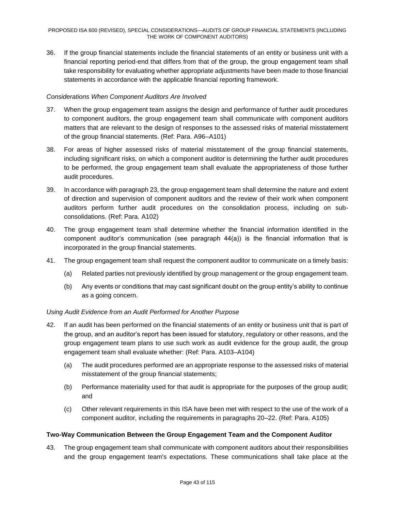36. If the group financial statements include the financial statements of an entity or business unit with a financial reporting period-end that differs from that of the group, the group engagement team shall take responsibility for evaluating whether appropriate adjustments have been made to those financial statements in accordance with the applicable financial reporting framework.

## *Considerations When Component Auditors Are Involved*

- 37. When the group engagement team assigns the design and performance of further audit procedures to component auditors, the group engagement team shall communicate with component auditors matters that are relevant to the design of responses to the assessed risks of material misstatement of the group financial statements. (Ref: Para. A96–A101)
- 38. For areas of higher assessed risks of material misstatement of the group financial statements, including significant risks, on which a component auditor is determining the further audit procedures to be performed, the group engagement team shall evaluate the appropriateness of those further audit procedures.
- 39. In accordance with paragraph 23, the group engagement team shall determine the nature and extent of direction and supervision of component auditors and the review of their work when component auditors perform further audit procedures on the consolidation process, including on subconsolidations. (Ref: Para. A102)
- 40. The group engagement team shall determine whether the financial information identified in the component auditor's communication (see paragraph  $44(a)$ ) is the financial information that is incorporated in the group financial statements.
- 41. The group engagement team shall request the component auditor to communicate on a timely basis:
	- (a) Related parties not previously identified by group management or the group engagement team.
	- (b) Any events or conditions that may cast significant doubt on the group entity's ability to continue as a going concern.

#### *Using Audit Evidence from an Audit Performed for Another Purpose*

- 42. If an audit has been performed on the financial statements of an entity or business unit that is part of the group, and an auditor's report has been issued for statutory, regulatory or other reasons, and the group engagement team plans to use such work as audit evidence for the group audit, the group engagement team shall evaluate whether: (Ref: Para. A103–A104)
	- (a) The audit procedures performed are an appropriate response to the assessed risks of material misstatement of the group financial statements;
	- (b) Performance materiality used for that audit is appropriate for the purposes of the group audit; and
	- (c) Other relevant requirements in this ISA have been met with respect to the use of the work of a component auditor, including the requirements in paragraphs 20–22. (Ref: Para. A105)

#### **Two-Way Communication Between the Group Engagement Team and the Component Auditor**

43. The group engagement team shall communicate with component auditors about their responsibilities and the group engagement team's expectations. These communications shall take place at the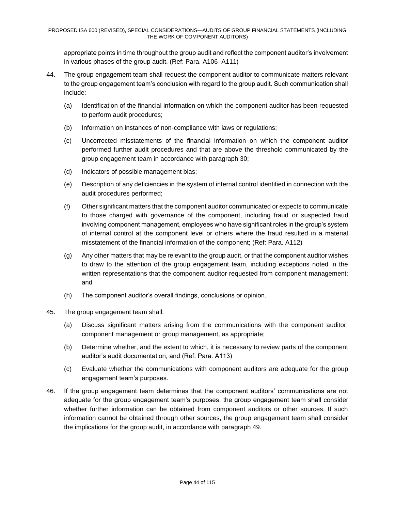appropriate points in time throughout the group audit and reflect the component auditor's involvement in various phases of the group audit. (Ref: Para. A106–A111)

- 44. The group engagement team shall request the component auditor to communicate matters relevant to the group engagement team's conclusion with regard to the group audit. Such communication shall include:
	- (a) Identification of the financial information on which the component auditor has been requested to perform audit procedures;
	- (b) Information on instances of non-compliance with laws or regulations;
	- (c) Uncorrected misstatements of the financial information on which the component auditor performed further audit procedures and that are above the threshold communicated by the group engagement team in accordance with paragraph 30;
	- (d) Indicators of possible management bias;
	- (e) Description of any deficiencies in the system of internal control identified in connection with the audit procedures performed;
	- (f) Other significant matters that the component auditor communicated or expects to communicate to those charged with governance of the component, including fraud or suspected fraud involving component management, employees who have significant roles in the group's system of internal control at the component level or others where the fraud resulted in a material misstatement of the financial information of the component; (Ref: Para. A112)
	- (g) Any other matters that may be relevant to the group audit, or that the component auditor wishes to draw to the attention of the group engagement team, including exceptions noted in the written representations that the component auditor requested from component management; and
	- (h) The component auditor's overall findings, conclusions or opinion.
- 45. The group engagement team shall:
	- (a) Discuss significant matters arising from the communications with the component auditor, component management or group management, as appropriate;
	- (b) Determine whether, and the extent to which, it is necessary to review parts of the component auditor's audit documentation; and (Ref: Para. A113)
	- (c) Evaluate whether the communications with component auditors are adequate for the group engagement team's purposes.
- 46. If the group engagement team determines that the component auditors' communications are not adequate for the group engagement team's purposes, the group engagement team shall consider whether further information can be obtained from component auditors or other sources. If such information cannot be obtained through other sources, the group engagement team shall consider the implications for the group audit, in accordance with paragraph 49.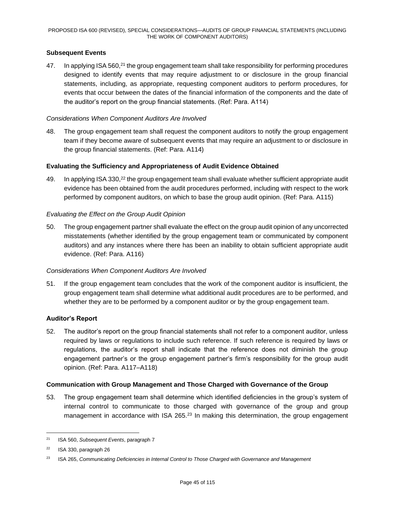## **Subsequent Events**

47. In applying ISA 560,<sup>21</sup> the group engagement team shall take responsibility for performing procedures designed to identify events that may require adjustment to or disclosure in the group financial statements, including, as appropriate, requesting component auditors to perform procedures, for events that occur between the dates of the financial information of the components and the date of the auditor's report on the group financial statements. (Ref: Para. A114)

### *Considerations When Component Auditors Are Involved*

48. The group engagement team shall request the component auditors to notify the group engagement team if they become aware of subsequent events that may require an adjustment to or disclosure in the group financial statements. (Ref: Para. A114)

## **Evaluating the Sufficiency and Appropriateness of Audit Evidence Obtained**

49. In applying ISA 330,<sup>22</sup> the group engagement team shall evaluate whether sufficient appropriate audit evidence has been obtained from the audit procedures performed, including with respect to the work performed by component auditors, on which to base the group audit opinion. (Ref: Para. A115)

## *Evaluating the Effect on the Group Audit Opinion*

50. The group engagement partner shall evaluate the effect on the group audit opinion of any uncorrected misstatements (whether identified by the group engagement team or communicated by component auditors) and any instances where there has been an inability to obtain sufficient appropriate audit evidence. (Ref: Para. A116)

#### *Considerations When Component Auditors Are Involved*

51. If the group engagement team concludes that the work of the component auditor is insufficient, the group engagement team shall determine what additional audit procedures are to be performed, and whether they are to be performed by a component auditor or by the group engagement team.

#### **Auditor's Report**

52. The auditor's report on the group financial statements shall not refer to a component auditor, unless required by laws or regulations to include such reference. If such reference is required by laws or regulations, the auditor's report shall indicate that the reference does not diminish the group engagement partner's or the group engagement partner's firm's responsibility for the group audit opinion. (Ref: Para. A117–A118)

#### **Communication with Group Management and Those Charged with Governance of the Group**

53. The group engagement team shall determine which identified deficiencies in the group's system of internal control to communicate to those charged with governance of the group and group management in accordance with ISA 265.<sup>23</sup> In making this determination, the group engagement

<sup>21</sup> ISA 560, *Subsequent Events*, paragraph 7

 $22$  ISA 330, paragraph 26

<sup>23</sup> ISA 265, *Communicating Deficiencies in Internal Control to Those Charged with Governance and Management*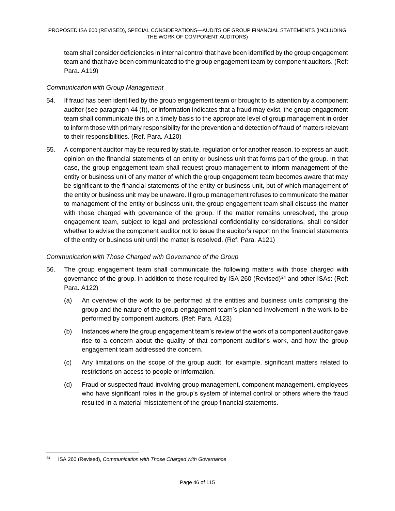team shall consider deficiencies in internal control that have been identified by the group engagement team and that have been communicated to the group engagement team by component auditors. (Ref: Para. A119)

## *Communication with Group Management*

- 54. If fraud has been identified by the group engagement team or brought to its attention by a component auditor (see paragraph 44 (f)), or information indicates that a fraud may exist, the group engagement team shall communicate this on a timely basis to the appropriate level of group management in order to inform those with primary responsibility for the prevention and detection of fraud of matters relevant to their responsibilities. (Ref. Para. A120)
- 55. A component auditor may be required by statute, regulation or for another reason, to express an audit opinion on the financial statements of an entity or business unit that forms part of the group. In that case, the group engagement team shall request group management to inform management of the entity or business unit of any matter of which the group engagement team becomes aware that may be significant to the financial statements of the entity or business unit, but of which management of the entity or business unit may be unaware. If group management refuses to communicate the matter to management of the entity or business unit, the group engagement team shall discuss the matter with those charged with governance of the group. If the matter remains unresolved, the group engagement team, subject to legal and professional confidentiality considerations, shall consider whether to advise the component auditor not to issue the auditor's report on the financial statements of the entity or business unit until the matter is resolved. (Ref: Para. A121)

### *Communication with Those Charged with Governance of the Group*

- 56. The group engagement team shall communicate the following matters with those charged with governance of the group, in addition to those required by ISA 260 (Revised)<sup>24</sup> and other ISAs: (Ref: Para. A122)
	- (a) An overview of the work to be performed at the entities and business units comprising the group and the nature of the group engagement team's planned involvement in the work to be performed by component auditors. (Ref: Para. A123)
	- (b) Instances where the group engagement team's review of the work of a component auditor gave rise to a concern about the quality of that component auditor's work, and how the group engagement team addressed the concern.
	- (c) Any limitations on the scope of the group audit, for example, significant matters related to restrictions on access to people or information.
	- (d) Fraud or suspected fraud involving group management, component management, employees who have significant roles in the group's system of internal control or others where the fraud resulted in a material misstatement of the group financial statements.

<sup>24</sup> ISA 260 (Revised), *Communication with Those Charged with Governance*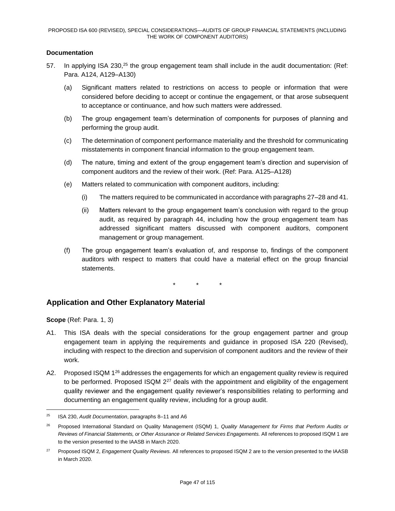### **Documentation**

- 57. In applying ISA 230, $25$  the group engagement team shall include in the audit documentation: (Ref: Para. A124, A129–A130)
	- (a) Significant matters related to restrictions on access to people or information that were considered before deciding to accept or continue the engagement, or that arose subsequent to acceptance or continuance, and how such matters were addressed.
	- (b) The group engagement team's determination of components for purposes of planning and performing the group audit.
	- (c) The determination of component performance materiality and the threshold for communicating misstatements in component financial information to the group engagement team.
	- (d) The nature, timing and extent of the group engagement team's direction and supervision of component auditors and the review of their work. (Ref: Para. A125–A128)
	- (e) Matters related to communication with component auditors, including:
		- (i) The matters required to be communicated in accordance with paragraphs 27–28 and 41.
		- (ii) Matters relevant to the group engagement team's conclusion with regard to the group audit, as required by paragraph 44, including how the group engagement team has addressed significant matters discussed with component auditors, component management or group management.
	- (f) The group engagement team's evaluation of, and response to, findings of the component auditors with respect to matters that could have a material effect on the group financial statements.

\* \* \*

# **Application and Other Explanatory Material**

**Scope** (Ref: Para. 1, 3)

- A1. This ISA deals with the special considerations for the group engagement partner and group engagement team in applying the requirements and guidance in proposed ISA 220 (Revised), including with respect to the direction and supervision of component auditors and the review of their work.
- A2. Proposed ISQM 1<sup>26</sup> addresses the engagements for which an engagement quality review is required to be performed. Proposed ISQM 2<sup>27</sup> deals with the appointment and eligibility of the engagement quality reviewer and the engagement quality reviewer's responsibilities relating to performing and documenting an engagement quality review, including for a group audit.

<sup>25</sup> ISA 230, *Audit Documentation*, paragraphs 8–11 and A6

<sup>26</sup> Proposed International Standard on Quality Management (ISQM) 1, *Quality Management for Firms that Perform Audits or Reviews of Financial Statements, or Other Assurance or Related Services Engagements.* All references to proposed ISQM 1 are to the version presented to the IAASB in March 2020.

<sup>27</sup> Proposed ISQM 2, *Engagement Quality Reviews.* All references to proposed ISQM 2 are to the version presented to the IAASB in March 2020.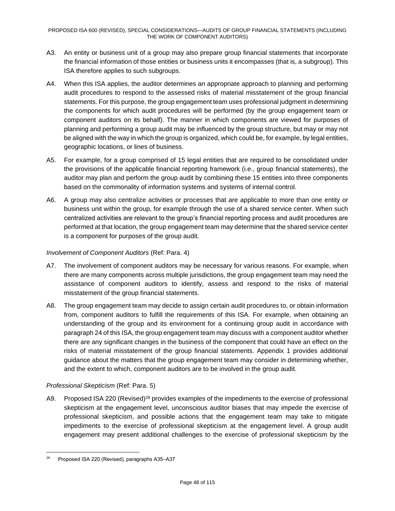- A3. An entity or business unit of a group may also prepare group financial statements that incorporate the financial information of those entities or business units it encompasses (that is, a subgroup). This ISA therefore applies to such subgroups.
- A4. When this ISA applies, the auditor determines an appropriate approach to planning and performing audit procedures to respond to the assessed risks of material misstatement of the group financial statements. For this purpose, the group engagement team uses professional judgment in determining the components for which audit procedures will be performed (by the group engagement team or component auditors on its behalf). The manner in which components are viewed for purposes of planning and performing a group audit may be influenced by the group structure, but may or may not be aligned with the way in which the group is organized, which could be, for example, by legal entities, geographic locations, or lines of business.
- A5. For example, for a group comprised of 15 legal entities that are required to be consolidated under the provisions of the applicable financial reporting framework (i.e., group financial statements), the auditor may plan and perform the group audit by combining these 15 entities into three components based on the commonality of information systems and systems of internal control.
- A6. A group may also centralize activities or processes that are applicable to more than one entity or business unit within the group, for example through the use of a shared service center. When such centralized activities are relevant to the group's financial reporting process and audit procedures are performed at that location, the group engagement team may determine that the shared service center is a component for purposes of the group audit.

## *Involvement of Component Auditors* (Ref: Para. 4)

- A7. The involvement of component auditors may be necessary for various reasons. For example, when there are many components across multiple jurisdictions, the group engagement team may need the assistance of component auditors to identify, assess and respond to the risks of material misstatement of the group financial statements.
- A8. The group engagement team may decide to assign certain audit procedures to, or obtain information from, component auditors to fulfill the requirements of this ISA. For example, when obtaining an understanding of the group and its environment for a continuing group audit in accordance with paragraph 24 of this ISA, the group engagement team may discuss with a component auditor whether there are any significant changes in the business of the component that could have an effect on the risks of material misstatement of the group financial statements. Appendix 1 provides additional guidance about the matters that the group engagement team may consider in determining whether, and the extent to which, component auditors are to be involved in the group audit.

# *Professional Skepticism* (Ref: Para. 5)

A9. Proposed ISA 220 (Revised)<sup>28</sup> provides examples of the impediments to the exercise of professional skepticism at the engagement level, unconscious auditor biases that may impede the exercise of professional skepticism, and possible actions that the engagement team may take to mitigate impediments to the exercise of professional skepticism at the engagement level. A group audit engagement may present additional challenges to the exercise of professional skepticism by the

<sup>&</sup>lt;sup>28</sup> Proposed ISA 220 (Revised), paragraphs A35-A37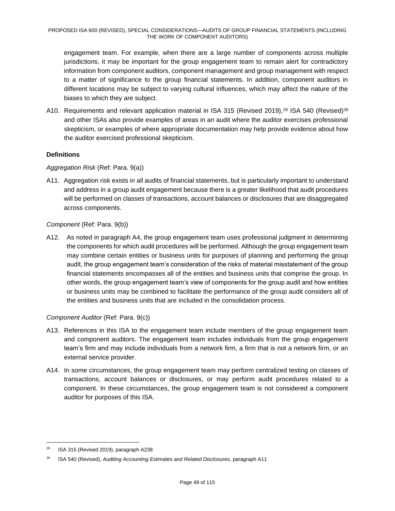engagement team. For example, when there are a large number of components across multiple jurisdictions, it may be important for the group engagement team to remain alert for contradictory information from component auditors, component management and group management with respect to a matter of significance to the group financial statements. In addition, component auditors in different locations may be subject to varying cultural influences, which may affect the nature of the biases to which they are subject.

A10. Requirements and relevant application material in ISA 315 (Revised 2019),<sup>29</sup> ISA 540 (Revised)<sup>30</sup> and other ISAs also provide examples of areas in an audit where the auditor exercises professional skepticism, or examples of where appropriate documentation may help provide evidence about how the auditor exercised professional skepticism.

# **Definitions**

#### *Aggregation Risk* (Ref: Para. 9(a))

A11. Aggregation risk exists in all audits of financial statements, but is particularly important to understand and address in a group audit engagement because there is a greater likelihood that audit procedures will be performed on classes of transactions, account balances or disclosures that are disaggregated across components.

## *Component* (Ref: Para. 9(b))

A12. As noted in paragraph A4, the group engagement team uses professional judgment in determining the components for which audit procedures will be performed. Although the group engagement team may combine certain entities or business units for purposes of planning and performing the group audit, the group engagement team's consideration of the risks of material misstatement of the group financial statements encompasses all of the entities and business units that comprise the group. In other words, the group engagement team's view of components for the group audit and how entities or business units may be combined to facilitate the performance of the group audit considers all of the entities and business units that are included in the consolidation process.

#### *Component Auditor* (Ref: Para. 9(c))

- A13. References in this ISA to the engagement team include members of the group engagement team and component auditors. The engagement team includes individuals from the group engagement team's firm and may include individuals from a network firm, a firm that is not a network firm, or an external service provider.
- A14. In some circumstances, the group engagement team may perform centralized testing on classes of transactions, account balances or disclosures, or may perform audit procedures related to a component. In these circumstances, the group engagement team is not considered a component auditor for purposes of this ISA.

<sup>&</sup>lt;sup>29</sup> ISA 315 (Revised 2019), paragraph A238

<sup>30</sup> ISA 540 (Revised), *Auditing Accounting Estimates and Related Disclosures*, paragraph A11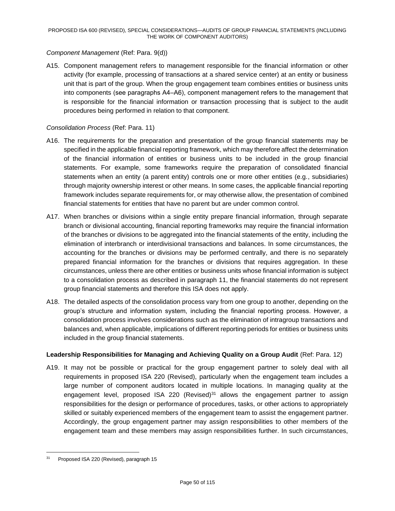### *Component Management* (Ref: Para. 9(d))

A15. Component management refers to management responsible for the financial information or other activity (for example, processing of transactions at a shared service center) at an entity or business unit that is part of the group. When the group engagement team combines entities or business units into components (see paragraphs A4–A6), component management refers to the management that is responsible for the financial information or transaction processing that is subject to the audit procedures being performed in relation to that component.

## *Consolidation Process* (Ref: Para. 11)

- A16. The requirements for the preparation and presentation of the group financial statements may be specified in the applicable financial reporting framework, which may therefore affect the determination of the financial information of entities or business units to be included in the group financial statements. For example, some frameworks require the preparation of consolidated financial statements when an entity (a parent entity) controls one or more other entities (e.g., subsidiaries) through majority ownership interest or other means. In some cases, the applicable financial reporting framework includes separate requirements for, or may otherwise allow, the presentation of combined financial statements for entities that have no parent but are under common control.
- A17. When branches or divisions within a single entity prepare financial information, through separate branch or divisional accounting, financial reporting frameworks may require the financial information of the branches or divisions to be aggregated into the financial statements of the entity, including the elimination of interbranch or interdivisional transactions and balances. In some circumstances, the accounting for the branches or divisions may be performed centrally, and there is no separately prepared financial information for the branches or divisions that requires aggregation. In these circumstances, unless there are other entities or business units whose financial information is subject to a consolidation process as described in paragraph 11, the financial statements do not represent group financial statements and therefore this ISA does not apply.
- A18. The detailed aspects of the consolidation process vary from one group to another, depending on the group's structure and information system, including the financial reporting process. However, a consolidation process involves considerations such as the elimination of intragroup transactions and balances and, when applicable, implications of different reporting periods for entities or business units included in the group financial statements.

# Leadership Responsibilities for Managing and Achieving Quality on a Group Audit (Ref: Para. 12)

A19. It may not be possible or practical for the group engagement partner to solely deal with all requirements in proposed ISA 220 (Revised), particularly when the engagement team includes a large number of component auditors located in multiple locations. In managing quality at the engagement level, proposed ISA 220 (Revised) $31$  allows the engagement partner to assign responsibilities for the design or performance of procedures, tasks, or other actions to appropriately skilled or suitably experienced members of the engagement team to assist the engagement partner. Accordingly, the group engagement partner may assign responsibilities to other members of the engagement team and these members may assign responsibilities further. In such circumstances,

<sup>&</sup>lt;sup>31</sup> Proposed ISA 220 (Revised), paragraph 15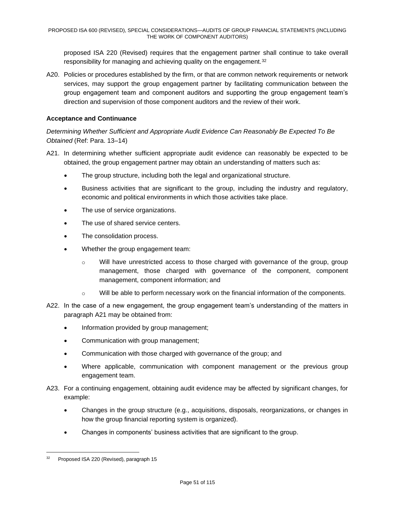proposed ISA 220 (Revised) requires that the engagement partner shall continue to take overall responsibility for managing and achieving quality on the engagement.<sup>32</sup>

A20. Policies or procedures established by the firm, or that are common network requirements or network services, may support the group engagement partner by facilitating communication between the group engagement team and component auditors and supporting the group engagement team's direction and supervision of those component auditors and the review of their work.

## **Acceptance and Continuance**

*Determining Whether Sufficient and Appropriate Audit Evidence Can Reasonably Be Expected To Be Obtained* (Ref: Para. 13–14)

- A21. In determining whether sufficient appropriate audit evidence can reasonably be expected to be obtained, the group engagement partner may obtain an understanding of matters such as:
	- The group structure, including both the legal and organizational structure.
	- Business activities that are significant to the group, including the industry and regulatory, economic and political environments in which those activities take place.
	- The use of service organizations.
	- The use of shared service centers.
	- The consolidation process.
	- Whether the group engagement team:
		- o Will have unrestricted access to those charged with governance of the group, group management, those charged with governance of the component, component management, component information; and
		- $\circ$  Will be able to perform necessary work on the financial information of the components.
- A22. In the case of a new engagement, the group engagement team's understanding of the matters in paragraph A21 may be obtained from:
	- Information provided by group management;
	- Communication with group management;
	- Communication with those charged with governance of the group; and
	- Where applicable, communication with component management or the previous group engagement team.
- A23. For a continuing engagement, obtaining audit evidence may be affected by significant changes, for example:
	- Changes in the group structure (e.g., acquisitions, disposals, reorganizations, or changes in how the group financial reporting system is organized).
	- Changes in components' business activities that are significant to the group.

<sup>&</sup>lt;sup>32</sup> Proposed ISA 220 (Revised), paragraph 15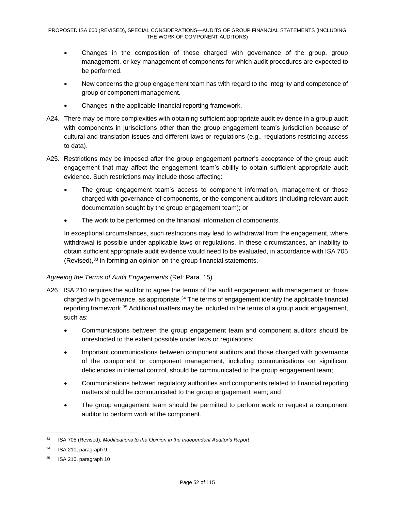- Changes in the composition of those charged with governance of the group, group management, or key management of components for which audit procedures are expected to be performed.
- New concerns the group engagement team has with regard to the integrity and competence of group or component management.
- Changes in the applicable financial reporting framework.
- A24. There may be more complexities with obtaining sufficient appropriate audit evidence in a group audit with components in jurisdictions other than the group engagement team's jurisdiction because of cultural and translation issues and different laws or regulations (e.g., regulations restricting access to data).
- A25. Restrictions may be imposed after the group engagement partner's acceptance of the group audit engagement that may affect the engagement team's ability to obtain sufficient appropriate audit evidence. Such restrictions may include those affecting:
	- The group engagement team's access to component information, management or those charged with governance of components, or the component auditors (including relevant audit documentation sought by the group engagement team); or
	- The work to be performed on the financial information of components.

In exceptional circumstances, such restrictions may lead to withdrawal from the engagement, where withdrawal is possible under applicable laws or regulations. In these circumstances, an inability to obtain sufficient appropriate audit evidence would need to be evaluated, in accordance with ISA 705 (Revised),<sup>33</sup> in forming an opinion on the group financial statements.

# *Agreeing the Terms of Audit Engagements* (Ref: Para. 15)

- A26. ISA 210 requires the auditor to agree the terms of the audit engagement with management or those charged with governance, as appropriate.<sup>34</sup> The terms of engagement identify the applicable financial reporting framework.<sup>35</sup> Additional matters may be included in the terms of a group audit engagement, such as:
	- Communications between the group engagement team and component auditors should be unrestricted to the extent possible under laws or regulations;
	- Important communications between component auditors and those charged with governance of the component or component management, including communications on significant deficiencies in internal control, should be communicated to the group engagement team;
	- Communications between regulatory authorities and components related to financial reporting matters should be communicated to the group engagement team; and
	- The group engagement team should be permitted to perform work or request a component auditor to perform work at the component.

<sup>33</sup> ISA 705 (Revised), *Modifications to the Opinion in the Independent Auditor's Report*

<sup>34</sup> ISA 210, paragraph 9

 $35$  ISA 210, paragraph 10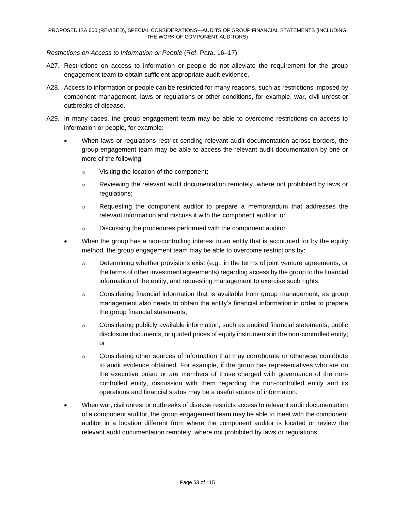#### *Restrictions on Access to Information or People* (Ref: Para. 16–17)

- A27. Restrictions on access to information or people do not alleviate the requirement for the group engagement team to obtain sufficient appropriate audit evidence.
- A28. Access to information or people can be restricted for many reasons, such as restrictions imposed by component management, laws or regulations or other conditions, for example, war, civil unrest or outbreaks of disease.
- A29. In many cases, the group engagement team may be able to overcome restrictions on access to information or people, for example:
	- When laws or regulations restrict sending relevant audit documentation across borders, the group engagement team may be able to access the relevant audit documentation by one or more of the following:
		- o Visiting the location of the component;
		- o Reviewing the relevant audit documentation remotely, where not prohibited by laws or regulations;
		- $\circ$  Requesting the component auditor to prepare a memorandum that addresses the relevant information and discuss it with the component auditor; or
		- o Discussing the procedures performed with the component auditor.
	- When the group has a non-controlling interest in an entity that is accounted for by the equity method, the group engagement team may be able to overcome restrictions by:
		- $\circ$  Determining whether provisions exist (e.g., in the terms of joint venture agreements, or the terms of other investment agreements) regarding access by the group to the financial information of the entity, and requesting management to exercise such rights;
		- o Considering financial information that is available from group management, as group management also needs to obtain the entity's financial information in order to prepare the group financial statements;
		- $\circ$  Considering publicly available information, such as audited financial statements, public disclosure documents, or quoted prices of equity instruments in the non-controlled entity; or
		- $\circ$  Considering other sources of information that may corroborate or otherwise contribute to audit evidence obtained. For example, if the group has representatives who are on the executive board or are members of those charged with governance of the noncontrolled entity, discussion with them regarding the non-controlled entity and its operations and financial status may be a useful source of information.
	- When war, civil unrest or outbreaks of disease restricts access to relevant audit documentation of a component auditor, the group engagement team may be able to meet with the component auditor in a location different from where the component auditor is located or review the relevant audit documentation remotely, where not prohibited by laws or regulations.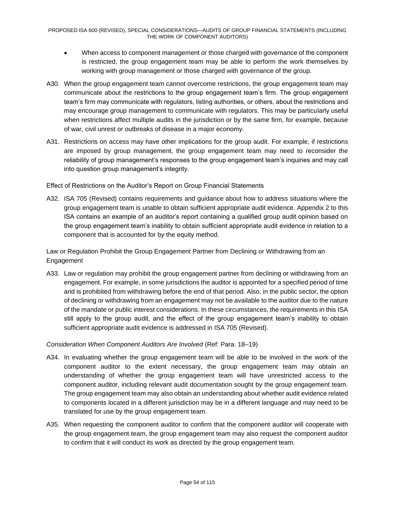- When access to component management or those charged with governance of the component is restricted, the group engagement team may be able to perform the work themselves by working with group management or those charged with governance of the group.
- A30. When the group engagement team cannot overcome restrictions, the group engagement team may communicate about the restrictions to the group engagement team's firm. The group engagement team's firm may communicate with regulators, listing authorities, or others, about the restrictions and may encourage group management to communicate with regulators. This may be particularly useful when restrictions affect multiple audits in the jurisdiction or by the same firm, for example, because of war, civil unrest or outbreaks of disease in a major economy.
- A31. Restrictions on access may have other implications for the group audit. For example, if restrictions are imposed by group management, the group engagement team may need to reconsider the reliability of group management's responses to the group engagement team's inquiries and may call into question group management's integrity.

Effect of Restrictions on the Auditor's Report on Group Financial Statements

A32. ISA 705 (Revised) contains requirements and guidance about how to address situations where the group engagement team is unable to obtain sufficient appropriate audit evidence. Appendix 2 to this ISA contains an example of an auditor's report containing a qualified group audit opinion based on the group engagement team's inability to obtain sufficient appropriate audit evidence in relation to a component that is accounted for by the equity method.

Law or Regulation Prohibit the Group Engagement Partner from Declining or Withdrawing from an Engagement

A33. Law or regulation may prohibit the group engagement partner from declining or withdrawing from an engagement. For example, in some jurisdictions the auditor is appointed for a specified period of time and is prohibited from withdrawing before the end of that period. Also, in the public sector, the option of declining or withdrawing from an engagement may not be available to the auditor due to the nature of the mandate or public interest considerations. In these circumstances, the requirements in this ISA still apply to the group audit, and the effect of the group engagement team's inability to obtain sufficient appropriate audit evidence is addressed in ISA 705 (Revised).

*Consideration When Component Auditors Are Involved* (Ref: Para. 18–19)

- A34. In evaluating whether the group engagement team will be able to be involved in the work of the component auditor to the extent necessary, the group engagement team may obtain an understanding of whether the group engagement team will have unrestricted access to the component auditor, including relevant audit documentation sought by the group engagement team. The group engagement team may also obtain an understanding about whether audit evidence related to components located in a different jurisdiction may be in a different language and may need to be translated for use by the group engagement team.
- A35. When requesting the component auditor to confirm that the component auditor will cooperate with the group engagement team, the group engagement team may also request the component auditor to confirm that it will conduct its work as directed by the group engagement team.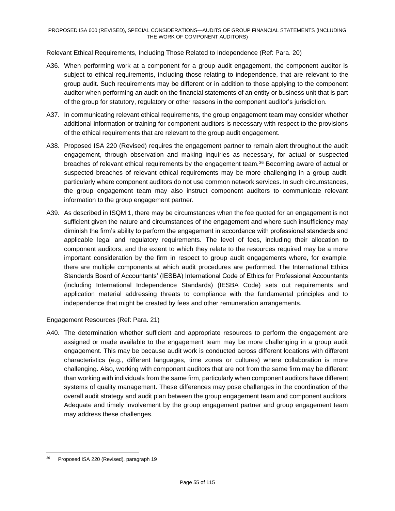Relevant Ethical Requirements, Including Those Related to Independence (Ref: Para. 20)

- A36. When performing work at a component for a group audit engagement, the component auditor is subject to ethical requirements, including those relating to independence, that are relevant to the group audit. Such requirements may be different or in addition to those applying to the component auditor when performing an audit on the financial statements of an entity or business unit that is part of the group for statutory, regulatory or other reasons in the component auditor's jurisdiction.
- A37. In communicating relevant ethical requirements, the group engagement team may consider whether additional information or training for component auditors is necessary with respect to the provisions of the ethical requirements that are relevant to the group audit engagement.
- A38. Proposed ISA 220 (Revised) requires the engagement partner to remain alert throughout the audit engagement, through observation and making inquiries as necessary, for actual or suspected breaches of relevant ethical requirements by the engagement team.<sup>36</sup> Becoming aware of actual or suspected breaches of relevant ethical requirements may be more challenging in a group audit, particularly where component auditors do not use common network services. In such circumstances, the group engagement team may also instruct component auditors to communicate relevant information to the group engagement partner.
- A39. As described in ISQM 1, there may be circumstances when the fee quoted for an engagement is not sufficient given the nature and circumstances of the engagement and where such insufficiency may diminish the firm's ability to perform the engagement in accordance with professional standards and applicable legal and regulatory requirements. The level of fees, including their allocation to component auditors, and the extent to which they relate to the resources required may be a more important consideration by the firm in respect to group audit engagements where, for example, there are multiple components at which audit procedures are performed. The International Ethics Standards Board of Accountants' (IESBA) International Code of Ethics for Professional Accountants (including International Independence Standards) (IESBA Code) sets out requirements and application material addressing threats to compliance with the fundamental principles and to independence that might be created by fees and other remuneration arrangements.

Engagement Resources (Ref: Para. 21)

A40. The determination whether sufficient and appropriate resources to perform the engagement are assigned or made available to the engagement team may be more challenging in a group audit engagement. This may be because audit work is conducted across different locations with different characteristics (e.g., different languages, time zones or cultures) where collaboration is more challenging. Also, working with component auditors that are not from the same firm may be different than working with individuals from the same firm, particularly when component auditors have different systems of quality management. These differences may pose challenges in the coordination of the overall audit strategy and audit plan between the group engagement team and component auditors. Adequate and timely involvement by the group engagement partner and group engagement team may address these challenges.

Proposed ISA 220 (Revised), paragraph 19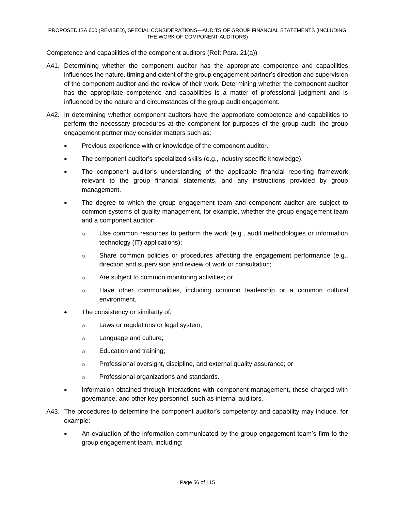Competence and capabilities of the component auditors (Ref: Para. 21(a))

- A41. Determining whether the component auditor has the appropriate competence and capabilities influences the nature, timing and extent of the group engagement partner's direction and supervision of the component auditor and the review of their work. Determining whether the component auditor has the appropriate competence and capabilities is a matter of professional judgment and is influenced by the nature and circumstances of the group audit engagement.
- A42. In determining whether component auditors have the appropriate competence and capabilities to perform the necessary procedures at the component for purposes of the group audit, the group engagement partner may consider matters such as:
	- Previous experience with or knowledge of the component auditor.
	- The component auditor's specialized skills (e.g., industry specific knowledge).
	- The component auditor's understanding of the applicable financial reporting framework relevant to the group financial statements, and any instructions provided by group management.
	- The degree to which the group engagement team and component auditor are subject to common systems of quality management, for example, whether the group engagement team and a component auditor:
		- o Use common resources to perform the work (e.g., audit methodologies or information technology (IT) applications);
		- o Share common policies or procedures affecting the engagement performance (e.g., direction and supervision and review of work or consultation;
		- o Are subject to common monitoring activities; or
		- o Have other commonalities, including common leadership or a common cultural environment.
	- The consistency or similarity of:
		- o Laws or regulations or legal system;
		- o Language and culture;
		- o Education and training;
		- o Professional oversight, discipline, and external quality assurance; or
		- o Professional organizations and standards.
	- Information obtained through interactions with component management, those charged with governance, and other key personnel, such as internal auditors.
- A43. The procedures to determine the component auditor's competency and capability may include, for example:
	- An evaluation of the information communicated by the group engagement team's firm to the group engagement team, including: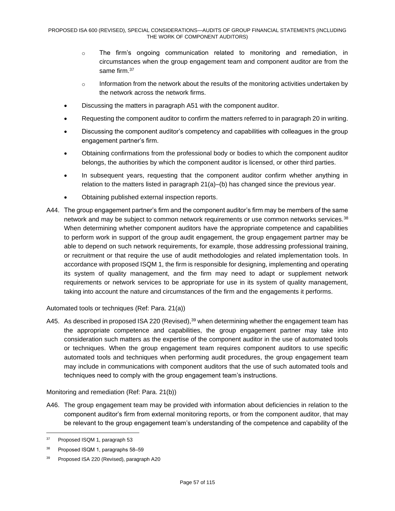- o The firm's ongoing communication related to monitoring and remediation, in circumstances when the group engagement team and component auditor are from the same firm.<sup>37</sup>
- $\circ$  Information from the network about the results of the monitoring activities undertaken by the network across the network firms.
- Discussing the matters in paragraph A51 with the component auditor.
- Requesting the component auditor to confirm the matters referred to in paragraph 20 in writing.
- Discussing the component auditor's competency and capabilities with colleagues in the group engagement partner's firm.
- Obtaining confirmations from the professional body or bodies to which the component auditor belongs, the authorities by which the component auditor is licensed, or other third parties.
- In subsequent years, requesting that the component auditor confirm whether anything in relation to the matters listed in paragraph 21(a)–(b) has changed since the previous year.
- Obtaining published external inspection reports.
- A44. The group engagement partner's firm and the component auditor's firm may be members of the same network and may be subject to common network requirements or use common networks services.<sup>38</sup> When determining whether component auditors have the appropriate competence and capabilities to perform work in support of the group audit engagement, the group engagement partner may be able to depend on such network requirements, for example, those addressing professional training, or recruitment or that require the use of audit methodologies and related implementation tools. In accordance with proposed ISQM 1, the firm is responsible for designing, implementing and operating its system of quality management, and the firm may need to adapt or supplement network requirements or network services to be appropriate for use in its system of quality management, taking into account the nature and circumstances of the firm and the engagements it performs.

Automated tools or techniques (Ref: Para. 21(a))

A45. As described in proposed ISA 220 (Revised),<sup>39</sup> when determining whether the engagement team has the appropriate competence and capabilities, the group engagement partner may take into consideration such matters as the expertise of the component auditor in the use of automated tools or techniques. When the group engagement team requires component auditors to use specific automated tools and techniques when performing audit procedures, the group engagement team may include in communications with component auditors that the use of such automated tools and techniques need to comply with the group engagement team's instructions.

Monitoring and remediation (Ref: Para. 21(b))

A46. The group engagement team may be provided with information about deficiencies in relation to the component auditor's firm from external monitoring reports, or from the component auditor, that may be relevant to the group engagement team's understanding of the competence and capability of the

<sup>37</sup> Proposed ISQM 1, paragraph 53

<sup>&</sup>lt;sup>38</sup> Proposed ISQM 1, paragraphs 58–59

<sup>&</sup>lt;sup>39</sup> Proposed ISA 220 (Revised), paragraph A20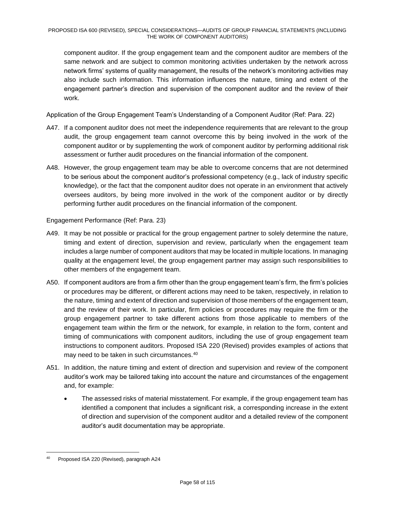component auditor. If the group engagement team and the component auditor are members of the same network and are subject to common monitoring activities undertaken by the network across network firms' systems of quality management, the results of the network's monitoring activities may also include such information. This information influences the nature, timing and extent of the engagement partner's direction and supervision of the component auditor and the review of their work.

Application of the Group Engagement Team's Understanding of a Component Auditor (Ref: Para. 22)

- A47. If a component auditor does not meet the independence requirements that are relevant to the group audit, the group engagement team cannot overcome this by being involved in the work of the component auditor or by supplementing the work of component auditor by performing additional risk assessment or further audit procedures on the financial information of the component.
- A48. However, the group engagement team may be able to overcome concerns that are not determined to be serious about the component auditor's professional competency (e.g., lack of industry specific knowledge), or the fact that the component auditor does not operate in an environment that actively oversees auditors, by being more involved in the work of the component auditor or by directly performing further audit procedures on the financial information of the component.

Engagement Performance (Ref: Para. 23)

- A49. It may be not possible or practical for the group engagement partner to solely determine the nature, timing and extent of direction, supervision and review, particularly when the engagement team includes a large number of component auditors that may be located in multiple locations. In managing quality at the engagement level, the group engagement partner may assign such responsibilities to other members of the engagement team.
- A50. If component auditors are from a firm other than the group engagement team's firm, the firm's policies or procedures may be different, or different actions may need to be taken, respectively, in relation to the nature, timing and extent of direction and supervision of those members of the engagement team, and the review of their work. In particular, firm policies or procedures may require the firm or the group engagement partner to take different actions from those applicable to members of the engagement team within the firm or the network, for example, in relation to the form, content and timing of communications with component auditors, including the use of group engagement team instructions to component auditors. Proposed ISA 220 (Revised) provides examples of actions that may need to be taken in such circumstances.<sup>40</sup>
- A51. In addition, the nature timing and extent of direction and supervision and review of the component auditor's work may be tailored taking into account the nature and circumstances of the engagement and, for example:
	- The assessed risks of material misstatement. For example, if the group engagement team has identified a component that includes a significant risk, a corresponding increase in the extent of direction and supervision of the component auditor and a detailed review of the component auditor's audit documentation may be appropriate.

<sup>40</sup> Proposed ISA 220 (Revised), paragraph A24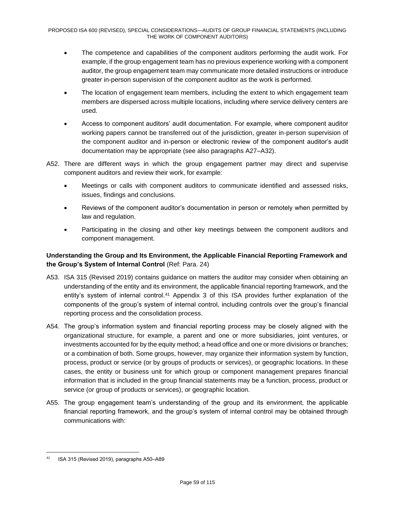- The competence and capabilities of the component auditors performing the audit work. For example, if the group engagement team has no previous experience working with a component auditor, the group engagement team may communicate more detailed instructions or introduce greater in-person supervision of the component auditor as the work is performed.
- The location of engagement team members, including the extent to which engagement team members are dispersed across multiple locations, including where service delivery centers are used.
- Access to component auditors' audit documentation. For example, where component auditor working papers cannot be transferred out of the jurisdiction, greater in-person supervision of the component auditor and in-person or electronic review of the component auditor's audit documentation may be appropriate (see also paragraphs A27–A32).
- A52. There are different ways in which the group engagement partner may direct and supervise component auditors and review their work, for example:
	- Meetings or calls with component auditors to communicate identified and assessed risks, issues, findings and conclusions.
	- Reviews of the component auditor's documentation in person or remotely when permitted by law and regulation.
	- Participating in the closing and other key meetings between the component auditors and component management.

# **Understanding the Group and Its Environment, the Applicable Financial Reporting Framework and the Group's System of Internal Control** (Ref: Para. 24)

- A53. ISA 315 (Revised 2019) contains guidance on matters the auditor may consider when obtaining an understanding of the entity and its environment, the applicable financial reporting framework, and the entity's system of internal control.<sup>41</sup> Appendix 3 of this ISA provides further explanation of the components of the group's system of internal control, including controls over the group's financial reporting process and the consolidation process.
- A54. The group's information system and financial reporting process may be closely aligned with the organizational structure, for example, a parent and one or more subsidiaries, joint ventures, or investments accounted for by the equity method; a head office and one or more divisions or branches; or a combination of both. Some groups, however, may organize their information system by function, process, product or service (or by groups of products or services), or geographic locations. In these cases, the entity or business unit for which group or component management prepares financial information that is included in the group financial statements may be a function, process, product or service (or group of products or services), or geographic location.
- A55. The group engagement team's understanding of the group and its environment, the applicable financial reporting framework, and the group's system of internal control may be obtained through communications with:

<sup>&</sup>lt;sup>41</sup> ISA 315 (Revised 2019), paragraphs A50-A89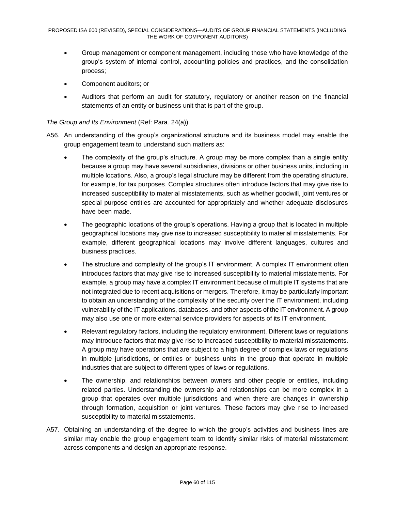- Group management or component management, including those who have knowledge of the group's system of internal control, accounting policies and practices, and the consolidation process;
- Component auditors; or
- Auditors that perform an audit for statutory, regulatory or another reason on the financial statements of an entity or business unit that is part of the group.

# *The Group and Its Environment* (Ref: Para. 24(a))

- A56. An understanding of the group's organizational structure and its business model may enable the group engagement team to understand such matters as:
	- The complexity of the group's structure. A group may be more complex than a single entity because a group may have several subsidiaries, divisions or other business units, including in multiple locations. Also, a group's legal structure may be different from the operating structure, for example, for tax purposes. Complex structures often introduce factors that may give rise to increased susceptibility to material misstatements, such as whether goodwill, joint ventures or special purpose entities are accounted for appropriately and whether adequate disclosures have been made.
	- The geographic locations of the group's operations. Having a group that is located in multiple geographical locations may give rise to increased susceptibility to material misstatements. For example, different geographical locations may involve different languages, cultures and business practices.
	- The structure and complexity of the group's IT environment. A complex IT environment often introduces factors that may give rise to increased susceptibility to material misstatements. For example, a group may have a complex IT environment because of multiple IT systems that are not integrated due to recent acquisitions or mergers. Therefore, it may be particularly important to obtain an understanding of the complexity of the security over the IT environment, including vulnerability of the IT applications, databases, and other aspects of the IT environment. A group may also use one or more external service providers for aspects of its IT environment.
	- Relevant regulatory factors, including the regulatory environment. Different laws or regulations may introduce factors that may give rise to increased susceptibility to material misstatements. A group may have operations that are subject to a high degree of complex laws or regulations in multiple jurisdictions, or entities or business units in the group that operate in multiple industries that are subject to different types of laws or regulations.
	- The ownership, and relationships between owners and other people or entities, including related parties. Understanding the ownership and relationships can be more complex in a group that operates over multiple jurisdictions and when there are changes in ownership through formation, acquisition or joint ventures. These factors may give rise to increased susceptibility to material misstatements.
- A57. Obtaining an understanding of the degree to which the group's activities and business lines are similar may enable the group engagement team to identify similar risks of material misstatement across components and design an appropriate response.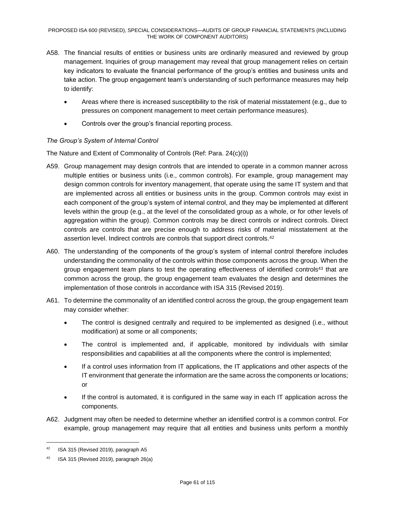- A58. The financial results of entities or business units are ordinarily measured and reviewed by group management. Inquiries of group management may reveal that group management relies on certain key indicators to evaluate the financial performance of the group's entities and business units and take action. The group engagement team's understanding of such performance measures may help to identify:
	- Areas where there is increased susceptibility to the risk of material misstatement (e.g., due to pressures on component management to meet certain performance measures).
	- Controls over the group's financial reporting process.

# *The Group's System of Internal Control*

The Nature and Extent of Commonality of Controls (Ref: Para. 24(c)(i))

- A59. Group management may design controls that are intended to operate in a common manner across multiple entities or business units (i.e., common controls). For example, group management may design common controls for inventory management, that operate using the same IT system and that are implemented across all entities or business units in the group. Common controls may exist in each component of the group's system of internal control, and they may be implemented at different levels within the group (e.g., at the level of the consolidated group as a whole, or for other levels of aggregation within the group). Common controls may be direct controls or indirect controls. Direct controls are controls that are precise enough to address risks of material misstatement at the assertion level. Indirect controls are controls that support direct controls.<sup>42</sup>
- A60. The understanding of the components of the group's system of internal control therefore includes understanding the commonality of the controls within those components across the group. When the group engagement team plans to test the operating effectiveness of identified controls<sup>43</sup> that are common across the group, the group engagement team evaluates the design and determines the implementation of those controls in accordance with ISA 315 (Revised 2019).
- A61. To determine the commonality of an identified control across the group, the group engagement team may consider whether:
	- The control is designed centrally and required to be implemented as designed (i.e., without modification) at some or all components;
	- The control is implemented and, if applicable, monitored by individuals with similar responsibilities and capabilities at all the components where the control is implemented;
	- If a control uses information from IT applications, the IT applications and other aspects of the IT environment that generate the information are the same across the components or locations; or
	- If the control is automated, it is configured in the same way in each IT application across the components.
- A62. Judgment may often be needed to determine whether an identified control is a common control. For example, group management may require that all entities and business units perform a monthly

<sup>42</sup> ISA 315 (Revised 2019), paragraph A5

<sup>43</sup> ISA 315 (Revised 2019), paragraph  $26(a)$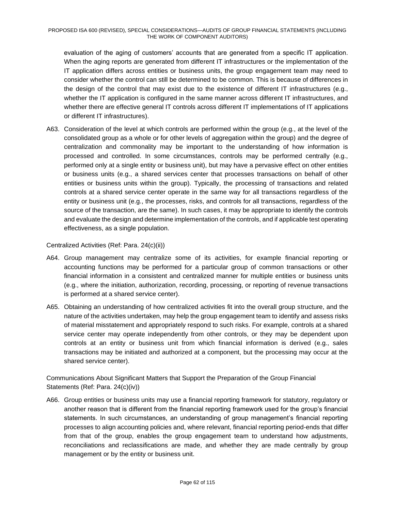evaluation of the aging of customers' accounts that are generated from a specific IT application. When the aging reports are generated from different IT infrastructures or the implementation of the IT application differs across entities or business units, the group engagement team may need to consider whether the control can still be determined to be common. This is because of differences in the design of the control that may exist due to the existence of different IT infrastructures (e.g., whether the IT application is configured in the same manner across different IT infrastructures, and whether there are effective general IT controls across different IT implementations of IT applications or different IT infrastructures).

A63. Consideration of the level at which controls are performed within the group (e.g., at the level of the consolidated group as a whole or for other levels of aggregation within the group) and the degree of centralization and commonality may be important to the understanding of how information is processed and controlled. In some circumstances, controls may be performed centrally (e.g., performed only at a single entity or business unit), but may have a pervasive effect on other entities or business units (e.g., a shared services center that processes transactions on behalf of other entities or business units within the group). Typically, the processing of transactions and related controls at a shared service center operate in the same way for all transactions regardless of the entity or business unit (e.g., the processes, risks, and controls for all transactions, regardless of the source of the transaction, are the same). In such cases, it may be appropriate to identify the controls and evaluate the design and determine implementation of the controls, and if applicable test operating effectiveness, as a single population.

Centralized Activities (Ref: Para. 24(c)(ii))

- A64. Group management may centralize some of its activities, for example financial reporting or accounting functions may be performed for a particular group of common transactions or other financial information in a consistent and centralized manner for multiple entities or business units (e.g., where the initiation, authorization, recording, processing, or reporting of revenue transactions is performed at a shared service center).
- A65. Obtaining an understanding of how centralized activities fit into the overall group structure, and the nature of the activities undertaken, may help the group engagement team to identify and assess risks of material misstatement and appropriately respond to such risks. For example, controls at a shared service center may operate independently from other controls, or they may be dependent upon controls at an entity or business unit from which financial information is derived (e.g., sales transactions may be initiated and authorized at a component, but the processing may occur at the shared service center).

Communications About Significant Matters that Support the Preparation of the Group Financial Statements (Ref: Para. 24(c)(iv))

A66. Group entities or business units may use a financial reporting framework for statutory, regulatory or another reason that is different from the financial reporting framework used for the group's financial statements. In such circumstances, an understanding of group management's financial reporting processes to align accounting policies and, where relevant, financial reporting period-ends that differ from that of the group, enables the group engagement team to understand how adjustments, reconciliations and reclassifications are made, and whether they are made centrally by group management or by the entity or business unit.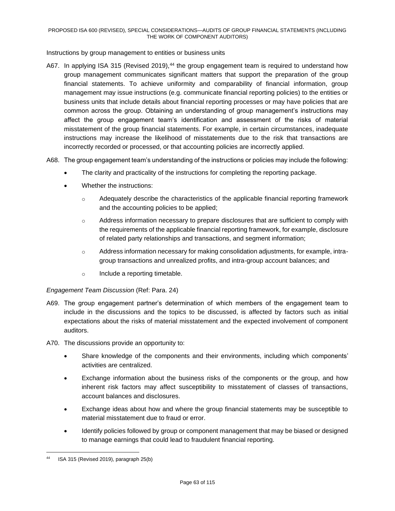Instructions by group management to entities or business units

- A67. In applying ISA 315 (Revised 2019),<sup>44</sup> the group engagement team is required to understand how group management communicates significant matters that support the preparation of the group financial statements. To achieve uniformity and comparability of financial information, group management may issue instructions (e.g. communicate financial reporting policies) to the entities or business units that include details about financial reporting processes or may have policies that are common across the group. Obtaining an understanding of group management's instructions may affect the group engagement team's identification and assessment of the risks of material misstatement of the group financial statements. For example, in certain circumstances, inadequate instructions may increase the likelihood of misstatements due to the risk that transactions are incorrectly recorded or processed, or that accounting policies are incorrectly applied.
- A68. The group engagement team's understanding of the instructions or policies may include the following:
	- The clarity and practicality of the instructions for completing the reporting package.
	- Whether the instructions:
		- o Adequately describe the characteristics of the applicable financial reporting framework and the accounting policies to be applied;
		- o Address information necessary to prepare disclosures that are sufficient to comply with the requirements of the applicable financial reporting framework, for example, disclosure of related party relationships and transactions, and segment information;
		- o Address information necessary for making consolidation adjustments, for example, intragroup transactions and unrealized profits, and intra-group account balances; and
		- o Include a reporting timetable.

#### *Engagement Team Discussion* (Ref: Para. 24)

- A69. The group engagement partner's determination of which members of the engagement team to include in the discussions and the topics to be discussed, is affected by factors such as initial expectations about the risks of material misstatement and the expected involvement of component auditors.
- A70. The discussions provide an opportunity to:
	- Share knowledge of the components and their environments, including which components' activities are centralized.
	- Exchange information about the business risks of the components or the group, and how inherent risk factors may affect susceptibility to misstatement of classes of transactions, account balances and disclosures.
	- Exchange ideas about how and where the group financial statements may be susceptible to material misstatement due to fraud or error.
	- Identify policies followed by group or component management that may be biased or designed to manage earnings that could lead to fraudulent financial reporting.

ISA 315 (Revised 2019), paragraph 25(b)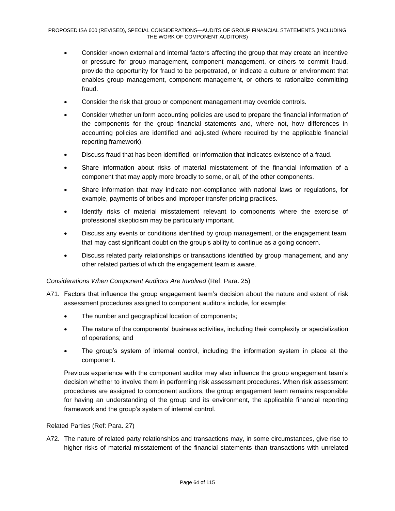- Consider known external and internal factors affecting the group that may create an incentive or pressure for group management, component management, or others to commit fraud, provide the opportunity for fraud to be perpetrated, or indicate a culture or environment that enables group management, component management, or others to rationalize committing fraud.
- Consider the risk that group or component management may override controls.
- Consider whether uniform accounting policies are used to prepare the financial information of the components for the group financial statements and, where not, how differences in accounting policies are identified and adjusted (where required by the applicable financial reporting framework).
- Discuss fraud that has been identified, or information that indicates existence of a fraud.
- Share information about risks of material misstatement of the financial information of a component that may apply more broadly to some, or all, of the other components.
- Share information that may indicate non-compliance with national laws or regulations, for example, payments of bribes and improper transfer pricing practices.
- Identify risks of material misstatement relevant to components where the exercise of professional skepticism may be particularly important.
- Discuss any events or conditions identified by group management, or the engagement team, that may cast significant doubt on the group's ability to continue as a going concern.
- Discuss related party relationships or transactions identified by group management, and any other related parties of which the engagement team is aware.

#### *Considerations When Component Auditors Are Involved* (Ref: Para. 25)

- A71. Factors that influence the group engagement team's decision about the nature and extent of risk assessment procedures assigned to component auditors include, for example:
	- The number and geographical location of components;
	- The nature of the components' business activities, including their complexity or specialization of operations; and
	- The group's system of internal control, including the information system in place at the component.

Previous experience with the component auditor may also influence the group engagement team's decision whether to involve them in performing risk assessment procedures. When risk assessment procedures are assigned to component auditors, the group engagement team remains responsible for having an understanding of the group and its environment, the applicable financial reporting framework and the group's system of internal control.

Related Parties (Ref: Para. 27)

A72. The nature of related party relationships and transactions may, in some circumstances, give rise to higher risks of material misstatement of the financial statements than transactions with unrelated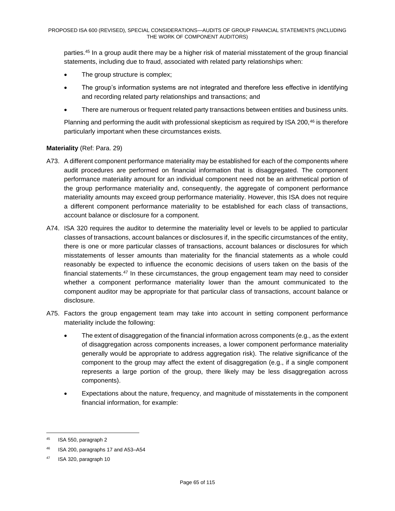parties.<sup>45</sup> In a group audit there may be a higher risk of material misstatement of the group financial statements, including due to fraud, associated with related party relationships when:

- The group structure is complex;
- The group's information systems are not integrated and therefore less effective in identifying and recording related party relationships and transactions; and
- There are numerous or frequent related party transactions between entities and business units.

Planning and performing the audit with professional skepticism as required by ISA 200,<sup>46</sup> is therefore particularly important when these circumstances exists.

#### **Materiality** (Ref: Para. 29)

- A73. A different component performance materiality may be established for each of the components where audit procedures are performed on financial information that is disaggregated. The component performance materiality amount for an individual component need not be an arithmetical portion of the group performance materiality and, consequently, the aggregate of component performance materiality amounts may exceed group performance materiality. However, this ISA does not require a different component performance materiality to be established for each class of transactions, account balance or disclosure for a component.
- A74. ISA 320 requires the auditor to determine the materiality level or levels to be applied to particular classes of transactions, account balances or disclosures if, in the specific circumstances of the entity, there is one or more particular classes of transactions, account balances or disclosures for which misstatements of lesser amounts than materiality for the financial statements as a whole could reasonably be expected to influence the economic decisions of users taken on the basis of the financial statements.<sup>47</sup> In these circumstances, the group engagement team may need to consider whether a component performance materiality lower than the amount communicated to the component auditor may be appropriate for that particular class of transactions, account balance or disclosure.
- A75. Factors the group engagement team may take into account in setting component performance materiality include the following:
	- The extent of disaggregation of the financial information across components (e.g., as the extent of disaggregation across components increases, a lower component performance materiality generally would be appropriate to address aggregation risk). The relative significance of the component to the group may affect the extent of disaggregation (e.g., if a single component represents a large portion of the group, there likely may be less disaggregation across components).
	- Expectations about the nature, frequency, and magnitude of misstatements in the component financial information, for example:

<sup>45</sup> ISA 550, paragraph 2

<sup>46</sup> ISA 200, paragraphs 17 and A53–A54

<sup>47</sup> ISA 320, paragraph 10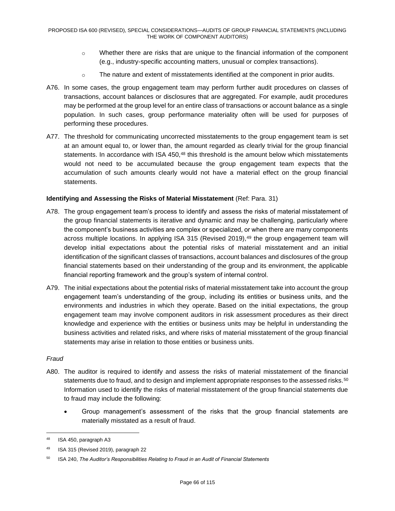- o Whether there are risks that are unique to the financial information of the component (e.g., industry-specific accounting matters, unusual or complex transactions).
- o The nature and extent of misstatements identified at the component in prior audits.
- A76. In some cases, the group engagement team may perform further audit procedures on classes of transactions, account balances or disclosures that are aggregated. For example, audit procedures may be performed at the group level for an entire class of transactions or account balance as a single population. In such cases, group performance materiality often will be used for purposes of performing these procedures.
- A77. The threshold for communicating uncorrected misstatements to the group engagement team is set at an amount equal to, or lower than, the amount regarded as clearly trivial for the group financial statements. In accordance with ISA 450,<sup>48</sup> this threshold is the amount below which misstatements would not need to be accumulated because the group engagement team expects that the accumulation of such amounts clearly would not have a material effect on the group financial statements.

## **Identifying and Assessing the Risks of Material Misstatement** (Ref: Para. 31)

- A78. The group engagement team's process to identify and assess the risks of material misstatement of the group financial statements is iterative and dynamic and may be challenging, particularly where the component's business activities are complex or specialized, or when there are many components across multiple locations. In applying ISA 315 (Revised 2019), $49$  the group engagement team will develop initial expectations about the potential risks of material misstatement and an initial identification of the significant classes of transactions, account balances and disclosures of the group financial statements based on their understanding of the group and its environment, the applicable financial reporting framework and the group's system of internal control.
- A79. The initial expectations about the potential risks of material misstatement take into account the group engagement team's understanding of the group, including its entities or business units, and the environments and industries in which they operate. Based on the initial expectations, the group engagement team may involve component auditors in risk assessment procedures as their direct knowledge and experience with the entities or business units may be helpful in understanding the business activities and related risks, and where risks of material misstatement of the group financial statements may arise in relation to those entities or business units.

## *Fraud*

- A80. The auditor is required to identify and assess the risks of material misstatement of the financial statements due to fraud, and to design and implement appropriate responses to the assessed risks.<sup>50</sup> Information used to identify the risks of material misstatement of the group financial statements due to fraud may include the following:
	- Group management's assessment of the risks that the group financial statements are materially misstated as a result of fraud.

<sup>48</sup> ISA 450, paragraph A3

<sup>49</sup> ISA 315 (Revised 2019), paragraph 22

<sup>50</sup> ISA 240, *The Auditor's Responsibilities Relating to Fraud in an Audit of Financial Statements*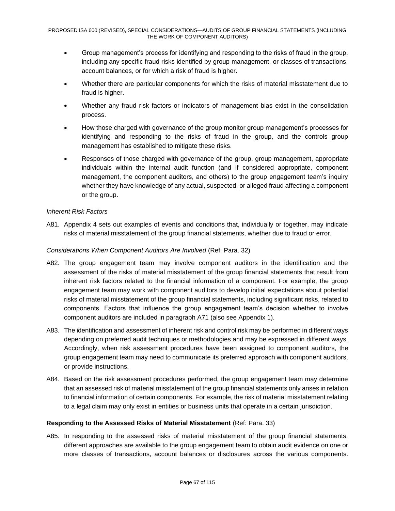- Group management's process for identifying and responding to the risks of fraud in the group, including any specific fraud risks identified by group management, or classes of transactions, account balances, or for which a risk of fraud is higher.
- Whether there are particular components for which the risks of material misstatement due to fraud is higher.
- Whether any fraud risk factors or indicators of management bias exist in the consolidation process.
- How those charged with governance of the group monitor group management's processes for identifying and responding to the risks of fraud in the group, and the controls group management has established to mitigate these risks.
- Responses of those charged with governance of the group, group management, appropriate individuals within the internal audit function (and if considered appropriate, component management, the component auditors, and others) to the group engagement team's inquiry whether they have knowledge of any actual, suspected, or alleged fraud affecting a component or the group.

## *Inherent Risk Factors*

A81. Appendix 4 sets out examples of events and conditions that, individually or together, may indicate risks of material misstatement of the group financial statements, whether due to fraud or error.

## *Considerations When Component Auditors Are Involved* (Ref: Para. 32)

- A82. The group engagement team may involve component auditors in the identification and the assessment of the risks of material misstatement of the group financial statements that result from inherent risk factors related to the financial information of a component. For example, the group engagement team may work with component auditors to develop initial expectations about potential risks of material misstatement of the group financial statements, including significant risks, related to components. Factors that influence the group engagement team's decision whether to involve component auditors are included in paragraph A71 (also see Appendix 1).
- A83. The identification and assessment of inherent risk and control risk may be performed in different ways depending on preferred audit techniques or methodologies and may be expressed in different ways. Accordingly, when risk assessment procedures have been assigned to component auditors, the group engagement team may need to communicate its preferred approach with component auditors, or provide instructions.
- A84. Based on the risk assessment procedures performed, the group engagement team may determine that an assessed risk of material misstatement of the group financial statements only arises in relation to financial information of certain components. For example, the risk of material misstatement relating to a legal claim may only exist in entities or business units that operate in a certain jurisdiction.

#### **Responding to the Assessed Risks of Material Misstatement** (Ref: Para. 33)

A85. In responding to the assessed risks of material misstatement of the group financial statements, different approaches are available to the group engagement team to obtain audit evidence on one or more classes of transactions, account balances or disclosures across the various components.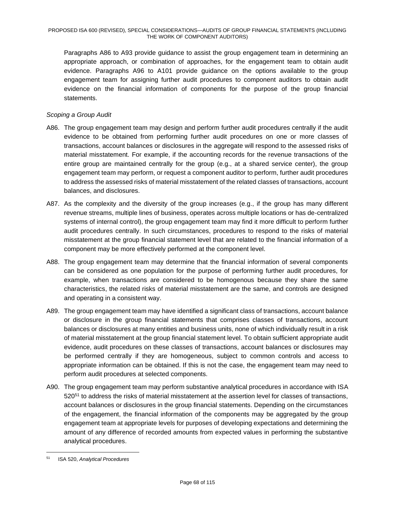Paragraphs A86 to A93 provide guidance to assist the group engagement team in determining an appropriate approach, or combination of approaches, for the engagement team to obtain audit evidence. Paragraphs A96 to A101 provide guidance on the options available to the group engagement team for assigning further audit procedures to component auditors to obtain audit evidence on the financial information of components for the purpose of the group financial statements.

## *Scoping a Group Audit*

- A86. The group engagement team may design and perform further audit procedures centrally if the audit evidence to be obtained from performing further audit procedures on one or more classes of transactions, account balances or disclosures in the aggregate will respond to the assessed risks of material misstatement. For example, if the accounting records for the revenue transactions of the entire group are maintained centrally for the group (e.g., at a shared service center), the group engagement team may perform, or request a component auditor to perform, further audit procedures to address the assessed risks of material misstatement of the related classes of transactions, account balances, and disclosures.
- A87. As the complexity and the diversity of the group increases (e.g., if the group has many different revenue streams, multiple lines of business, operates across multiple locations or has de-centralized systems of internal control), the group engagement team may find it more difficult to perform further audit procedures centrally. In such circumstances, procedures to respond to the risks of material misstatement at the group financial statement level that are related to the financial information of a component may be more effectively performed at the component level.
- A88. The group engagement team may determine that the financial information of several components can be considered as one population for the purpose of performing further audit procedures, for example, when transactions are considered to be homogenous because they share the same characteristics, the related risks of material misstatement are the same, and controls are designed and operating in a consistent way.
- A89. The group engagement team may have identified a significant class of transactions, account balance or disclosure in the group financial statements that comprises classes of transactions, account balances or disclosures at many entities and business units, none of which individually result in a risk of material misstatement at the group financial statement level. To obtain sufficient appropriate audit evidence, audit procedures on these classes of transactions, account balances or disclosures may be performed centrally if they are homogeneous, subject to common controls and access to appropriate information can be obtained. If this is not the case, the engagement team may need to perform audit procedures at selected components.
- A90. The group engagement team may perform substantive analytical procedures in accordance with ISA 520<sup>51</sup> to address the risks of material misstatement at the assertion level for classes of transactions, account balances or disclosures in the group financial statements. Depending on the circumstances of the engagement, the financial information of the components may be aggregated by the group engagement team at appropriate levels for purposes of developing expectations and determining the amount of any difference of recorded amounts from expected values in performing the substantive analytical procedures.

<sup>51</sup> ISA 520, *Analytical Procedures*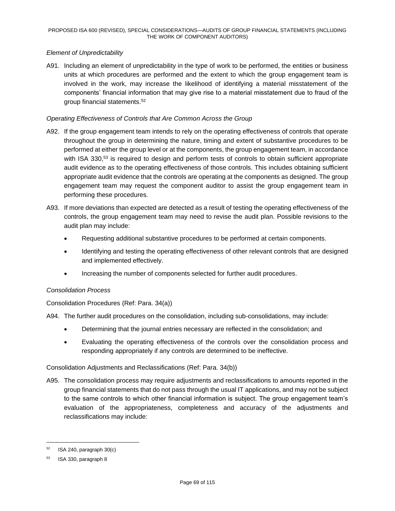## *Element of Unpredictability*

A91. Including an element of unpredictability in the type of work to be performed, the entities or business units at which procedures are performed and the extent to which the group engagement team is involved in the work, may increase the likelihood of identifying a material misstatement of the components' financial information that may give rise to a material misstatement due to fraud of the group financial statements.<sup>52</sup>

### *Operating Effectiveness of Controls that Are Common Across the Group*

- A92. If the group engagement team intends to rely on the operating effectiveness of controls that operate throughout the group in determining the nature, timing and extent of substantive procedures to be performed at either the group level or at the components, the group engagement team, in accordance with ISA 330,<sup>53</sup> is required to design and perform tests of controls to obtain sufficient appropriate audit evidence as to the operating effectiveness of those controls. This includes obtaining sufficient appropriate audit evidence that the controls are operating at the components as designed. The group engagement team may request the component auditor to assist the group engagement team in performing these procedures.
- A93. If more deviations than expected are detected as a result of testing the operating effectiveness of the controls, the group engagement team may need to revise the audit plan. Possible revisions to the audit plan may include:
	- Requesting additional substantive procedures to be performed at certain components.
	- Identifying and testing the operating effectiveness of other relevant controls that are designed and implemented effectively.
	- Increasing the number of components selected for further audit procedures.

#### *Consolidation Process*

Consolidation Procedures (Ref: Para. 34(a))

A94. The further audit procedures on the consolidation, including sub-consolidations, may include:

- Determining that the journal entries necessary are reflected in the consolidation; and
- Evaluating the operating effectiveness of the controls over the consolidation process and responding appropriately if any controls are determined to be ineffective.

#### Consolidation Adjustments and Reclassifications (Ref: Para. 34(b))

A95. The consolidation process may require adjustments and reclassifications to amounts reported in the group financial statements that do not pass through the usual IT applications, and may not be subject to the same controls to which other financial information is subject. The group engagement team's evaluation of the appropriateness, completeness and accuracy of the adjustments and reclassifications may include:

 $52$  ISA 240, paragraph 30(c)

<sup>53</sup> ISA 330, paragraph 8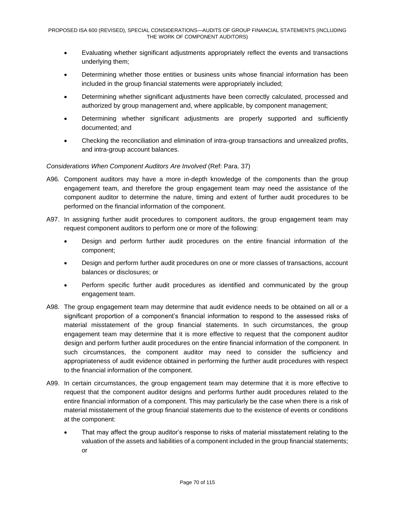- Evaluating whether significant adjustments appropriately reflect the events and transactions underlying them;
- Determining whether those entities or business units whose financial information has been included in the group financial statements were appropriately included;
- Determining whether significant adjustments have been correctly calculated, processed and authorized by group management and, where applicable, by component management;
- Determining whether significant adjustments are properly supported and sufficiently documented; and
- Checking the reconciliation and elimination of intra-group transactions and unrealized profits, and intra-group account balances.

## *Considerations When Component Auditors Are Involved* (Ref: Para. 37)

- A96. Component auditors may have a more in-depth knowledge of the components than the group engagement team, and therefore the group engagement team may need the assistance of the component auditor to determine the nature, timing and extent of further audit procedures to be performed on the financial information of the component.
- A97. In assigning further audit procedures to component auditors, the group engagement team may request component auditors to perform one or more of the following:
	- Design and perform further audit procedures on the entire financial information of the component;
	- Design and perform further audit procedures on one or more classes of transactions, account balances or disclosures; or
	- Perform specific further audit procedures as identified and communicated by the group engagement team.
- A98. The group engagement team may determine that audit evidence needs to be obtained on all or a significant proportion of a component's financial information to respond to the assessed risks of material misstatement of the group financial statements. In such circumstances, the group engagement team may determine that it is more effective to request that the component auditor design and perform further audit procedures on the entire financial information of the component. In such circumstances, the component auditor may need to consider the sufficiency and appropriateness of audit evidence obtained in performing the further audit procedures with respect to the financial information of the component.
- A99. In certain circumstances, the group engagement team may determine that it is more effective to request that the component auditor designs and performs further audit procedures related to the entire financial information of a component. This may particularly be the case when there is a risk of material misstatement of the group financial statements due to the existence of events or conditions at the component:
	- That may affect the group auditor's response to risks of material misstatement relating to the valuation of the assets and liabilities of a component included in the group financial statements; or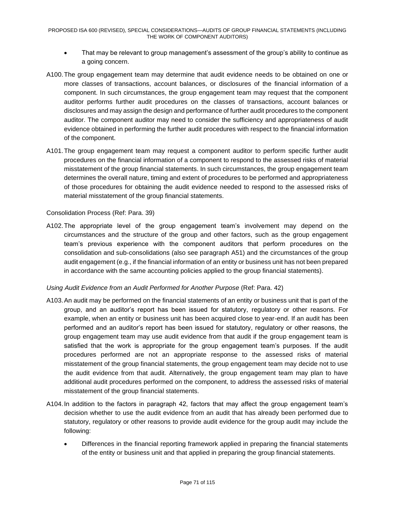- That may be relevant to group management's assessment of the group's ability to continue as a going concern.
- A100.The group engagement team may determine that audit evidence needs to be obtained on one or more classes of transactions, account balances, or disclosures of the financial information of a component. In such circumstances, the group engagement team may request that the component auditor performs further audit procedures on the classes of transactions, account balances or disclosures and may assign the design and performance of further audit procedures to the component auditor. The component auditor may need to consider the sufficiency and appropriateness of audit evidence obtained in performing the further audit procedures with respect to the financial information of the component.
- A101.The group engagement team may request a component auditor to perform specific further audit procedures on the financial information of a component to respond to the assessed risks of material misstatement of the group financial statements. In such circumstances, the group engagement team determines the overall nature, timing and extent of procedures to be performed and appropriateness of those procedures for obtaining the audit evidence needed to respond to the assessed risks of material misstatement of the group financial statements.

## Consolidation Process (Ref: Para. 39)

A102.The appropriate level of the group engagement team's involvement may depend on the circumstances and the structure of the group and other factors, such as the group engagement team's previous experience with the component auditors that perform procedures on the consolidation and sub-consolidations (also see paragraph A51) and the circumstances of the group audit engagement (e.g., if the financial information of an entity or business unit has not been prepared in accordance with the same accounting policies applied to the group financial statements).

# *Using Audit Evidence from an Audit Performed for Another Purpose* (Ref: Para. 42)

- A103.An audit may be performed on the financial statements of an entity or business unit that is part of the group, and an auditor's report has been issued for statutory, regulatory or other reasons. For example, when an entity or business unit has been acquired close to year-end. If an audit has been performed and an auditor's report has been issued for statutory, regulatory or other reasons, the group engagement team may use audit evidence from that audit if the group engagement team is satisfied that the work is appropriate for the group engagement team's purposes. If the audit procedures performed are not an appropriate response to the assessed risks of material misstatement of the group financial statements, the group engagement team may decide not to use the audit evidence from that audit. Alternatively, the group engagement team may plan to have additional audit procedures performed on the component, to address the assessed risks of material misstatement of the group financial statements.
- A104.In addition to the factors in paragraph 42, factors that may affect the group engagement team's decision whether to use the audit evidence from an audit that has already been performed due to statutory, regulatory or other reasons to provide audit evidence for the group audit may include the following:
	- Differences in the financial reporting framework applied in preparing the financial statements of the entity or business unit and that applied in preparing the group financial statements.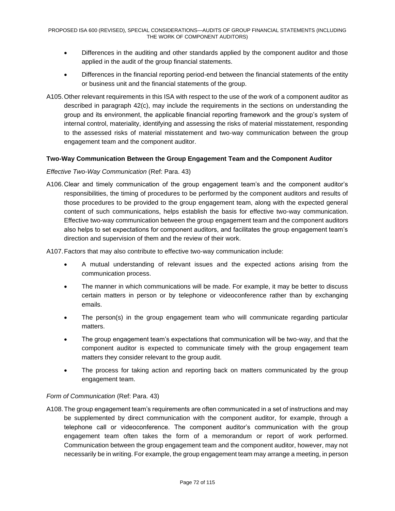- Differences in the auditing and other standards applied by the component auditor and those applied in the audit of the group financial statements.
- Differences in the financial reporting period-end between the financial statements of the entity or business unit and the financial statements of the group.
- A105.Other relevant requirements in this ISA with respect to the use of the work of a component auditor as described in paragraph 42(c), may include the requirements in the sections on understanding the group and its environment, the applicable financial reporting framework and the group's system of internal control, materiality, identifying and assessing the risks of material misstatement, responding to the assessed risks of material misstatement and two-way communication between the group engagement team and the component auditor.

## **Two-Way Communication Between the Group Engagement Team and the Component Auditor**

#### *Effective Two-Way Communication* (Ref: Para. 43)

A106.Clear and timely communication of the group engagement team's and the component auditor's responsibilities, the timing of procedures to be performed by the component auditors and results of those procedures to be provided to the group engagement team, along with the expected general content of such communications, helps establish the basis for effective two-way communication. Effective two-way communication between the group engagement team and the component auditors also helps to set expectations for component auditors, and facilitates the group engagement team's direction and supervision of them and the review of their work.

A107.Factors that may also contribute to effective two-way communication include:

- A mutual understanding of relevant issues and the expected actions arising from the communication process.
- The manner in which communications will be made. For example, it may be better to discuss certain matters in person or by telephone or videoconference rather than by exchanging emails.
- The person(s) in the group engagement team who will communicate regarding particular matters.
- The group engagement team's expectations that communication will be two-way, and that the component auditor is expected to communicate timely with the group engagement team matters they consider relevant to the group audit.
- The process for taking action and reporting back on matters communicated by the group engagement team.

#### *Form of Communication* (Ref: Para. 43)

A108.The group engagement team's requirements are often communicated in a set of instructions and may be supplemented by direct communication with the component auditor, for example, through a telephone call or videoconference. The component auditor's communication with the group engagement team often takes the form of a memorandum or report of work performed. Communication between the group engagement team and the component auditor, however, may not necessarily be in writing. For example, the group engagement team may arrange a meeting, in person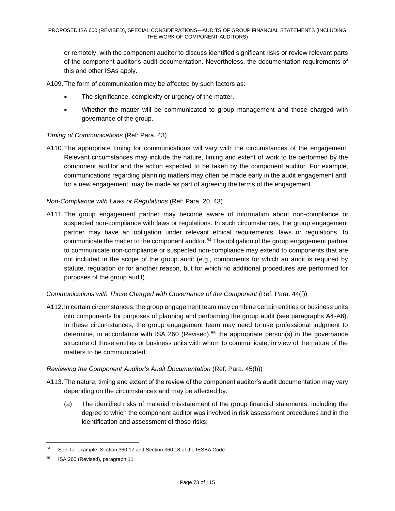or remotely, with the component auditor to discuss identified significant risks or review relevant parts of the component auditor's audit documentation. Nevertheless, the documentation requirements of this and other ISAs apply.

A109.The form of communication may be affected by such factors as:

- The significance, complexity or urgency of the matter.
- Whether the matter will be communicated to group management and those charged with governance of the group.

### *Timing of Communications* (Ref: Para. 43)

A110.The appropriate timing for communications will vary with the circumstances of the engagement. Relevant circumstances may include the nature, timing and extent of work to be performed by the component auditor and the action expected to be taken by the component auditor. For example, communications regarding planning matters may often be made early in the audit engagement and, for a new engagement, may be made as part of agreeing the terms of the engagement.

#### *Non-Compliance with Laws or Regulations* (Ref: Para. 20, 43)

A111.The group engagement partner may become aware of information about non-compliance or suspected non-compliance with laws or regulations. In such circumstances, the group engagement partner may have an obligation under relevant ethical requirements, laws or regulations, to communicate the matter to the component auditor.<sup>54</sup> The obligation of the group engagement partner to communicate non-compliance or suspected non-compliance may extend to components that are not included in the scope of the group audit (e.g., components for which an audit is required by statute, regulation or for another reason, but for which no additional procedures are performed for purposes of the group audit).

#### *Communications with Those Charged with Governance of the Component (Ref: Para. 44(f))*

A112.In certain circumstances, the group engagement team may combine certain entities or business units into components for purposes of planning and performing the group audit (see paragraphs A4-A6). In these circumstances, the group engagement team may need to use professional judgment to determine, in accordance with ISA 260 (Revised),<sup>55</sup> the appropriate person(s) in the governance structure of those entities or business units with whom to communicate, in view of the nature of the matters to be communicated.

#### *Reviewing the Component Auditor's Audit Documentation* (Ref: Para. 45(b))

- A113.The nature, timing and extent of the review of the component auditor's audit documentation may vary depending on the circumstances and may be affected by:
	- (a) The identified risks of material misstatement of the group financial statements, including the degree to which the component auditor was involved in risk assessment procedures and in the identification and assessment of those risks;

<sup>54</sup> See, for example, Section 360.17 and Section 360.18 of the IESBA Code

<sup>55</sup> ISA 260 (Revised), paragraph 11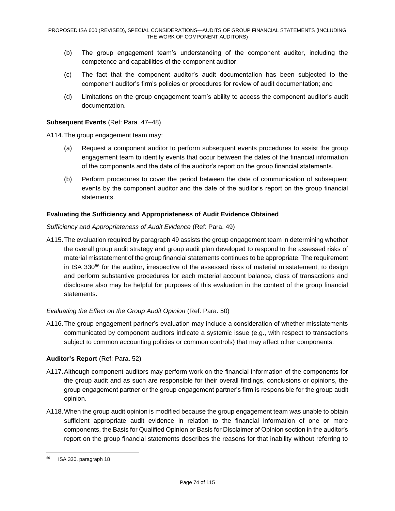- (b) The group engagement team's understanding of the component auditor, including the competence and capabilities of the component auditor;
- (c) The fact that the component auditor's audit documentation has been subjected to the component auditor's firm's policies or procedures for review of audit documentation; and
- (d) Limitations on the group engagement team's ability to access the component auditor's audit documentation.

#### **Subsequent Events** (Ref: Para. 47–48)

A114.The group engagement team may:

- (a) Request a component auditor to perform subsequent events procedures to assist the group engagement team to identify events that occur between the dates of the financial information of the components and the date of the auditor's report on the group financial statements.
- (b) Perform procedures to cover the period between the date of communication of subsequent events by the component auditor and the date of the auditor's report on the group financial statements.

#### **Evaluating the Sufficiency and Appropriateness of Audit Evidence Obtained**

#### *Sufficiency and Appropriateness of Audit Evidence* (Ref: Para. 49)

A115.The evaluation required by paragraph 49 assists the group engagement team in determining whether the overall group audit strategy and group audit plan developed to respond to the assessed risks of material misstatement of the group financial statements continues to be appropriate. The requirement in ISA 330<sup>56</sup> for the auditor, irrespective of the assessed risks of material misstatement, to design and perform substantive procedures for each material account balance, class of transactions and disclosure also may be helpful for purposes of this evaluation in the context of the group financial statements.

#### *Evaluating the Effect on the Group Audit Opinion* (Ref: Para. 50)

A116.The group engagement partner's evaluation may include a consideration of whether misstatements communicated by component auditors indicate a systemic issue (e.g., with respect to transactions subject to common accounting policies or common controls) that may affect other components.

#### **Auditor's Report** (Ref: Para. 52)

- A117.Although component auditors may perform work on the financial information of the components for the group audit and as such are responsible for their overall findings, conclusions or opinions, the group engagement partner or the group engagement partner's firm is responsible for the group audit opinion.
- A118.When the group audit opinion is modified because the group engagement team was unable to obtain sufficient appropriate audit evidence in relation to the financial information of one or more components, the Basis for Qualified Opinion or Basis for Disclaimer of Opinion section in the auditor's report on the group financial statements describes the reasons for that inability without referring to

<sup>56</sup> ISA 330, paragraph 18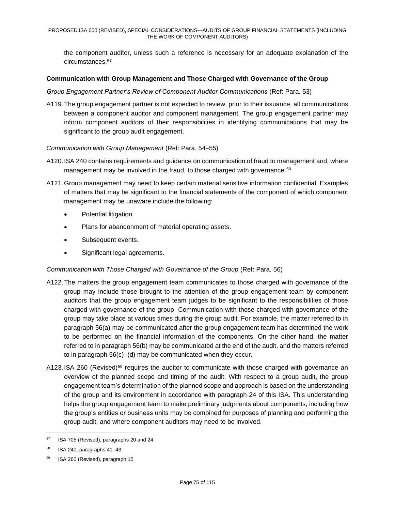the component auditor, unless such a reference is necessary for an adequate explanation of the circumstances.<sup>57</sup>

#### **Communication with Group Management and Those Charged with Governance of the Group**

*Group Engagement Partner's Review of Component Auditor Communications* (Ref: Para. 53)

A119.The group engagement partner is not expected to review, prior to their issuance, all communications between a component auditor and component management. The group engagement partner may inform component auditors of their responsibilities in identifying communications that may be significant to the group audit engagement.

#### *Communication with Group Management* (Ref: Para. 54–55)

- A120.ISA 240 contains requirements and guidance on communication of fraud to management and, where management may be involved in the fraud, to those charged with governance.<sup>58</sup>
- A121.Group management may need to keep certain material sensitive information confidential. Examples of matters that may be significant to the financial statements of the component of which component management may be unaware include the following:
	- Potential litigation.
	- Plans for abandonment of material operating assets.
	- Subsequent events.
	- Significant legal agreements.

#### *Communication with Those Charged with Governance of the Group* (Ref: Para. 56)

- A122.The matters the group engagement team communicates to those charged with governance of the group may include those brought to the attention of the group engagement team by component auditors that the group engagement team judges to be significant to the responsibilities of those charged with governance of the group. Communication with those charged with governance of the group may take place at various times during the group audit. For example, the matter referred to in paragraph 56(a) may be communicated after the group engagement team has determined the work to be performed on the financial information of the components. On the other hand, the matter referred to in paragraph 56(b) may be communicated at the end of the audit, and the matters referred to in paragraph 56(c)–(d) may be communicated when they occur.
- A123. ISA 260 (Revised)<sup>59</sup> requires the auditor to communicate with those charged with governance an overview of the planned scope and timing of the audit. With respect to a group audit, the group engagement team's determination of the planned scope and approach is based on the understanding of the group and its environment in accordance with paragraph 24 of this ISA. This understanding helps the group engagement team to make preliminary judgments about components, including how the group's entities or business units may be combined for purposes of planning and performing the group audit, and where component auditors may need to be involved.

<sup>&</sup>lt;sup>57</sup> ISA 705 (Revised), paragraphs 20 and 24

<sup>58</sup> ISA 240, paragraphs 41–43

ISA 260 (Revised), paragraph 15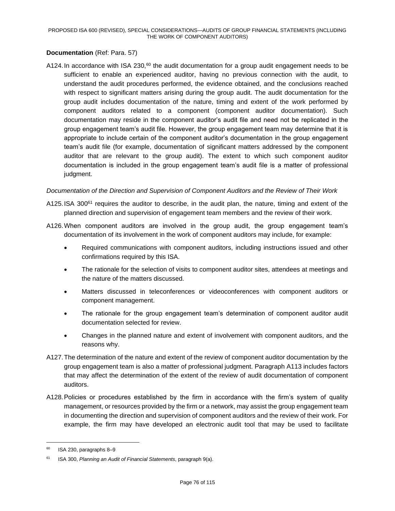#### **Documentation** (Ref: Para. 57)

A124. In accordance with ISA 230, $60$  the audit documentation for a group audit engagement needs to be sufficient to enable an experienced auditor, having no previous connection with the audit, to understand the audit procedures performed, the evidence obtained, and the conclusions reached with respect to significant matters arising during the group audit. The audit documentation for the group audit includes documentation of the nature, timing and extent of the work performed by component auditors related to a component (component auditor documentation). Such documentation may reside in the component auditor's audit file and need not be replicated in the group engagement team's audit file. However, the group engagement team may determine that it is appropriate to include certain of the component auditor's documentation in the group engagement team's audit file (for example, documentation of significant matters addressed by the component auditor that are relevant to the group audit). The extent to which such component auditor documentation is included in the group engagement team's audit file is a matter of professional judgment.

#### *Documentation of the Direction and Supervision of Component Auditors and the Review of Their Work*

- A125. ISA 300<sup>61</sup> requires the auditor to describe, in the audit plan, the nature, timing and extent of the planned direction and supervision of engagement team members and the review of their work.
- A126.When component auditors are involved in the group audit, the group engagement team's documentation of its involvement in the work of component auditors may include, for example:
	- Required communications with component auditors, including instructions issued and other confirmations required by this ISA.
	- The rationale for the selection of visits to component auditor sites, attendees at meetings and the nature of the matters discussed.
	- Matters discussed in teleconferences or videoconferences with component auditors or component management.
	- The rationale for the group engagement team's determination of component auditor audit documentation selected for review.
	- Changes in the planned nature and extent of involvement with component auditors, and the reasons why.
- A127.The determination of the nature and extent of the review of component auditor documentation by the group engagement team is also a matter of professional judgment. Paragraph A113 includes factors that may affect the determination of the extent of the review of audit documentation of component auditors.
- A128.Policies or procedures established by the firm in accordance with the firm's system of quality management, or resources provided by the firm or a network, may assist the group engagement team in documenting the direction and supervision of component auditors and the review of their work. For example, the firm may have developed an electronic audit tool that may be used to facilitate

 $60$  ISA 230, paragraphs 8-9

<sup>61</sup> ISA 300, *Planning an Audit of Financial Statements*, paragraph 9(a).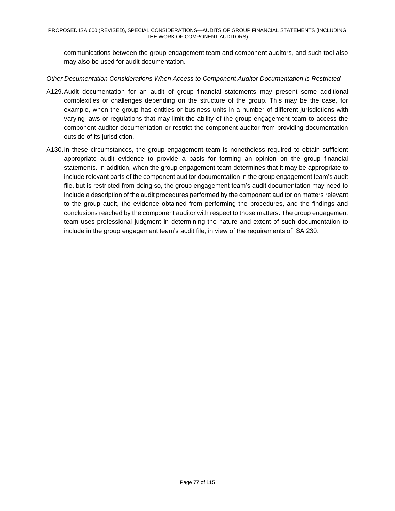communications between the group engagement team and component auditors, and such tool also may also be used for audit documentation.

#### *Other Documentation Considerations When Access to Component Auditor Documentation is Restricted*

- A129.Audit documentation for an audit of group financial statements may present some additional complexities or challenges depending on the structure of the group. This may be the case, for example, when the group has entities or business units in a number of different jurisdictions with varying laws or regulations that may limit the ability of the group engagement team to access the component auditor documentation or restrict the component auditor from providing documentation outside of its jurisdiction.
- A130.In these circumstances, the group engagement team is nonetheless required to obtain sufficient appropriate audit evidence to provide a basis for forming an opinion on the group financial statements. In addition, when the group engagement team determines that it may be appropriate to include relevant parts of the component auditor documentation in the group engagement team's audit file, but is restricted from doing so, the group engagement team's audit documentation may need to include a description of the audit procedures performed by the component auditor on matters relevant to the group audit, the evidence obtained from performing the procedures, and the findings and conclusions reached by the component auditor with respect to those matters. The group engagement team uses professional judgment in determining the nature and extent of such documentation to include in the group engagement team's audit file, in view of the requirements of ISA 230.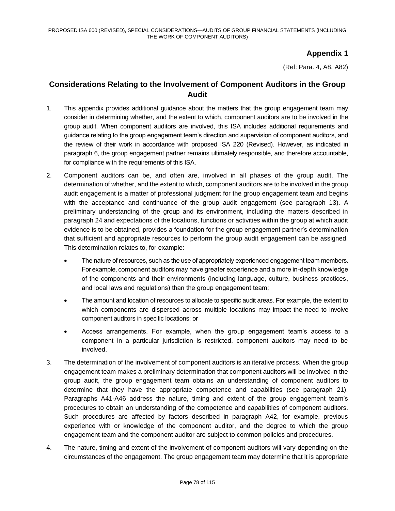# **Appendix 1**

(Ref: Para. 4, A8, A82)

# **Considerations Relating to the Involvement of Component Auditors in the Group Audit**

- 1. This appendix provides additional guidance about the matters that the group engagement team may consider in determining whether, and the extent to which, component auditors are to be involved in the group audit. When component auditors are involved, this ISA includes additional requirements and guidance relating to the group engagement team's direction and supervision of component auditors, and the review of their work in accordance with proposed ISA 220 (Revised). However, as indicated in paragraph 6, the group engagement partner remains ultimately responsible, and therefore accountable, for compliance with the requirements of this ISA.
- 2. Component auditors can be, and often are, involved in all phases of the group audit. The determination of whether, and the extent to which, component auditors are to be involved in the group audit engagement is a matter of professional judgment for the group engagement team and begins with the acceptance and continuance of the group audit engagement (see paragraph 13). A preliminary understanding of the group and its environment, including the matters described in paragraph 24 and expectations of the locations, functions or activities within the group at which audit evidence is to be obtained, provides a foundation for the group engagement partner's determination that sufficient and appropriate resources to perform the group audit engagement can be assigned. This determination relates to, for example:
	- The nature of resources, such as the use of appropriately experienced engagement team members. For example, component auditors may have greater experience and a more in-depth knowledge of the components and their environments (including language, culture, business practices, and local laws and regulations) than the group engagement team;
	- The amount and location of resources to allocate to specific audit areas. For example, the extent to which components are dispersed across multiple locations may impact the need to involve component auditors in specific locations; or
	- Access arrangements. For example, when the group engagement team's access to a component in a particular jurisdiction is restricted, component auditors may need to be involved.
- 3. The determination of the involvement of component auditors is an iterative process. When the group engagement team makes a preliminary determination that component auditors will be involved in the group audit, the group engagement team obtains an understanding of component auditors to determine that they have the appropriate competence and capabilities (see paragraph 21). Paragraphs A41-A46 address the nature, timing and extent of the group engagement team's procedures to obtain an understanding of the competence and capabilities of component auditors. Such procedures are affected by factors described in paragraph A42, for example, previous experience with or knowledge of the component auditor, and the degree to which the group engagement team and the component auditor are subject to common policies and procedures.
- 4. The nature, timing and extent of the involvement of component auditors will vary depending on the circumstances of the engagement. The group engagement team may determine that it is appropriate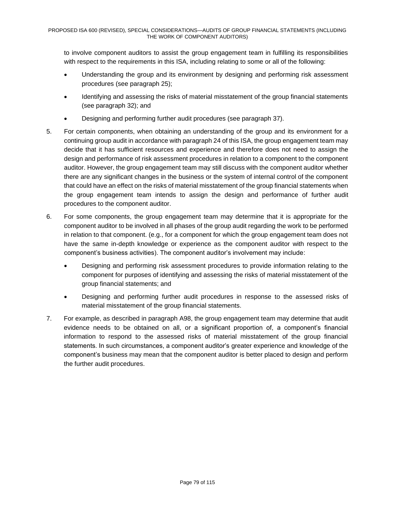to involve component auditors to assist the group engagement team in fulfilling its responsibilities with respect to the requirements in this ISA, including relating to some or all of the following:

- Understanding the group and its environment by designing and performing risk assessment procedures (see paragraph 25);
- Identifying and assessing the risks of material misstatement of the group financial statements (see paragraph 32); and
- Designing and performing further audit procedures (see paragraph 37).
- 5. For certain components, when obtaining an understanding of the group and its environment for a continuing group audit in accordance with paragraph 24 of this ISA, the group engagement team may decide that it has sufficient resources and experience and therefore does not need to assign the design and performance of risk assessment procedures in relation to a component to the component auditor. However, the group engagement team may still discuss with the component auditor whether there are any significant changes in the business or the system of internal control of the component that could have an effect on the risks of material misstatement of the group financial statements when the group engagement team intends to assign the design and performance of further audit procedures to the component auditor.
- 6. For some components, the group engagement team may determine that it is appropriate for the component auditor to be involved in all phases of the group audit regarding the work to be performed in relation to that component. (e.g., for a component for which the group engagement team does not have the same in-depth knowledge or experience as the component auditor with respect to the component's business activities). The component auditor's involvement may include:
	- Designing and performing risk assessment procedures to provide information relating to the component for purposes of identifying and assessing the risks of material misstatement of the group financial statements; and
	- Designing and performing further audit procedures in response to the assessed risks of material misstatement of the group financial statements.
- 7. For example, as described in paragraph A98, the group engagement team may determine that audit evidence needs to be obtained on all, or a significant proportion of, a component's financial information to respond to the assessed risks of material misstatement of the group financial statements. In such circumstances, a component auditor's greater experience and knowledge of the component's business may mean that the component auditor is better placed to design and perform the further audit procedures.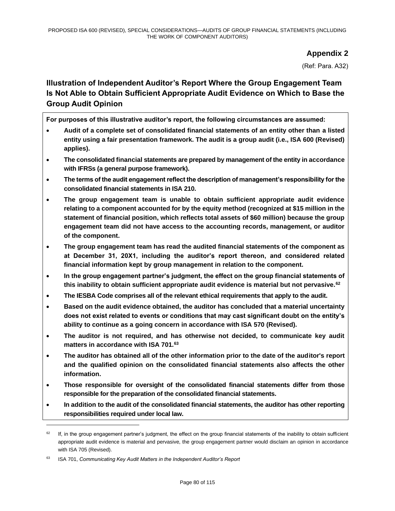# **Appendix 2**

(Ref: Para. A32)

# **Illustration of Independent Auditor's Report Where the Group Engagement Team Is Not Able to Obtain Sufficient Appropriate Audit Evidence on Which to Base the Group Audit Opinion**

**For purposes of this illustrative auditor's report, the following circumstances are assumed:**

- **Audit of a complete set of consolidated financial statements of an entity other than a listed entity using a fair presentation framework. The audit is a group audit (i.e., ISA 600 (Revised) applies).**
- **The consolidated financial statements are prepared by management of the entity in accordance with IFRSs (a general purpose framework).**
- **The terms of the audit engagement reflect the description of management's responsibility for the consolidated financial statements in ISA 210.**
- **The group engagement team is unable to obtain sufficient appropriate audit evidence relating to a component accounted for by the equity method (recognized at \$15 million in the statement of financial position, which reflects total assets of \$60 million) because the group engagement team did not have access to the accounting records, management, or auditor of the component.**
- **The group engagement team has read the audited financial statements of the component as at December 31, 20X1, including the auditor's report thereon, and considered related financial information kept by group management in relation to the component.**
- **In the group engagement partner's judgment, the effect on the group financial statements of this inability to obtain sufficient appropriate audit evidence is material but not pervasive.<sup>62</sup>**
- **The IESBA Code comprises all of the relevant ethical requirements that apply to the audit.**
- **Based on the audit evidence obtained, the auditor has concluded that a material uncertainty does not exist related to events or conditions that may cast significant doubt on the entity's ability to continue as a going concern in accordance with ISA 570 (Revised).**
- **The auditor is not required, and has otherwise not decided, to communicate key audit matters in accordance with ISA 701.<sup>63</sup>**
- **The auditor has obtained all of the other information prior to the date of the auditor's report and the qualified opinion on the consolidated financial statements also affects the other information.**
- **Those responsible for oversight of the consolidated financial statements differ from those responsible for the preparation of the consolidated financial statements.**
- **In addition to the audit of the consolidated financial statements, the auditor has other reporting responsibilities required under local law.**

 $62$  If, in the group engagement partner's judgment, the effect on the group financial statements of the inability to obtain sufficient appropriate audit evidence is material and pervasive, the group engagement partner would disclaim an opinion in accordance with ISA 705 (Revised).

<sup>63</sup> ISA 701, *Communicating Key Audit Matters in the Independent Auditor's Report*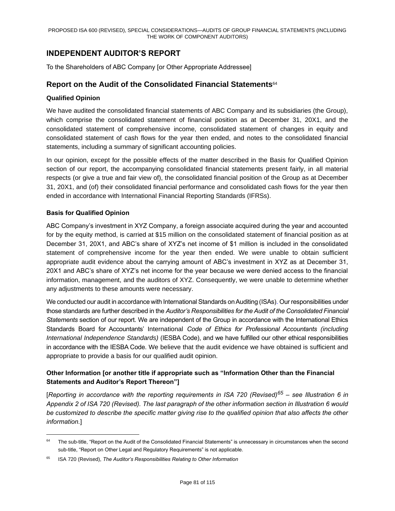# **INDEPENDENT AUDITOR'S REPORT**

To the Shareholders of ABC Company [or Other Appropriate Addressee]

### **Report on the Audit of the Consolidated Financial Statements**<sup>64</sup>

#### **Qualified Opinion**

We have audited the consolidated financial statements of ABC Company and its subsidiaries (the Group), which comprise the consolidated statement of financial position as at December 31, 20X1, and the consolidated statement of comprehensive income, consolidated statement of changes in equity and consolidated statement of cash flows for the year then ended, and notes to the consolidated financial statements, including a summary of significant accounting policies.

In our opinion, except for the possible effects of the matter described in the Basis for Qualified Opinion section of our report, the accompanying consolidated financial statements present fairly, in all material respects (or give a true and fair view of), the consolidated financial position of the Group as at December 31, 20X1, and (of) their consolidated financial performance and consolidated cash flows for the year then ended in accordance with International Financial Reporting Standards (IFRSs).

#### **Basis for Qualified Opinion**

ABC Company's investment in XYZ Company, a foreign associate acquired during the year and accounted for by the equity method, is carried at \$15 million on the consolidated statement of financial position as at December 31, 20X1, and ABC's share of XYZ's net income of \$1 million is included in the consolidated statement of comprehensive income for the year then ended. We were unable to obtain sufficient appropriate audit evidence about the carrying amount of ABC's investment in XYZ as at December 31, 20X1 and ABC's share of XYZ's net income for the year because we were denied access to the financial information, management, and the auditors of XYZ. Consequently, we were unable to determine whether any adjustments to these amounts were necessary.

We conducted our audit in accordance with International Standards on Auditing (ISAs). Our responsibilities under those standards are further described in the *Auditor's Responsibilities for the Audit of the Consolidated Financial Statements* section of our report. We are independent of the Group in accordance with the International Ethics Standards Board for Accountants' International *Code of Ethics for Professional Accountants (including International Independence Standards)* (IESBA Code), and we have fulfilled our other ethical responsibilities in accordance with the IESBA Code. We believe that the audit evidence we have obtained is sufficient and appropriate to provide a basis for our qualified audit opinion.

### **Other Information [or another title if appropriate such as "Information Other than the Financial Statements and Auditor's Report Thereon"]**

[*Reporting in accordance with the reporting requirements in ISA 720 (Revised)<sup>65</sup> – see Illustration 6 in Appendix 2 of ISA 720 (Revised). The last paragraph of the other information section in Illustration 6 would be customized to describe the specific matter giving rise to the qualified opinion that also affects the other information.*]

 $64$  The sub-title, "Report on the Audit of the Consolidated Financial Statements" is unnecessary in circumstances when the second sub-title, "Report on Other Legal and Regulatory Requirements" is not applicable.

<sup>65</sup> ISA 720 (Revised), *The Auditor's Responsibilities Relating to Other Information*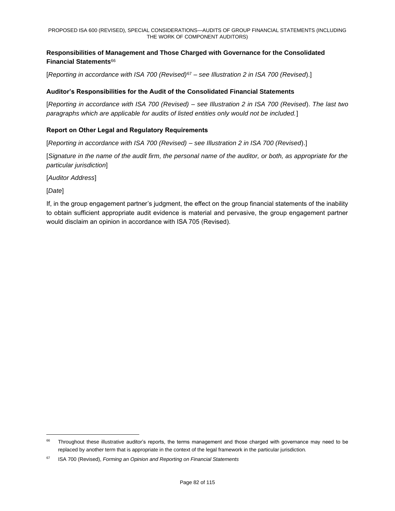### **Responsibilities of Management and Those Charged with Governance for the Consolidated Financial Statements**<sup>66</sup>

[*Reporting in accordance with ISA 700 (Revised)*<sup>67</sup> *– see Illustration 2 in ISA 700 (Revised*).]

#### **Auditor's Responsibilities for the Audit of the Consolidated Financial Statements**

[*Reporting in accordance with ISA 700 (Revised) – see Illustration 2 in ISA 700 (Revised*). *The last two paragraphs which are applicable for audits of listed entities only would not be included.*]

#### **Report on Other Legal and Regulatory Requirements**

[*Reporting in accordance with ISA 700 (Revised) – see Illustration 2 in ISA 700 (Revised*).]

[*Signature in the name of the audit firm, the personal name of the auditor, or both, as appropriate for the particular jurisdiction*]

[*Auditor Address*]

[*Date*]

If, in the group engagement partner's judgment, the effect on the group financial statements of the inability to obtain sufficient appropriate audit evidence is material and pervasive, the group engagement partner would disclaim an opinion in accordance with ISA 705 (Revised).

<sup>&</sup>lt;sup>66</sup> Throughout these illustrative auditor's reports, the terms management and those charged with governance may need to be replaced by another term that is appropriate in the context of the legal framework in the particular jurisdiction.

<sup>67</sup> ISA 700 (Revised), *Forming an Opinion and Reporting on Financial Statements*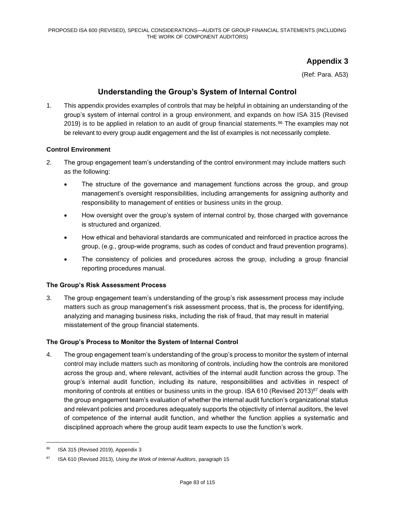# **Appendix 3**

(Ref: Para. A53)

# **Understanding the Group's System of Internal Control**

1. This appendix provides examples of controls that may be helpful in obtaining an understanding of the group's system of internal control in a group environment, and expands on how ISA 315 (Revised 2019) is to be applied in relation to an audit of group financial statements.<sup>86</sup> The examples may not be relevant to every group audit engagement and the list of examples is not necessarily complete.

### **Control Environment**

- 2. The group engagement team's understanding of the control environment may include matters such as the following:
	- The structure of the governance and management functions across the group, and group management's oversight responsibilities, including arrangements for assigning authority and responsibility to management of entities or business units in the group.
	- How oversight over the group's system of internal control by, those charged with governance is structured and organized.
	- How ethical and behavioral standards are communicated and reinforced in practice across the group, (e.g., group-wide programs, such as codes of conduct and fraud prevention programs).
	- The consistency of policies and procedures across the group, including a group financial reporting procedures manual.

### **The Group's Risk Assessment Process**

3. The group engagement team's understanding of the group's risk assessment process may include matters such as group management's risk assessment process, that is, the process for identifying, analyzing and managing business risks, including the risk of fraud, that may result in material misstatement of the group financial statements.

### **The Group's Process to Monitor the System of Internal Control**

4. The group engagement team's understanding of the group's process to monitor the system of internal control may include matters such as monitoring of controls, including how the controls are monitored across the group and, where relevant, activities of the internal audit function across the group. The group's internal audit function, including its nature, responsibilities and activities in respect of monitoring of controls at entities or business units in the group. ISA 610 (Revised 2013)<sup>87</sup> deals with the group engagement team's evaluation of whether the internal audit function's organizational status and relevant policies and procedures adequately supports the objectivity of internal auditors, the level of competence of the internal audit function, and whether the function applies a systematic and disciplined approach where the group audit team expects to use the function's work.

ISA 315 (Revised 2019), Appendix 3

<sup>87</sup> ISA 610 (Revised 2013), *Using the Work of Internal Auditors*, paragraph 15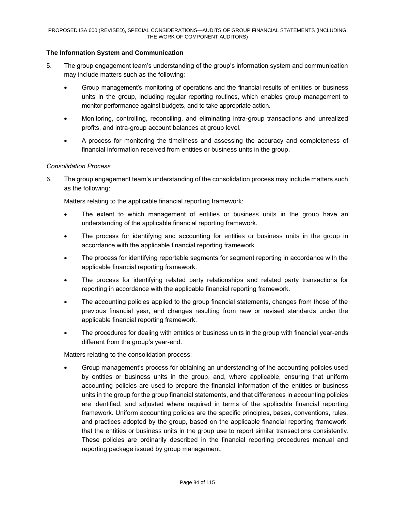#### **The Information System and Communication**

- 5. The group engagement team's understanding of the group's information system and communication may include matters such as the following:
	- Group management's monitoring of operations and the financial results of entities or business units in the group, including regular reporting routines, which enables group management to monitor performance against budgets, and to take appropriate action.
	- Monitoring, controlling, reconciling, and eliminating intra-group transactions and unrealized profits, and intra-group account balances at group level.
	- A process for monitoring the timeliness and assessing the accuracy and completeness of financial information received from entities or business units in the group.

#### *Consolidation Process*

6. The group engagement team's understanding of the consolidation process may include matters such as the following:

Matters relating to the applicable financial reporting framework:

- The extent to which management of entities or business units in the group have an understanding of the applicable financial reporting framework.
- The process for identifying and accounting for entities or business units in the group in accordance with the applicable financial reporting framework.
- The process for identifying reportable segments for segment reporting in accordance with the applicable financial reporting framework.
- The process for identifying related party relationships and related party transactions for reporting in accordance with the applicable financial reporting framework.
- The accounting policies applied to the group financial statements, changes from those of the previous financial year, and changes resulting from new or revised standards under the applicable financial reporting framework.
- The procedures for dealing with entities or business units in the group with financial year-ends different from the group's year-end.

Matters relating to the consolidation process:

• Group management's process for obtaining an understanding of the accounting policies used by entities or business units in the group, and, where applicable, ensuring that uniform accounting policies are used to prepare the financial information of the entities or business units in the group for the group financial statements, and that differences in accounting policies are identified, and adjusted where required in terms of the applicable financial reporting framework. Uniform accounting policies are the specific principles, bases, conventions, rules, and practices adopted by the group, based on the applicable financial reporting framework, that the entities or business units in the group use to report similar transactions consistently. These policies are ordinarily described in the financial reporting procedures manual and reporting package issued by group management.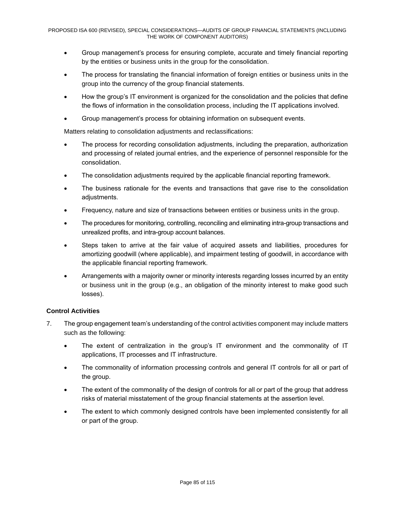- Group management's process for ensuring complete, accurate and timely financial reporting by the entities or business units in the group for the consolidation.
- The process for translating the financial information of foreign entities or business units in the group into the currency of the group financial statements.
- How the group's IT environment is organized for the consolidation and the policies that define the flows of information in the consolidation process, including the IT applications involved.
- Group management's process for obtaining information on subsequent events.

Matters relating to consolidation adjustments and reclassifications:

- The process for recording consolidation adjustments, including the preparation, authorization and processing of related journal entries, and the experience of personnel responsible for the consolidation.
- The consolidation adjustments required by the applicable financial reporting framework.
- The business rationale for the events and transactions that gave rise to the consolidation adjustments.
- Frequency, nature and size of transactions between entities or business units in the group.
- The procedures for monitoring, controlling, reconciling and eliminating intra-group transactions and unrealized profits, and intra-group account balances.
- Steps taken to arrive at the fair value of acquired assets and liabilities, procedures for amortizing goodwill (where applicable), and impairment testing of goodwill, in accordance with the applicable financial reporting framework.
- Arrangements with a majority owner or minority interests regarding losses incurred by an entity or business unit in the group (e.g., an obligation of the minority interest to make good such losses).

#### **Control Activities**

- 7. The group engagement team's understanding of the control activities component may include matters such as the following:
	- The extent of centralization in the group's IT environment and the commonality of IT applications, IT processes and IT infrastructure.
	- The commonality of information processing controls and general IT controls for all or part of the group.
	- The extent of the commonality of the design of controls for all or part of the group that address risks of material misstatement of the group financial statements at the assertion level.
	- The extent to which commonly designed controls have been implemented consistently for all or part of the group.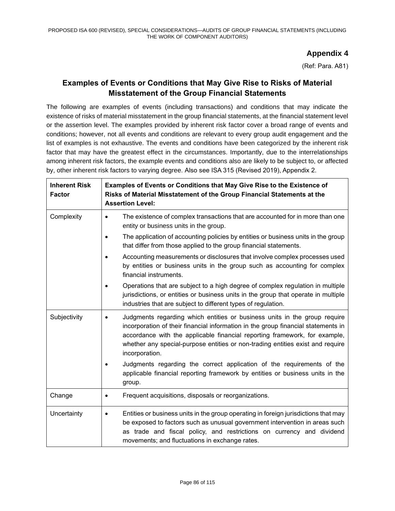# **Appendix 4**

(Ref: Para. A81)

# **Examples of Events or Conditions that May Give Rise to Risks of Material Misstatement of the Group Financial Statements**

The following are examples of events (including transactions) and conditions that may indicate the existence of risks of material misstatement in the group financial statements, at the financial statement level or the assertion level. The examples provided by inherent risk factor cover a broad range of events and conditions; however, not all events and conditions are relevant to every group audit engagement and the list of examples is not exhaustive. The events and conditions have been categorized by the inherent risk factor that may have the greatest effect in the circumstances. Importantly, due to the interrelationships among inherent risk factors, the example events and conditions also are likely to be subject to, or affected by, other inherent risk factors to varying degree. Also see ISA 315 (Revised 2019), Appendix 2.

| <b>Inherent Risk</b><br><b>Factor</b> | Examples of Events or Conditions that May Give Rise to the Existence of<br>Risks of Material Misstatement of the Group Financial Statements at the<br><b>Assertion Level:</b>                                                                                                                                                                    |
|---------------------------------------|--------------------------------------------------------------------------------------------------------------------------------------------------------------------------------------------------------------------------------------------------------------------------------------------------------------------------------------------------|
| Complexity                            | The existence of complex transactions that are accounted for in more than one<br>$\bullet$<br>entity or business units in the group.                                                                                                                                                                                                             |
|                                       | The application of accounting policies by entities or business units in the group<br>that differ from those applied to the group financial statements.                                                                                                                                                                                           |
|                                       | Accounting measurements or disclosures that involve complex processes used<br>by entities or business units in the group such as accounting for complex<br>financial instruments.                                                                                                                                                                |
|                                       | Operations that are subject to a high degree of complex regulation in multiple<br>jurisdictions, or entities or business units in the group that operate in multiple<br>industries that are subject to different types of regulation.                                                                                                            |
| Subjectivity                          | Judgments regarding which entities or business units in the group require<br>incorporation of their financial information in the group financial statements in<br>accordance with the applicable financial reporting framework, for example,<br>whether any special-purpose entities or non-trading entities exist and require<br>incorporation. |
|                                       | Judgments regarding the correct application of the requirements of the<br>applicable financial reporting framework by entities or business units in the<br>group.                                                                                                                                                                                |
| Change                                | Frequent acquisitions, disposals or reorganizations.<br>$\bullet$                                                                                                                                                                                                                                                                                |
| Uncertainty                           | Entities or business units in the group operating in foreign jurisdictions that may<br>$\bullet$<br>be exposed to factors such as unusual government intervention in areas such<br>as trade and fiscal policy, and restrictions on currency and dividend<br>movements; and fluctuations in exchange rates.                                       |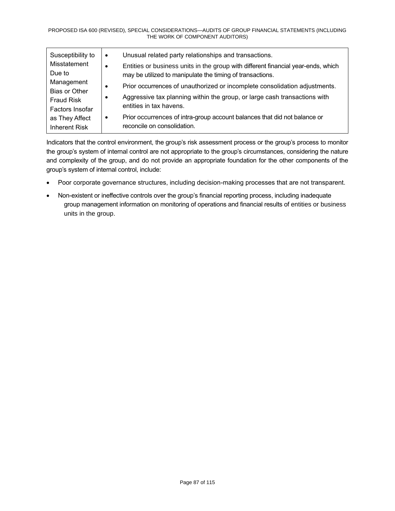| Susceptibility to<br><b>Misstatement</b><br>Due to<br>Management<br><b>Bias or Other</b><br><b>Fraud Risk</b><br>Factors Insofar<br>as They Affect<br><b>Inherent Risk</b> | Unusual related party relationships and transactions.<br>$\bullet$<br>Entities or business units in the group with different financial year-ends, which<br>$\bullet$<br>may be utilized to manipulate the timing of transactions.<br>Prior occurrences of unauthorized or incomplete consolidation adjustments.<br>$\bullet$<br>Aggressive tax planning within the group, or large cash transactions with<br>$\bullet$<br>entities in tax havens. |
|----------------------------------------------------------------------------------------------------------------------------------------------------------------------------|---------------------------------------------------------------------------------------------------------------------------------------------------------------------------------------------------------------------------------------------------------------------------------------------------------------------------------------------------------------------------------------------------------------------------------------------------|
|                                                                                                                                                                            | Prior occurrences of intra-group account balances that did not balance or<br>$\bullet$<br>reconcile on consolidation.                                                                                                                                                                                                                                                                                                                             |

Indicators that the control environment, the group's risk assessment process or the group's process to monitor the group's system of internal control are not appropriate to the group's circumstances, considering the nature and complexity of the group, and do not provide an appropriate foundation for the other components of the group's system of internal control, include:

- Poor corporate governance structures, including decision-making processes that are not transparent.
- Non-existent or ineffective controls over the group's financial reporting process, including inadequate group management information on monitoring of operations and financial results of entities or business units in the group.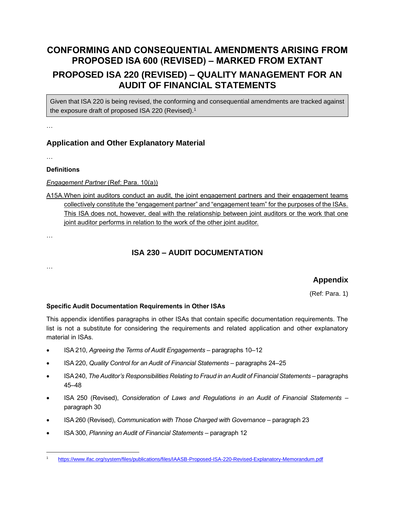# **CONFORMING AND CONSEQUENTIAL AMENDMENTS ARISING FROM PROPOSED ISA 600 (REVISED) – MARKED FROM EXTANT**

# **PROPOSED ISA 220 (REVISED) – QUALITY MANAGEMENT FOR AN AUDIT OF FINANCIAL STATEMENTS**

Given that ISA 220 is being revised, the conforming and consequential amendments are tracked against the exposure draft of proposed ISA 220 (Revised).<sup>1</sup>

…

# **Application and Other Explanatory Material**

…

### **Definitions**

### *Engagement Partner* (Ref: Para. 10(a))

## A15A.When joint auditors conduct an audit, the joint engagement partners and their engagement teams collectively constitute the "engagement partner" and "engagement team" for the purposes of the ISAs. This ISA does not, however, deal with the relationship between joint auditors or the work that one joint auditor performs in relation to the work of the other joint auditor.

…

# **ISA 230 – AUDIT DOCUMENTATION**

…

# **Appendix**

(Ref: Para. 1)

### **Specific Audit Documentation Requirements in Other ISAs**

This appendix identifies paragraphs in other ISAs that contain specific documentation requirements. The list is not a substitute for considering the requirements and related application and other explanatory material in ISAs.

- ISA 210, *Agreeing the Terms of Audit Engagements* paragraphs 10–12
- ISA 220, *Quality Control for an Audit of Financial Statements* paragraphs 24–25
- ISA 240, *The Auditor's Responsibilities Relating to Fraud in an Audit of Financial Statements* paragraphs 45–48
- ISA 250 (Revised), *Consideration of Laws and Regulations in an Audit of Financial Statements* paragraph 30
- ISA 260 (Revised), *Communication with Those Charged with Governance* paragraph 23
- ISA 300, *Planning an Audit of Financial Statements* paragraph 12

<sup>1</sup> https://www.ifac.org/system/files/publications/files/IAASB-Proposed-ISA-220-Revised-Explanatory-Memorandum.pdf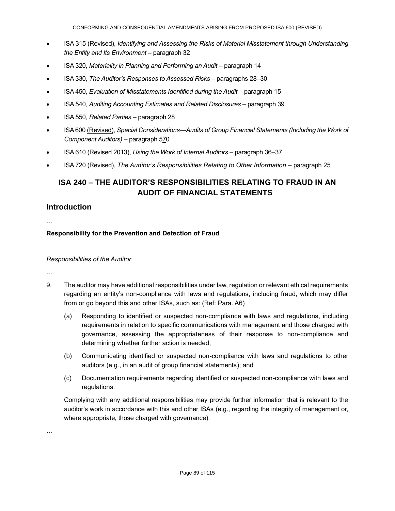- ISA 315 (Revised), *Identifying and Assessing the Risks of Material Misstatement through Understanding the Entity and Its Environment* – paragraph 32
- ISA 320, *Materiality in Planning and Performing an Audit* paragraph 14
- ISA 330, *The Auditor's Responses to Assessed Risks* paragraphs 28–30
- ISA 450, *Evaluation of Misstatements Identified during the Audit* paragraph 15
- ISA 540, *Auditing Accounting Estimates and Related Disclosures* paragraph 39
- ISA 550, *Related Parties* paragraph 28
- ISA 600 (Revised), *Special Considerations—Audits of Group Financial Statements (Including the Work of Component Auditors)* – paragraph 570
- ISA 610 (Revised 2013), *Using the Work of Internal Auditors* paragraph 36–37
- **ISA 720 (Revised), The Auditor's Responsibilities Relating to Other Information paragraph 25**

# **ISA 240 – THE AUDITOR'S RESPONSIBILITIES RELATING TO FRAUD IN AN AUDIT OF FINANCIAL STATEMENTS**

## **Introduction**

…

### **Responsibility for the Prevention and Detection of Fraud**

*…*

### *Responsibilities of the Auditor*

…

- 9. The auditor may have additional responsibilities under law, regulation or relevant ethical requirements regarding an entity's non-compliance with laws and regulations, including fraud, which may differ from or go beyond this and other ISAs, such as: (Ref: Para. A6)
	- (a) Responding to identified or suspected non-compliance with laws and regulations, including requirements in relation to specific communications with management and those charged with governance, assessing the appropriateness of their response to non-compliance and determining whether further action is needed;
	- (b) Communicating identified or suspected non-compliance with laws and regulations to other auditors (e.g., in an audit of group financial statements); and
	- (c) Documentation requirements regarding identified or suspected non-compliance with laws and regulations.

Complying with any additional responsibilities may provide further information that is relevant to the auditor's work in accordance with this and other ISAs (e.g., regarding the integrity of management or, where appropriate, those charged with governance).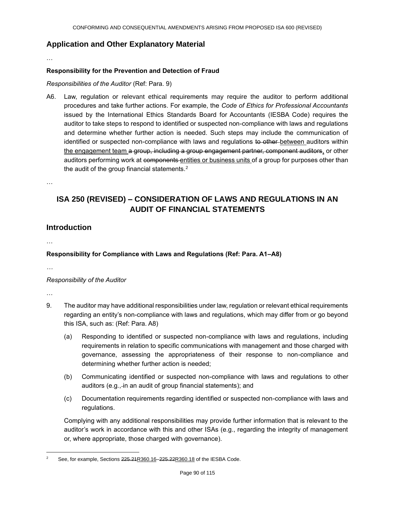# **Application and Other Explanatory Material**

…

### **Responsibility for the Prevention and Detection of Fraud**

#### *Responsibilities of the Auditor* (Ref: Para. 9)

A6. Law, regulation or relevant ethical requirements may require the auditor to perform additional procedures and take further actions. For example, the *Code of Ethics for Professional Accountants* issued by the International Ethics Standards Board for Accountants (IESBA Code) requires the auditor to take steps to respond to identified or suspected non-compliance with laws and regulations and determine whether further action is needed. Such steps may include the communication of identified or suspected non-compliance with laws and regulations to other-between auditors within the engagement team a group, including a group engagement partner, component auditors, or other auditors performing work at components entities or business units of a group for purposes other than the audit of the group financial statements.<sup>2</sup>

…

# **ISA 250 (REVISED) – CONSIDERATION OF LAWS AND REGULATIONS IN AN AUDIT OF FINANCIAL STATEMENTS**

### **Introduction**

…

### **Responsibility for Compliance with Laws and Regulations (Ref: Para. A1–A8)**

*…*

### *Responsibility of the Auditor*

…

- 9. The auditor may have additional responsibilities under law, regulation or relevant ethical requirements regarding an entity's non-compliance with laws and regulations, which may differ from or go beyond this ISA, such as: (Ref: Para. A8)
	- (a) Responding to identified or suspected non-compliance with laws and regulations, including requirements in relation to specific communications with management and those charged with governance, assessing the appropriateness of their response to non-compliance and determining whether further action is needed;
	- (b) Communicating identified or suspected non-compliance with laws and regulations to other auditors (e.g., in an audit of group financial statements); and
	- (c) Documentation requirements regarding identified or suspected non-compliance with laws and regulations.

Complying with any additional responsibilities may provide further information that is relevant to the auditor's work in accordance with this and other ISAs (e.g., regarding the integrity of management or, where appropriate, those charged with governance).

<sup>&</sup>lt;sup>2</sup> See, for example, Sections  $225.21R360.16 - 225.22R360.18$  of the IESBA Code.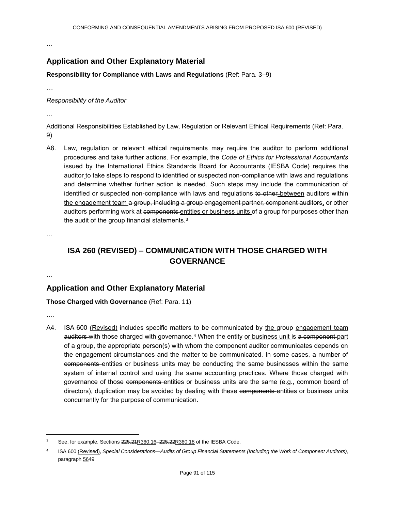…

## **Application and Other Explanatory Material**

**Responsibility for Compliance with Laws and Regulations** (Ref: Para. 3–9)

*…*

*Responsibility of the Auditor*

…

Additional Responsibilities Established by Law, Regulation or Relevant Ethical Requirements (Ref: Para. 9)

A8. Law, regulation or relevant ethical requirements may require the auditor to perform additional procedures and take further actions. For example, the *Code of Ethics for Professional Accountants* issued by the International Ethics Standards Board for Accountants (IESBA Code) requires the auditor to take steps to respond to identified or suspected non-compliance with laws and regulations and determine whether further action is needed. Such steps may include the communication of identified or suspected non-compliance with laws and regulations to other-between auditors within the engagement team a group, including a group engagement partner, component auditors, or other auditors performing work at components entities or business units of a group for purposes other than the audit of the group financial statements.<sup>3</sup>

…

# **ISA 260 (REVISED) – COMMUNICATION WITH THOSE CHARGED WITH GOVERNANCE**

…

# **Application and Other Explanatory Material**

#### **Those Charged with Governance** (Ref: Para. 11)

….

A4. ISA 600 (Revised) includes specific matters to be communicated by the group engagement team auditors with those charged with governance.<sup>4</sup> When the entity or business unit is a component part of a group, the appropriate person(s) with whom the component auditor communicates depends on the engagement circumstances and the matter to be communicated. In some cases, a number of components entities or business units may be conducting the same businesses within the same system of internal control and using the same accounting practices. Where those charged with governance of those components entities or business units are the same (e.g., common board of directors), duplication may be avoided by dealing with these components entities or business units concurrently for the purpose of communication.

See, for example, Sections 225.21R360.16-225.22R360.18 of the IESBA Code.

<sup>4</sup> ISA 600 (Revised), *Special Considerations—Audits of Group Financial Statements (Including the Work of Component Auditors)*, paragraph 5649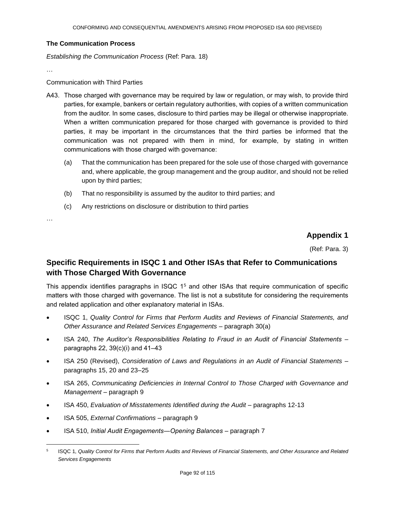#### **The Communication Process**

*Establishing the Communication Process* (Ref: Para. 18)

…

#### Communication with Third Parties

- A43. Those charged with governance may be required by law or regulation, or may wish, to provide third parties, for example, bankers or certain regulatory authorities, with copies of a written communication from the auditor. In some cases, disclosure to third parties may be illegal or otherwise inappropriate. When a written communication prepared for those charged with governance is provided to third parties, it may be important in the circumstances that the third parties be informed that the communication was not prepared with them in mind, for example, by stating in written communications with those charged with governance:
	- (a) That the communication has been prepared for the sole use of those charged with governance and, where applicable, the group management and the group auditor, and should not be relied upon by third parties;
	- (b) That no responsibility is assumed by the auditor to third parties; and
	- (c) Any restrictions on disclosure or distribution to third parties

…

# **Appendix 1**

(Ref: Para. 3)

# **Specific Requirements in ISQC 1 and Other ISAs that Refer to Communications with Those Charged With Governance**

This appendix identifies paragraphs in ISQC 1<sup>5</sup> and other ISAs that require communication of specific matters with those charged with governance. The list is not a substitute for considering the requirements and related application and other explanatory material in ISAs.

- ISQC 1, *Quality Control for Firms that Perform Audits and Reviews of Financial Statements, and Other Assurance and Related Services Engagements* – paragraph 30(a)
- ISA 240, *The Auditor's Responsibilities Relating to Fraud in an Audit of Financial Statements* paragraphs  $22$ ,  $39(c)(i)$  and  $41–43$
- ISA 250 (Revised), *Consideration of Laws and Regulations in an Audit of Financial Statements* paragraphs 15, 20 and 23–25
- ISA 265, *Communicating Deficiencies in Internal Control to Those Charged with Governance and Management* – paragraph 9
- ISA 450, *Evaluation of Misstatements Identified during the Audit* paragraphs 12-13
- ISA 505, *External Confirmations* paragraph 9
- ISA 510, *Initial Audit Engagements―Opening Balances* paragraph 7

<sup>5</sup> ISQC 1, *Quality Control for Firms that Perform Audits and Reviews of Financial Statements, and Other Assurance and Related Services Engagements*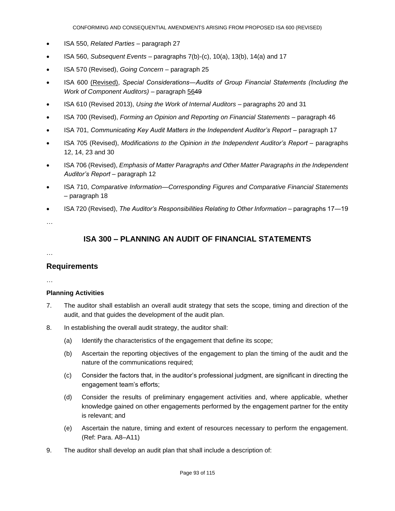- ISA 550, *Related Parties* paragraph 27
- ISA 560, *Subsequent Events* paragraphs 7(b)-(c), 10(a), 13(b), 14(a) and 17
- ISA 570 (Revised), *Going Concern* paragraph 25
- ISA 600 (Revised), *Special Considerations―Audits of Group Financial Statements (Including the Work of Component Auditors)* – paragraph 5649
- ISA 610 (Revised 2013), *Using the Work of Internal Auditors* paragraphs 20 and 31
- ISA 700 (Revised), *Forming an Opinion and Reporting on Financial Statements* paragraph 46
- ISA 701, *Communicating Key Audit Matters in the Independent Auditor's Report* paragraph 17
- ISA 705 (Revised), *Modifications to the Opinion in the Independent Auditor's Report* paragraphs 12, 14, 23 and 30
- ISA 706 (Revised), *Emphasis of Matter Paragraphs and Other Matter Paragraphs in the Independent Auditor's Report* – paragraph 12
- ISA 710, *Comparative Information—Corresponding Figures and Comparative Financial Statements*  – paragraph 18
- ISA 720 (Revised), *The Auditor's Responsibilities Relating to Other Information* paragraphs 17―19

…

## **ISA 300 – PLANNING AN AUDIT OF FINANCIAL STATEMENTS**

…

#### **Requirements**

…

#### **Planning Activities**

- 7. The auditor shall establish an overall audit strategy that sets the scope, timing and direction of the audit, and that guides the development of the audit plan.
- 8. In establishing the overall audit strategy, the auditor shall:
	- (a) Identify the characteristics of the engagement that define its scope;
	- (b) Ascertain the reporting objectives of the engagement to plan the timing of the audit and the nature of the communications required;
	- (c) Consider the factors that, in the auditor's professional judgment, are significant in directing the engagement team's efforts;
	- (d) Consider the results of preliminary engagement activities and, where applicable, whether knowledge gained on other engagements performed by the engagement partner for the entity is relevant; and
	- (e) Ascertain the nature, timing and extent of resources necessary to perform the engagement. (Ref: Para. A8–A11)
- 9. The auditor shall develop an audit plan that shall include a description of: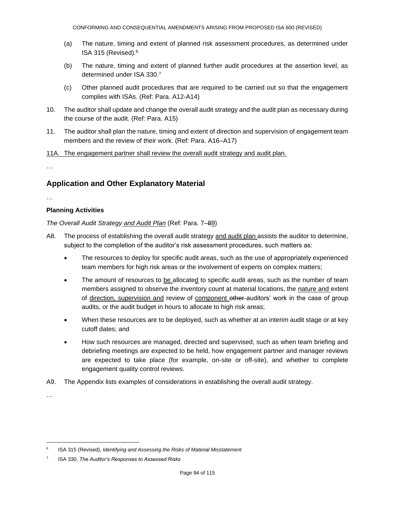- (a) The nature, timing and extent of planned risk assessment procedures, as determined under ISA 315 (Revised).<sup>6</sup>
- (b) The nature, timing and extent of planned further audit procedures at the assertion level, as determined under ISA 330.<sup>7</sup>
- (c) Other planned audit procedures that are required to be carried out so that the engagement complies with ISAs. (Ref: Para. A12-A14)
- 10. The auditor shall update and change the overall audit strategy and the audit plan as necessary during the course of the audit. (Ref: Para. A15)
- 11. The auditor shall plan the nature, timing and extent of direction and supervision of engagement team members and the review of their work. (Ref: Para. A16–A17)

### 11A. The engagement partner shall review the overall audit strategy and audit plan.

…

# **Application and Other Explanatory Material**

…

### **Planning Activities**

*The Overall Audit Strategy and Audit Plan* (Ref: Para. 7–89)

- A8. The process of establishing the overall audit strategy and audit plan assists the auditor to determine, subject to the completion of the auditor's risk assessment procedures, such matters as:
	- The resources to deploy for specific audit areas, such as the use of appropriately experienced team members for high risk areas or the involvement of experts on complex matters;
	- The amount of resources to be allocated to specific audit areas, such as the number of team members assigned to observe the inventory count at material locations, the nature and extent of direction, supervision and review of component other auditors' work in the case of group audits, or the audit budget in hours to allocate to high risk areas;
	- When these resources are to be deployed, such as whether at an interim audit stage or at key cutoff dates; and
	- How such resources are managed, directed and supervised, such as when team briefing and debriefing meetings are expected to be held, how engagement partner and manager reviews are expected to take place (for example, on-site or off-site), and whether to complete engagement quality control reviews.
- A9. The Appendix lists examples of considerations in establishing the overall audit strategy.

<sup>6</sup> ISA 315 (Revised), *Identifying and Assessing the Risks of Material Misstatement*

<sup>7</sup> ISA 330, *The Auditor's Responses to Assessed Risks*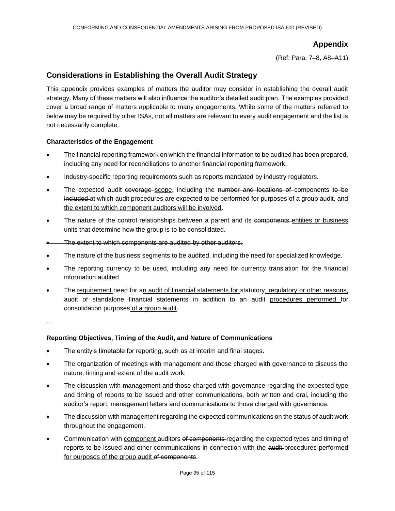# **Appendix**

(Ref: Para. 7–8, A8–A11)

## **Considerations in Establishing the Overall Audit Strategy**

This appendix provides examples of matters the auditor may consider in establishing the overall audit strategy. Many of these matters will also influence the auditor's detailed audit plan. The examples provided cover a broad range of matters applicable to many engagements. While some of the matters referred to below may be required by other ISAs, not all matters are relevant to every audit engagement and the list is not necessarily complete.

### **Characteristics of the Engagement**

- The financial reporting framework on which the financial information to be audited has been prepared, including any need for reconciliations to another financial reporting framework.
- Industry-specific reporting requirements such as reports mandated by industry regulators.
- The expected audit coverage scope, including the number and locations of components to be included at which audit procedures are expected to be performed for purposes of a group audit, and the extent to which component auditors will be involved.
- The nature of the control relationships between a parent and its components entities or business units that determine how the group is to be consolidated.
- The extent to which components are audited by other auditors.
- The nature of the business segments to be audited, including the need for specialized knowledge.
- The reporting currency to be used, including any need for currency translation for the financial information audited.
- The requirement need for an audit of financial statements for statutory, regulatory or other reasons, audit of standalone financial statements in addition to an audit procedures performed for consolidation purposes of a group audit.

…

### **Reporting Objectives, Timing of the Audit, and Nature of Communications**

- The entity's timetable for reporting, such as at interim and final stages.
- The organization of meetings with management and those charged with governance to discuss the nature, timing and extent of the audit work.
- The discussion with management and those charged with governance regarding the expected type and timing of reports to be issued and other communications, both written and oral, including the auditor's report, management letters and communications to those charged with governance.
- The discussion with management regarding the expected communications on the status of audit work throughout the engagement.
- Communication with **component** auditors of components-regarding the expected types and timing of reports to be issued and other communications in connection with the audit-procedures performed for purposes of the group audit of components.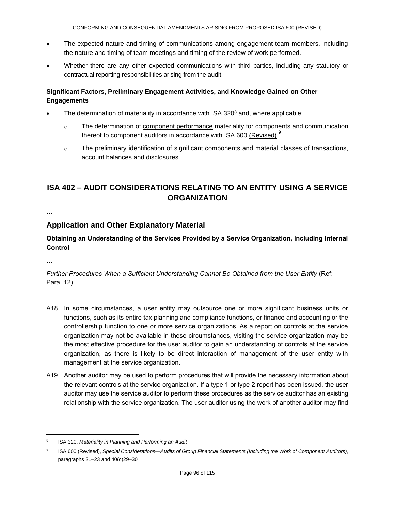CONFORMING AND CONSEQUENTIAL AMENDMENTS ARISING FROM PROPOSED ISA 600 (REVISED)

- The expected nature and timing of communications among engagement team members, including the nature and timing of team meetings and timing of the review of work performed.
- Whether there are any other expected communications with third parties, including any statutory or contractual reporting responsibilities arising from the audit.

### **Significant Factors, Preliminary Engagement Activities, and Knowledge Gained on Other Engagements**

- The determination of materiality in accordance with ISA 320<sup>8</sup> and, where applicable:
	- $\circ$  The determination of component performance materiality for components and communication thereof to component auditors in accordance with ISA 600 (Revised).<sup>9</sup>
	- o The preliminary identification of significant components and material classes of transactions, account balances and disclosures.

…

# **ISA 402 – AUDIT CONSIDERATIONS RELATING TO AN ENTITY USING A SERVICE ORGANIZATION**

…

# **Application and Other Explanatory Material**

## **Obtaining an Understanding of the Services Provided by a Service Organization, Including Internal Control**

…

## Further Procedures When a Sufficient Understanding Cannot Be Obtained from the User Entity (Ref: Para. 12)

- A18. In some circumstances, a user entity may outsource one or more significant business units or functions, such as its entire tax planning and compliance functions, or finance and accounting or the controllership function to one or more service organizations. As a report on controls at the service organization may not be available in these circumstances, visiting the service organization may be the most effective procedure for the user auditor to gain an understanding of controls at the service organization, as there is likely to be direct interaction of management of the user entity with management at the service organization.
- A19. Another auditor may be used to perform procedures that will provide the necessary information about the relevant controls at the service organization. If a type 1 or type 2 report has been issued, the user auditor may use the service auditor to perform these procedures as the service auditor has an existing relationship with the service organization. The user auditor using the work of another auditor may find

<sup>8</sup> ISA 320, *Materiality in Planning and Performing an Audit*

<sup>9</sup> ISA 600 (Revised), *Special Considerations—Audits of Group Financial Statements (Including the Work of Component Auditors)*, paragraphs 21–23 and 40(c)29–30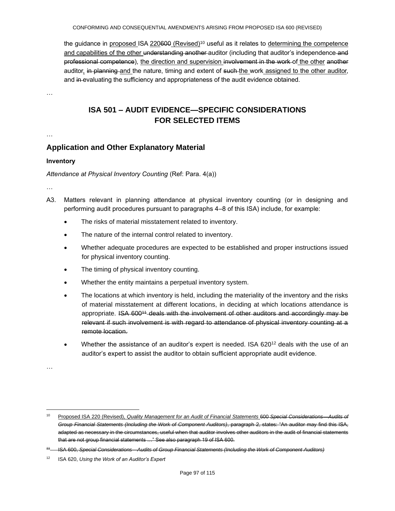the guidance in proposed ISA 220600 (Revised)<sup>10</sup> useful as it relates to determining the competence and capabilities of the other understanding another auditor (including that auditor's independence and professional competence), the direction and supervision involvement in the work of the other another auditor, in planning and the nature, timing and extent of such the work assigned to the other auditor, and in evaluating the sufficiency and appropriateness of the audit evidence obtained.

…

# **ISA 501 – AUDIT EVIDENCE—SPECIFIC CONSIDERATIONS FOR SELECTED ITEMS**

…

# **Application and Other Explanatory Material**

#### **Inventory**

Attendance at Physical Inventory Counting (Ref: Para. 4(a))

…

- A3. Matters relevant in planning attendance at physical inventory counting (or in designing and performing audit procedures pursuant to paragraphs 4–8 of this ISA) include, for example:
	- The risks of material misstatement related to inventory.
	- The nature of the internal control related to inventory.
	- Whether adequate procedures are expected to be established and proper instructions issued for physical inventory counting.
	- The timing of physical inventory counting.
	- Whether the entity maintains a perpetual inventory system.
	- The locations at which inventory is held, including the materiality of the inventory and the risks of material misstatement at different locations, in deciding at which locations attendance is appropriate. ISA 600<sup>11</sup> deals with the involvement of other auditors and accordingly may be relevant if such involvement is with regard to attendance of physical inventory counting at a remote location.
	- Whether the assistance of an auditor's expert is needed. ISA 620<sup>12</sup> deals with the use of an auditor's expert to assist the auditor to obtain sufficient appropriate audit evidence.

<sup>10</sup> Proposed ISA 220 (Revised), *Quality Management for an Audit of Financial Statements* 600 *Special Considerations—Audits of Group Financial Statements (Including the Work of Component Auditors)*, paragraph 2, states: "An auditor may find this ISA, adapted as necessary in the circumstances, useful when that auditor involves other auditors in the audit of financial statements that are not group financial statements …" See also paragraph 19 of ISA 600.

<sup>11</sup> ISA 600, *Special Considerations—Audits of Group Financial Statements (Including the Work of Component Auditors)*

<sup>12</sup> ISA 620, *Using the Work of an Auditor's Expert*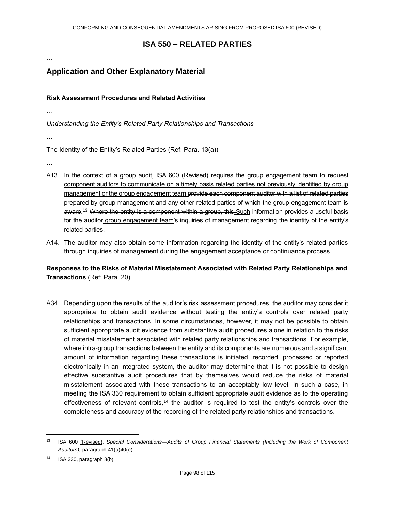# **ISA 550 – RELATED PARTIES**

…

# **Application and Other Explanatory Material**

…

### **Risk Assessment Procedures and Related Activities**

*…*

*Understanding the Entity's Related Party Relationships and Transactions*

…

The Identity of the Entity's Related Parties (Ref: Para. 13(a))

…

- A13. In the context of a group audit, ISA 600 (Revised) requires the group engagement team to request component auditors to communicate on a timely basis related parties not previously identified by group management or the group engagement team provide each component auditor with a list of related parties prepared by group management and any other related parties of which the group engagement team is a<del>ware</del>.13 <del>Where the entity is a component within a group, this\_Such</del> information provides a useful basis for the auditor group engagement team's inquiries of management regarding the identity of the entity's related parties.
- A14. The auditor may also obtain some information regarding the identity of the entity's related parties through inquiries of management during the engagement acceptance or continuance process.

### **Responses to the Risks of Material Misstatement Associated with Related Party Relationships and Transactions** (Ref: Para. 20)

…

A34. Depending upon the results of the auditor's risk assessment procedures, the auditor may consider it appropriate to obtain audit evidence without testing the entity's controls over related party relationships and transactions. In some circumstances, however, it may not be possible to obtain sufficient appropriate audit evidence from substantive audit procedures alone in relation to the risks of material misstatement associated with related party relationships and transactions. For example, where intra-group transactions between the entity and its components are numerous and a significant amount of information regarding these transactions is initiated, recorded, processed or reported electronically in an integrated system, the auditor may determine that it is not possible to design effective substantive audit procedures that by themselves would reduce the risks of material misstatement associated with these transactions to an acceptably low level. In such a case, in meeting the ISA 330 requirement to obtain sufficient appropriate audit evidence as to the operating effectiveness of relevant controls,<sup>14</sup> the auditor is required to test the entity's controls over the completeness and accuracy of the recording of the related party relationships and transactions.

<sup>13</sup> ISA 600 (Revised), *Special Considerations—Audits of Group Financial Statements (Including the Work of Component*  Auditors), paragraph 41(a)40(e)

ISA 330, paragraph 8(b)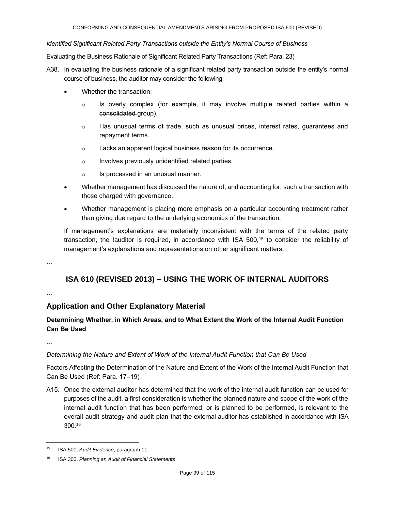#### *Identified Significant Related Party Transactions outside the Entity's Normal Course of Business*

Evaluating the Business Rationale of Significant Related Party Transactions (Ref: Para. 23)

- A38. In evaluating the business rationale of a significant related party transaction outside the entity's normal course of business, the auditor may consider the following:
	- Whether the transaction:
		- $\circ$  Is overly complex (for example, it may involve multiple related parties within a consolidated group).
		- o Has unusual terms of trade, such as unusual prices, interest rates, guarantees and repayment terms.
		- o Lacks an apparent logical business reason for its occurrence.
		- o Involves previously unidentified related parties.
		- o Is processed in an unusual manner.
	- Whether management has discussed the nature of, and accounting for, such a transaction with those charged with governance.
	- Whether management is placing more emphasis on a particular accounting treatment rather than giving due regard to the underlying economics of the transaction.

If management's explanations are materially inconsistent with the terms of the related party transaction, the !auditor is required, in accordance with ISA 500,<sup>15</sup> to consider the reliability of management's explanations and representations on other significant matters.

…

# **ISA 610 (REVISED 2013) – USING THE WORK OF INTERNAL AUDITORS**

…

# **Application and Other Explanatory Material**

### **Determining Whether, in Which Areas, and to What Extent the Work of the Internal Audit Function Can Be Used**

…

### *Determining the Nature and Extent of Work of the Internal Audit Function that Can Be Used*

Factors Affecting the Determination of the Nature and Extent of the Work of the Internal Audit Function that Can Be Used (Ref: Para. 17–19)

A15. Once the external auditor has determined that the work of the internal audit function can be used for purposes of the audit, a first consideration is whether the planned nature and scope of the work of the internal audit function that has been performed, or is planned to be performed, is relevant to the overall audit strategy and audit plan that the external auditor has established in accordance with ISA 300.<sup>16</sup>

<sup>15</sup> ISA 500, *Audit Evidence*, paragraph 11

<sup>16</sup> ISA 300, *Planning an Audit of Financial Statements*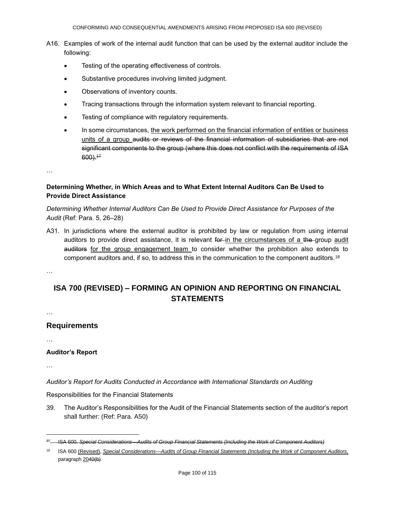- A16. Examples of work of the internal audit function that can be used by the external auditor include the following:
	- Testing of the operating effectiveness of controls.
	- Substantive procedures involving limited judgment.
	- Observations of inventory counts.
	- Tracing transactions through the information system relevant to financial reporting.
	- Testing of compliance with regulatory requirements.
	- In some circumstances, the work performed on the financial information of entities or business units of a group audits or reviews of the financial information of subsidiaries that are not significant components to the group (where this does not conflict with the requirements of ISA 600).<sup>17</sup>

…

### **Determining Whether, in Which Areas and to What Extent Internal Auditors Can Be Used to Provide Direct Assistance**

### *Determining Whether Internal Auditors Can Be Used to Provide Direct Assistance for Purposes of the Audit* (Ref: Para. 5, 26–28)

A31. In jurisdictions where the external auditor is prohibited by law or regulation from using internal auditors to provide direct assistance, it is relevant for-in the circumstances of a the-group audit auditors for the group engagement team to consider whether the prohibition also extends to component auditors and, if so, to address this in the communication to the component auditors.<sup>18</sup>

…

# **ISA 700 (REVISED) – FORMING AN OPINION AND REPORTING ON FINANCIAL STATEMENTS**

…

# **Requirements**

…

### **Auditor's Report**

…

*Auditor's Report for Audits Conducted in Accordance with International Standards on Auditing*

Responsibilities for the Financial Statements

39. The Auditor's Responsibilities for the Audit of the Financial Statements section of the auditor's report shall further: (Ref: Para. A50)

<sup>17</sup> ISA 600, *Special Considerations—Audits of Group Financial Statements (Including the Work of Component Auditors)*

<sup>18</sup> ISA 600 (Revised), *Special Considerations—Audits of Group Financial Statements (Including the Work of Component Auditors,* paragraph 2040(b)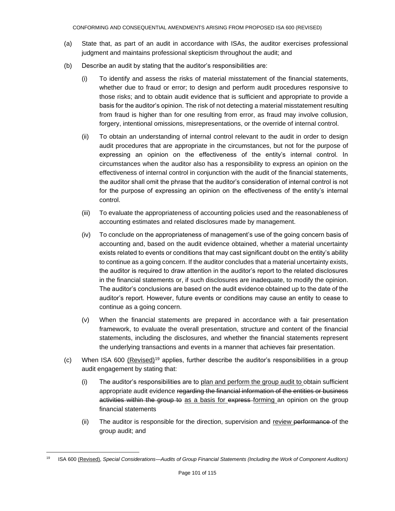- (a) State that, as part of an audit in accordance with ISAs, the auditor exercises professional judgment and maintains professional skepticism throughout the audit; and
- (b) Describe an audit by stating that the auditor's responsibilities are:
	- (i) To identify and assess the risks of material misstatement of the financial statements, whether due to fraud or error; to design and perform audit procedures responsive to those risks; and to obtain audit evidence that is sufficient and appropriate to provide a basis for the auditor's opinion. The risk of not detecting a material misstatement resulting from fraud is higher than for one resulting from error, as fraud may involve collusion, forgery, intentional omissions, misrepresentations, or the override of internal control.
	- (ii) To obtain an understanding of internal control relevant to the audit in order to design audit procedures that are appropriate in the circumstances, but not for the purpose of expressing an opinion on the effectiveness of the entity's internal control. In circumstances when the auditor also has a responsibility to express an opinion on the effectiveness of internal control in conjunction with the audit of the financial statements, the auditor shall omit the phrase that the auditor's consideration of internal control is not for the purpose of expressing an opinion on the effectiveness of the entity's internal control.
	- (iii) To evaluate the appropriateness of accounting policies used and the reasonableness of accounting estimates and related disclosures made by management.
	- (iv) To conclude on the appropriateness of management's use of the going concern basis of accounting and, based on the audit evidence obtained, whether a material uncertainty exists related to events or conditions that may cast significant doubt on the entity's ability to continue as a going concern. If the auditor concludes that a material uncertainty exists, the auditor is required to draw attention in the auditor's report to the related disclosures in the financial statements or, if such disclosures are inadequate, to modify the opinion. The auditor's conclusions are based on the audit evidence obtained up to the date of the auditor's report. However, future events or conditions may cause an entity to cease to continue as a going concern.
	- (v) When the financial statements are prepared in accordance with a fair presentation framework, to evaluate the overall presentation, structure and content of the financial statements, including the disclosures, and whether the financial statements represent the underlying transactions and events in a manner that achieves fair presentation.
- (c) When ISA 600 (Revised)<sup>19</sup> applies, further describe the auditor's responsibilities in a group audit engagement by stating that:
	- (i) The auditor's responsibilities are to  $plan$  and perform the group audit to obtain sufficient appropriate audit evidence regarding the financial information of the entities or business activities within the group to as a basis for express forming an opinion on the group financial statements
	- (ii) The auditor is responsible for the direction, supervision and review performance of the group audit; and

<sup>19</sup> ISA 600 (Revised), *Special Considerations—Audits of Group Financial Statements (Including the Work of Component Auditors)*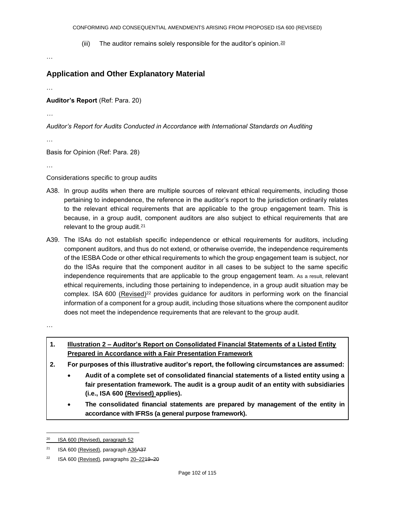(iii) The auditor remains solely responsible for the auditor's opinion.  $20$ 

…

# **Application and Other Explanatory Material**

…

**Auditor's Report** (Ref: Para. 20)

*…*

*Auditor's Report for Audits Conducted in Accordance with International Standards on Auditing*

…

Basis for Opinion (Ref: Para. 28)

…

Considerations specific to group audits

- A38. In group audits when there are multiple sources of relevant ethical requirements, including those pertaining to independence, the reference in the auditor's report to the jurisdiction ordinarily relates to the relevant ethical requirements that are applicable to the group engagement team. This is because, in a group audit, component auditors are also subject to ethical requirements that are relevant to the group audit.<sup>21</sup>
- A39. The ISAs do not establish specific independence or ethical requirements for auditors, including component auditors, and thus do not extend, or otherwise override, the independence requirements of the IESBA Code or other ethical requirements to which the group engagement team is subject, nor do the ISAs require that the component auditor in all cases to be subject to the same specific independence requirements that are applicable to the group engagement team. As a result, relevant ethical requirements, including those pertaining to independence, in a group audit situation may be complex. ISA 600 (Revised) $^{22}$  provides guidance for auditors in performing work on the financial information of a component for a group audit, including those situations where the component auditor does not meet the independence requirements that are relevant to the group audit.

| Illustration 2 – Auditor's Report on Consolidated Financial Statements of a Listed Entity |
|-------------------------------------------------------------------------------------------|
| <b>Prepared in Accordance with a Fair Presentation Framework</b>                          |

- **2. For purposes of this illustrative auditor's report, the following circumstances are assumed:**
	- **Audit of a complete set of consolidated financial statements of a listed entity using a fair presentation framework. The audit is a group audit of an entity with subsidiaries (i.e., ISA 600 (Revised) applies).**
	- **The consolidated financial statements are prepared by management of the entity in accordance with IFRSs (a general purpose framework).**

<sup>&</sup>lt;sup>20</sup> ISA 600 (Revised), paragraph 52

<sup>&</sup>lt;sup>21</sup> ISA 600 (Revised), paragraph A36A37

ISA 600 (Revised), paragraphs 20-2219-20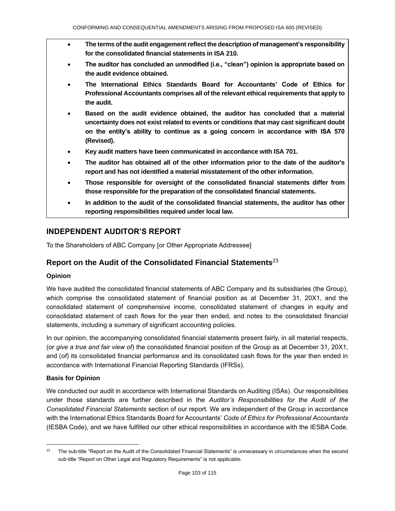- **The terms of the audit engagement reflect the description of management's responsibility for the consolidated financial statements in ISA 210.**
- **The auditor has concluded an unmodified (i.e., "clean") opinion is appropriate based on the audit evidence obtained.**
- **The International Ethics Standards Board for Accountants' Code of Ethics for Professional Accountants comprises all of the relevant ethical requirements that apply to the audit.**
- **Based on the audit evidence obtained, the auditor has concluded that a material uncertainty does not exist related to events or conditions that may cast significant doubt on the entity's ability to continue as a going concern in accordance with ISA 570 (Revised).**
- **Key audit matters have been communicated in accordance with ISA 701.**
- **The auditor has obtained all of the other information prior to the date of the auditor's report and has not identified a material misstatement of the other information.**
- **Those responsible for oversight of the consolidated financial statements differ from those responsible for the preparation of the consolidated financial statements.**
- **In addition to the audit of the consolidated financial statements, the auditor has other reporting responsibilities required under local law.**

# **INDEPENDENT AUDITOR'S REPORT**

To the Shareholders of ABC Company [or Other Appropriate Addressee]

# **Report on the Audit of the Consolidated Financial Statements**<sup>23</sup>

### **Opinion**

We have audited the consolidated financial statements of ABC Company and its subsidiaries (the Group), which comprise the consolidated statement of financial position as at December 31, 20X1, and the consolidated statement of comprehensive income, consolidated statement of changes in equity and consolidated statement of cash flows for the year then ended, and notes to the consolidated financial statements, including a summary of significant accounting policies.

In our opinion, the accompanying consolidated financial statements present fairly, in all material respects, (or *give a true and fair view of*) the consolidated financial position of the Group as at December 31, 20X1, and (*of*) its consolidated financial performance and its consolidated cash flows for the year then ended in accordance with International Financial Reporting Standards (IFRSs).

### **Basis for Opinion**

We conducted our audit in accordance with International Standards on Auditing (ISAs). Our responsibilities under those standards are further described in the *Auditor's Responsibilities for the Audit of the Consolidated Financial Statements* section of our report. We are independent of the Group in accordance with the International Ethics Standards Board for Accountants' *Code of Ethics for Professional Accountants* (IESBA Code), and we have fulfilled our other ethical responsibilities in accordance with the IESBA Code.

<sup>&</sup>lt;sup>23</sup> The sub-title "Report on the Audit of the Consolidated Financial Statements" is unnecessary in circumstances when the second sub-title "Report on Other Legal and Regulatory Requirements" is not applicable.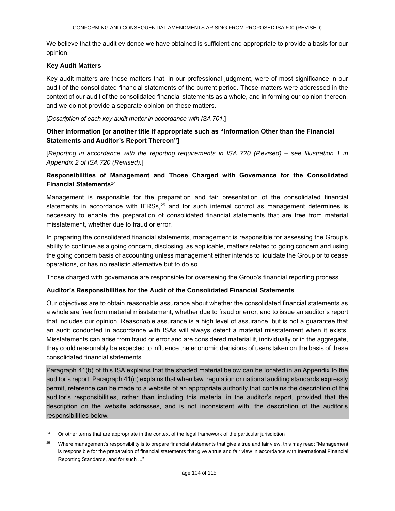We believe that the audit evidence we have obtained is sufficient and appropriate to provide a basis for our opinion.

#### **Key Audit Matters**

Key audit matters are those matters that, in our professional judgment, were of most significance in our audit of the consolidated financial statements of the current period. These matters were addressed in the context of our audit of the consolidated financial statements as a whole, and in forming our opinion thereon, and we do not provide a separate opinion on these matters.

[*Description of each key audit matter in accordance with ISA 701.*]

### **Other Information [or another title if appropriate such as "Information Other than the Financial Statements and Auditor's Report Thereon"]**

[*Reporting in accordance with the reporting requirements in ISA 720 (Revised) – see Illustration 1 in Appendix 2 of ISA 720 (Revised).*]

### **Responsibilities of Management and Those Charged with Governance for the Consolidated Financial Statements**<sup>24</sup>

Management is responsible for the preparation and fair presentation of the consolidated financial statements in accordance with IFRSs,<sup>25</sup> and for such internal control as management determines is necessary to enable the preparation of consolidated financial statements that are free from material misstatement, whether due to fraud or error.

In preparing the consolidated financial statements, management is responsible for assessing the Group's ability to continue as a going concern, disclosing, as applicable, matters related to going concern and using the going concern basis of accounting unless management either intends to liquidate the Group or to cease operations, or has no realistic alternative but to do so.

Those charged with governance are responsible for overseeing the Group's financial reporting process.

### **Auditor's Responsibilities for the Audit of the Consolidated Financial Statements**

Our objectives are to obtain reasonable assurance about whether the consolidated financial statements as a whole are free from material misstatement, whether due to fraud or error, and to issue an auditor's report that includes our opinion. Reasonable assurance is a high level of assurance, but is not a guarantee that an audit conducted in accordance with ISAs will always detect a material misstatement when it exists. Misstatements can arise from fraud or error and are considered material if, individually or in the aggregate, they could reasonably be expected to influence the economic decisions of users taken on the basis of these consolidated financial statements.

Paragraph 41(b) of this ISA explains that the shaded material below can be located in an Appendix to the auditor's report. Paragraph 41(c) explains that when law, regulation or national auditing standards expressly permit, reference can be made to a website of an appropriate authority that contains the description of the auditor's responsibilities, rather than including this material in the auditor's report, provided that the description on the website addresses, and is not inconsistent with, the description of the auditor's responsibilities below.

<sup>24</sup> Or other terms that are appropriate in the context of the legal framework of the particular jurisdiction

 $25$  Where management's responsibility is to prepare financial statements that give a true and fair view, this may read: "Management is responsible for the preparation of financial statements that give a true and fair view in accordance with International Financial Reporting Standards, and for such ..."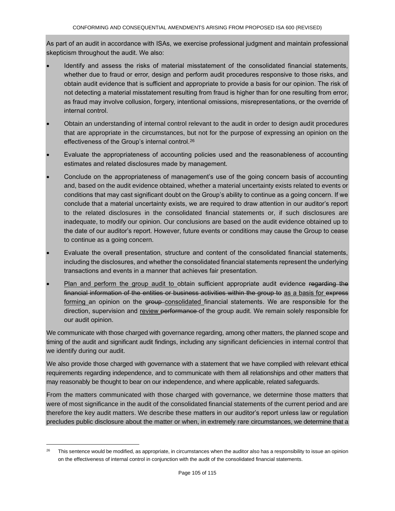As part of an audit in accordance with ISAs, we exercise professional judgment and maintain professional skepticism throughout the audit. We also:

- Identify and assess the risks of material misstatement of the consolidated financial statements, whether due to fraud or error, design and perform audit procedures responsive to those risks, and obtain audit evidence that is sufficient and appropriate to provide a basis for our opinion. The risk of not detecting a material misstatement resulting from fraud is higher than for one resulting from error, as fraud may involve collusion, forgery, intentional omissions, misrepresentations, or the override of internal control.
- Obtain an understanding of internal control relevant to the audit in order to design audit procedures that are appropriate in the circumstances, but not for the purpose of expressing an opinion on the effectiveness of the Group's internal control.<sup>26</sup>
- Evaluate the appropriateness of accounting policies used and the reasonableness of accounting estimates and related disclosures made by management.
- Conclude on the appropriateness of management's use of the going concern basis of accounting and, based on the audit evidence obtained, whether a material uncertainty exists related to events or conditions that may cast significant doubt on the Group's ability to continue as a going concern. If we conclude that a material uncertainty exists, we are required to draw attention in our auditor's report to the related disclosures in the consolidated financial statements or, if such disclosures are inadequate, to modify our opinion. Our conclusions are based on the audit evidence obtained up to the date of our auditor's report. However, future events or conditions may cause the Group to cease to continue as a going concern.
- Evaluate the overall presentation, structure and content of the consolidated financial statements, including the disclosures, and whether the consolidated financial statements represent the underlying transactions and events in a manner that achieves fair presentation.
- Plan and perform the group audit to obtain sufficient appropriate audit evidence regarding the financial information of the entities or business activities within the group to as a basis for express forming an opinion on the group consolidated financial statements. We are responsible for the direction, supervision and review performance of the group audit. We remain solely responsible for our audit opinion.

We communicate with those charged with governance regarding, among other matters, the planned scope and timing of the audit and significant audit findings, including any significant deficiencies in internal control that we identify during our audit.

We also provide those charged with governance with a statement that we have complied with relevant ethical requirements regarding independence, and to communicate with them all relationships and other matters that may reasonably be thought to bear on our independence, and where applicable, related safeguards.

From the matters communicated with those charged with governance, we determine those matters that were of most significance in the audit of the consolidated financial statements of the current period and are therefore the key audit matters. We describe these matters in our auditor's report unless law or regulation precludes public disclosure about the matter or when, in extremely rare circumstances, we determine that a

<sup>&</sup>lt;sup>26</sup> This sentence would be modified, as appropriate, in circumstances when the auditor also has a responsibility to issue an opinion on the effectiveness of internal control in conjunction with the audit of the consolidated financial statements.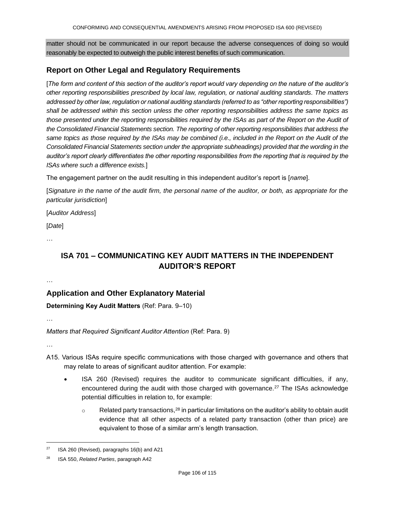matter should not be communicated in our report because the adverse consequences of doing so would reasonably be expected to outweigh the public interest benefits of such communication.

### **Report on Other Legal and Regulatory Requirements**

[*The form and content of this section of the auditor's report would vary depending on the nature of the auditor's other reporting responsibilities prescribed by local law, regulation, or national auditing standards. The matters addressed by other law, regulation or national auditing standards (referred to as "other reporting responsibilities") shall be addressed within this section unless the other reporting responsibilities address the same topics as those presented under the reporting responsibilities required by the ISAs as part of the Report on the Audit of the Consolidated Financial Statements section. The reporting of other reporting responsibilities that address the same topics as those required by the ISAs may be combined (i.e., included in the Report on the Audit of the Consolidated Financial Statements section under the appropriate subheadings) provided that the wording in the auditor's report clearly differentiates the other reporting responsibilities from the reporting that is required by the ISAs where such a difference exists.*]

The engagement partner on the audit resulting in this independent auditor's report is [*name*].

[*Signature in the name of the audit firm, the personal name of the auditor, or both, as appropriate for the particular jurisdiction*]

[*Auditor Address*]

[*Date*]

…

# **ISA 701 – COMMUNICATING KEY AUDIT MATTERS IN THE INDEPENDENT AUDITOR'S REPORT**

…

# **Application and Other Explanatory Material**

**Determining Key Audit Matters** (Ref: Para. 9–10)

…

*Matters that Required Significant Auditor Attention* (Ref: Para. 9)

- A15. Various ISAs require specific communications with those charged with governance and others that may relate to areas of significant auditor attention. For example:
	- ISA 260 (Revised) requires the auditor to communicate significant difficulties, if any, encountered during the audit with those charged with governance.<sup>27</sup> The ISAs acknowledge potential difficulties in relation to, for example:
		- $\circ$  Related party transactions,<sup>28</sup> in particular limitations on the auditor's ability to obtain audit evidence that all other aspects of a related party transaction (other than price) are equivalent to those of a similar arm's length transaction.

<sup>&</sup>lt;sup>27</sup> ISA 260 (Revised), paragraphs  $16(b)$  and A21

<sup>28</sup> ISA 550, *Related Parties*, paragraph A42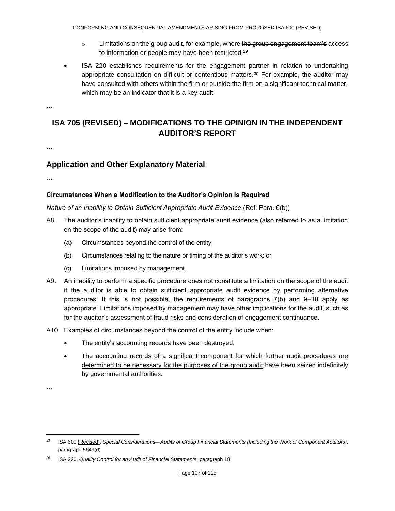- $\circ$  Limitations on the group audit, for example, where the group engagement team's access to information or people may have been restricted.<sup>29</sup>
- ISA 220 establishes requirements for the engagement partner in relation to undertaking appropriate consultation on difficult or contentious matters. $30$  For example, the auditor may have consulted with others within the firm or outside the firm on a significant technical matter, which may be an indicator that it is a key audit
- **ISA 705 (REVISED) – MODIFICATIONS TO THE OPINION IN THE INDEPENDENT AUDITOR'S REPORT**
- …

…

## **Application and Other Explanatory Material**

…

### **Circumstances When a Modification to the Auditor's Opinion Is Required**

*Nature of an Inability to Obtain Sufficient Appropriate Audit Evidence (Ref: Para. 6(b))* 

- A8. The auditor's inability to obtain sufficient appropriate audit evidence (also referred to as a limitation on the scope of the audit) may arise from:
	- (a) Circumstances beyond the control of the entity;
	- (b) Circumstances relating to the nature or timing of the auditor's work; or
	- (c) Limitations imposed by management.
- A9. An inability to perform a specific procedure does not constitute a limitation on the scope of the audit if the auditor is able to obtain sufficient appropriate audit evidence by performing alternative procedures. If this is not possible, the requirements of paragraphs 7(b) and 9–10 apply as appropriate. Limitations imposed by management may have other implications for the audit, such as for the auditor's assessment of fraud risks and consideration of engagement continuance.

#### A10. Examples of circumstances beyond the control of the entity include when:

- The entity's accounting records have been destroyed.
- The accounting records of a significant-component for which further audit procedures are determined to be necessary for the purposes of the group audit have been seized indefinitely by governmental authorities.

<sup>29</sup> ISA 600 (Revised), *Special Considerations—Audits of Group Financial Statements (Including the Work of Component Auditors)*, paragraph 5649(d)

<sup>30</sup> ISA 220, *Quality Control for an Audit of Financial Statements*, paragraph 18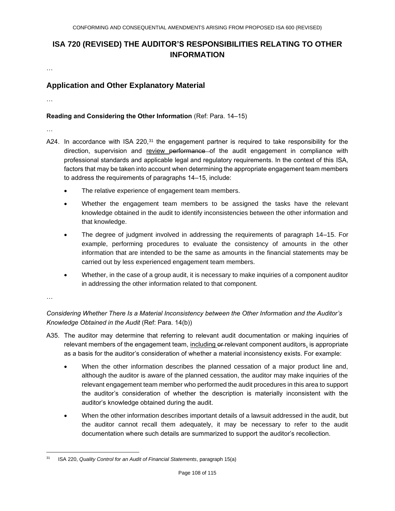# **ISA 720 (REVISED) THE AUDITOR'S RESPONSIBILITIES RELATING TO OTHER INFORMATION**

…

# **Application and Other Explanatory Material**

…

### **Reading and Considering the Other Information** (Ref: Para. 14–15)

…

- A24. In accordance with ISA 220, $31$  the engagement partner is required to take responsibility for the direction, supervision and review performance of the audit engagement in compliance with professional standards and applicable legal and regulatory requirements. In the context of this ISA, factors that may be taken into account when determining the appropriate engagement team members to address the requirements of paragraphs 14–15, include:
	- The relative experience of engagement team members.
	- Whether the engagement team members to be assigned the tasks have the relevant knowledge obtained in the audit to identify inconsistencies between the other information and that knowledge.
	- The degree of judgment involved in addressing the requirements of paragraph 14–15. For example, performing procedures to evaluate the consistency of amounts in the other information that are intended to be the same as amounts in the financial statements may be carried out by less experienced engagement team members.
	- Whether, in the case of a group audit, it is necessary to make inquiries of a component auditor in addressing the other information related to that component.

…

# *Considering Whether There Is a Material Inconsistency between the Other Information and the Auditor's Knowledge Obtained in the Audit* (Ref: Para. 14(b))

- A35. The auditor may determine that referring to relevant audit documentation or making inquiries of relevant members of the engagement team, including er-relevant component auditors, is appropriate as a basis for the auditor's consideration of whether a material inconsistency exists. For example:
	- When the other information describes the planned cessation of a major product line and, although the auditor is aware of the planned cessation, the auditor may make inquiries of the relevant engagement team member who performed the audit procedures in this area to support the auditor's consideration of whether the description is materially inconsistent with the auditor's knowledge obtained during the audit.
	- When the other information describes important details of a lawsuit addressed in the audit, but the auditor cannot recall them adequately, it may be necessary to refer to the audit documentation where such details are summarized to support the auditor's recollection.

<sup>31</sup> ISA 220, *Quality Control for an Audit of Financial Statements*, paragraph 15(a)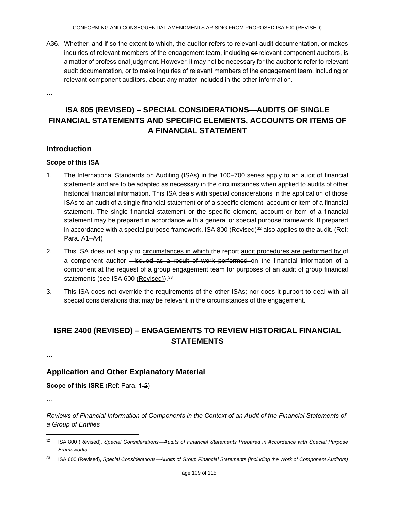A36. Whether, and if so the extent to which, the auditor refers to relevant audit documentation, or makes inquiries of relevant members of the engagement team, including or relevant component auditors, is a matter of professional judgment. However, it may not be necessary for the auditor to refer to relevant audit documentation, or to make inquiries of relevant members of the engagement team, including or relevant component auditors, about any matter included in the other information.

# **ISA 805 (REVISED) – SPECIAL CONSIDERATIONS—AUDITS OF SINGLE FINANCIAL STATEMENTS AND SPECIFIC ELEMENTS, ACCOUNTS OR ITEMS OF A FINANCIAL STATEMENT**

## **Introduction**

…

## **Scope of this ISA**

- 1. The International Standards on Auditing (ISAs) in the 100–700 series apply to an audit of financial statements and are to be adapted as necessary in the circumstances when applied to audits of other historical financial information. This ISA deals with special considerations in the application of those ISAs to an audit of a single financial statement or of a specific element, account or item of a financial statement. The single financial statement or the specific element, account or item of a financial statement may be prepared in accordance with a general or special purpose framework. If prepared in accordance with a special purpose framework, ISA 800 (Revised)<sup>32</sup> also applies to the audit. (Ref: Para. A1–A4)
- 2. This ISA does not apply to circumstances in which the report-audit procedures are performed by of a component auditor\_, issued as a result of work performed on the financial information of a component at the request of a group engagement team for purposes of an audit of group financial statements (see ISA 600 (Revised)). 33
- 3. This ISA does not override the requirements of the other ISAs; nor does it purport to deal with all special considerations that may be relevant in the circumstances of the engagement.

…

# **ISRE 2400 (REVISED) – ENGAGEMENTS TO REVIEW HISTORICAL FINANCIAL STATEMENTS**

…

# **Application and Other Explanatory Material**

**Scope of this ISRE** (Ref: Para. 1-2)

*…*

## *Reviews of Financial Information of Components in the Context of an Audit of the Financial Statements of a Group of Entities*

<sup>32</sup> ISA 800 (Revised), *Special Considerations—Audits of Financial Statements Prepared in Accordance with Special Purpose Frameworks*

<sup>33</sup> ISA 600 (Revised), *Special Considerations—Audits of Group Financial Statements (Including the Work of Component Auditors)*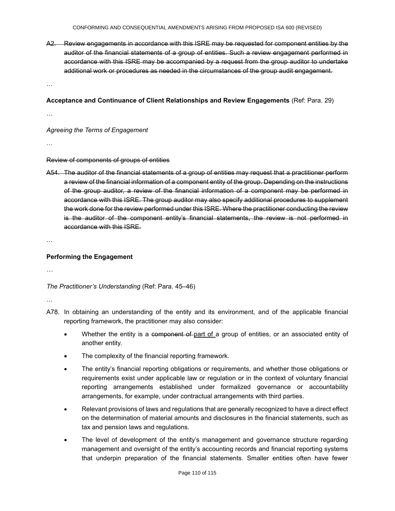A2. Review engagements in accordance with this ISRE may be requested for component entities by the auditor of the financial statements of a group of entities. Such a review engagement performed in accordance with this ISRE may be accompanied by a request from the group auditor to undertake additional work or procedures as needed in the circumstances of the group audit engagement.

…

**Acceptance and Continuance of Client Relationships and Review Engagements** (Ref: Para. 29)

…

### *Agreeing the Terms of Engagement*

…

#### Review of components of groups of entities

A54. The auditor of the financial statements of a group of entities may request that a practitioner perform a review of the financial information of a component entity of the group. Depending on the instructions of the group auditor, a review of the financial information of a component may be performed in accordance with this ISRE. The group auditor may also specify additional procedures to supplement the work done for the review performed under this ISRE. Where the practitioner conducting the review is the auditor of the component entity's financial statements, the review is not performed in accordance with this ISRE.

…

## **Performing the Engagement**

*…*

## *The Practitioner's Understanding* (Ref: Para. 45–46)

…

- A78. In obtaining an understanding of the entity and its environment, and of the applicable financial reporting framework, the practitioner may also consider:
	- Whether the entity is a component of part of a group of entities, or an associated entity of another entity.
	- The complexity of the financial reporting framework.
	- The entity's financial reporting obligations or requirements, and whether those obligations or requirements exist under applicable law or regulation or in the context of voluntary financial reporting arrangements established under formalized governance or accountability arrangements, for example, under contractual arrangements with third parties.
	- Relevant provisions of laws and regulations that are generally recognized to have a direct effect on the determination of material amounts and disclosures in the financial statements, such as tax and pension laws and regulations.
	- The level of development of the entity's management and governance structure regarding management and oversight of the entity's accounting records and financial reporting systems that underpin preparation of the financial statements. Smaller entities often have fewer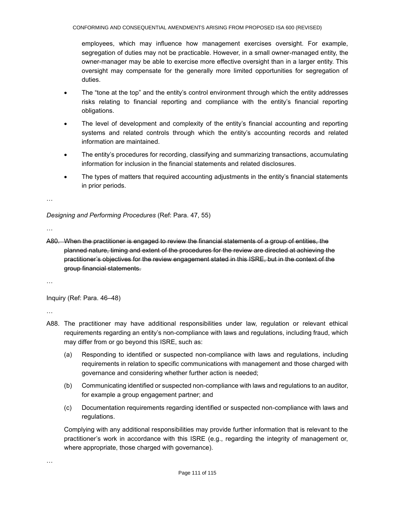employees, which may influence how management exercises oversight. For example, segregation of duties may not be practicable. However, in a small owner-managed entity, the owner-manager may be able to exercise more effective oversight than in a larger entity. This oversight may compensate for the generally more limited opportunities for segregation of duties.

- The "tone at the top" and the entity's control environment through which the entity addresses risks relating to financial reporting and compliance with the entity's financial reporting obligations.
- The level of development and complexity of the entity's financial accounting and reporting systems and related controls through which the entity's accounting records and related information are maintained.
- The entity's procedures for recording, classifying and summarizing transactions, accumulating information for inclusion in the financial statements and related disclosures.
- The types of matters that required accounting adjustments in the entity's financial statements in prior periods.

…

*Designing and Performing Procedures* (Ref: Para. 47, 55)

…

A80. When the practitioner is engaged to review the financial statements of a group of entities, the planned nature, timing and extent of the procedures for the review are directed at achieving the practitioner's objectives for the review engagement stated in this ISRE, but in the context of the group financial statements.

…

Inquiry (Ref: Para. 46–48)

…

…

- A88. The practitioner may have additional responsibilities under law, regulation or relevant ethical requirements regarding an entity's non-compliance with laws and regulations, including fraud, which may differ from or go beyond this ISRE, such as:
	- (a) Responding to identified or suspected non-compliance with laws and regulations, including requirements in relation to specific communications with management and those charged with governance and considering whether further action is needed;
	- (b) Communicating identified or suspected non-compliance with laws and regulations to an auditor, for example a group engagement partner; and
	- (c) Documentation requirements regarding identified or suspected non-compliance with laws and regulations.

Complying with any additional responsibilities may provide further information that is relevant to the practitioner's work in accordance with this ISRE (e.g., regarding the integrity of management or, where appropriate, those charged with governance).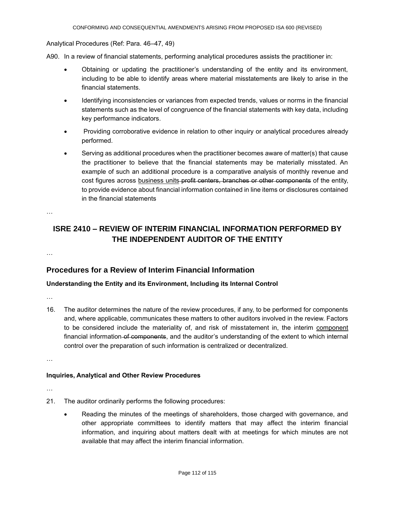Analytical Procedures (Ref: Para. 46–47, 49)

A90. In a review of financial statements, performing analytical procedures assists the practitioner in:

- Obtaining or updating the practitioner's understanding of the entity and its environment, including to be able to identify areas where material misstatements are likely to arise in the financial statements.
- Identifying inconsistencies or variances from expected trends, values or norms in the financial statements such as the level of congruence of the financial statements with key data, including key performance indicators.
- Providing corroborative evidence in relation to other inquiry or analytical procedures already performed.
- Serving as additional procedures when the practitioner becomes aware of matter(s) that cause the practitioner to believe that the financial statements may be materially misstated. An example of such an additional procedure is a comparative analysis of monthly revenue and cost figures across business units-profit centers, branches or other components of the entity, to provide evidence about financial information contained in line items or disclosures contained in the financial statements

…

# **ISRE 2410 – REVIEW OF INTERIM FINANCIAL INFORMATION PERFORMED BY THE INDEPENDENT AUDITOR OF THE ENTITY**

…

# **Procedures for a Review of Interim Financial Information**

## **Understanding the Entity and its Environment, Including its Internal Control**

…

16. The auditor determines the nature of the review procedures, if any, to be performed for components and, where applicable, communicates these matters to other auditors involved in the review. Factors to be considered include the materiality of, and risk of misstatement in, the interim component financial information of components, and the auditor's understanding of the extent to which internal control over the preparation of such information is centralized or decentralized.

…

## **Inquiries, Analytical and Other Review Procedures**

…

- 21. The auditor ordinarily performs the following procedures:
	- Reading the minutes of the meetings of shareholders, those charged with governance, and other appropriate committees to identify matters that may affect the interim financial information, and inquiring about matters dealt with at meetings for which minutes are not available that may affect the interim financial information.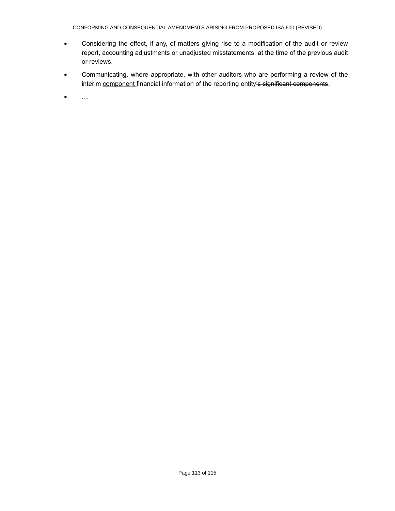CONFORMING AND CONSEQUENTIAL AMENDMENTS ARISING FROM PROPOSED ISA 600 (REVISED)

- Considering the effect, if any, of matters giving rise to a modification of the audit or review report, accounting adjustments or unadjusted misstatements, at the time of the previous audit or reviews.
- Communicating, where appropriate, with other auditors who are performing a review of the interim component financial information of the reporting entity's significant components.

• …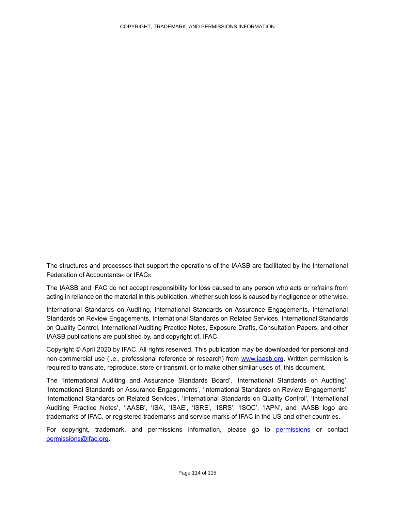The structures and processes that support the operations of the IAASB are facilitated by the International Federation of Accountants<sup>®</sup> or IFAC<sup>®</sup>.

The IAASB and IFAC do not accept responsibility for loss caused to any person who acts or refrains from acting in reliance on the material in this publication, whether such loss is caused by negligence or otherwise.

International Standards on Auditing, International Standards on Assurance Engagements, International Standards on Review Engagements, International Standards on Related Services, International Standards on Quality Control, International Auditing Practice Notes, Exposure Drafts, Consultation Papers, and other IAASB publications are published by, and copyright of, IFAC.

Copyright © April 2020 by IFAC. All rights reserved. This publication may be downloaded for personal and non-commercial use (i.e., professional reference or research) from www.iaasb.org. Written permission is required to translate, reproduce, store or transmit, or to make other similar uses of, this document.

The 'International Auditing and Assurance Standards Board', 'International Standards on Auditing', 'International Standards on Assurance Engagements', 'International Standards on Review Engagements', 'International Standards on Related Services', 'International Standards on Quality Control', 'International Auditing Practice Notes', 'IAASB', 'ISA', 'ISAE', 'ISRE', 'ISRS', 'ISQC', 'IAPN', and IAASB logo are trademarks of IFAC, or registered trademarks and service marks of IFAC in the US and other countries.

For copyright, trademark, and permissions information, please go to permissions or contact permissions@ifac.org.